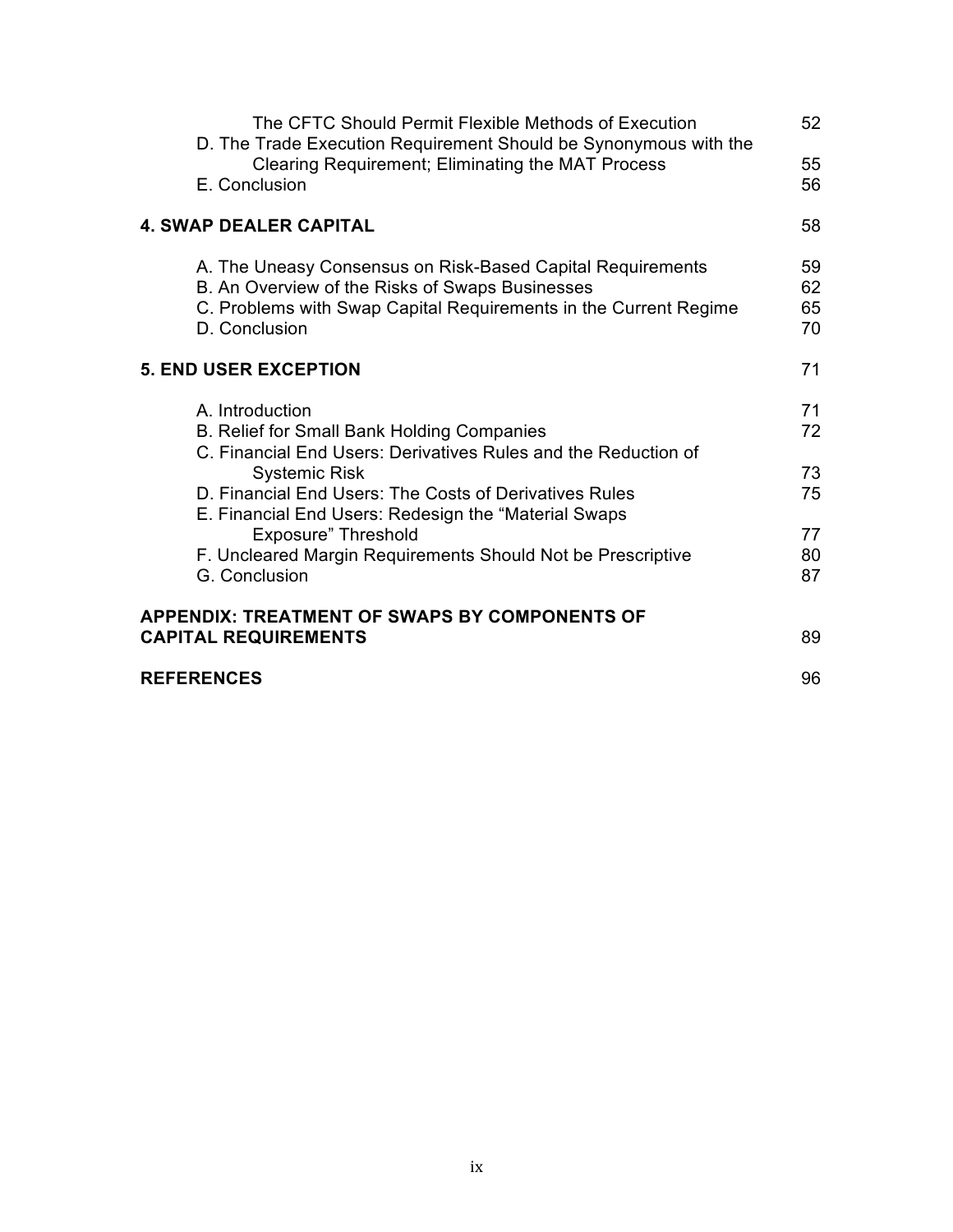| The CFTC Should Permit Flexible Methods of Execution<br>D. The Trade Execution Requirement Should be Synonymous with the                                                                           | 52                   |
|----------------------------------------------------------------------------------------------------------------------------------------------------------------------------------------------------|----------------------|
| Clearing Requirement; Eliminating the MAT Process<br>E. Conclusion                                                                                                                                 | 55<br>56             |
| <b>4. SWAP DEALER CAPITAL</b>                                                                                                                                                                      | 58                   |
| A. The Uneasy Consensus on Risk-Based Capital Requirements<br>B. An Overview of the Risks of Swaps Businesses<br>C. Problems with Swap Capital Requirements in the Current Regime<br>D. Conclusion | 59<br>62<br>65<br>70 |
| <b>5. END USER EXCEPTION</b>                                                                                                                                                                       | 71                   |
| A. Introduction<br>B. Relief for Small Bank Holding Companies<br>C. Financial End Users: Derivatives Rules and the Reduction of                                                                    | 71<br>72             |
| <b>Systemic Risk</b><br>D. Financial End Users: The Costs of Derivatives Rules<br>E. Financial End Users: Redesign the "Material Swaps"                                                            | 73<br>75             |
| <b>Exposure" Threshold</b><br>F. Uncleared Margin Requirements Should Not be Prescriptive<br>G. Conclusion                                                                                         | 77<br>80<br>87       |
| APPENDIX: TREATMENT OF SWAPS BY COMPONENTS OF<br><b>CAPITAL REQUIREMENTS</b>                                                                                                                       | 89                   |
| <b>REFERENCES</b>                                                                                                                                                                                  | 96                   |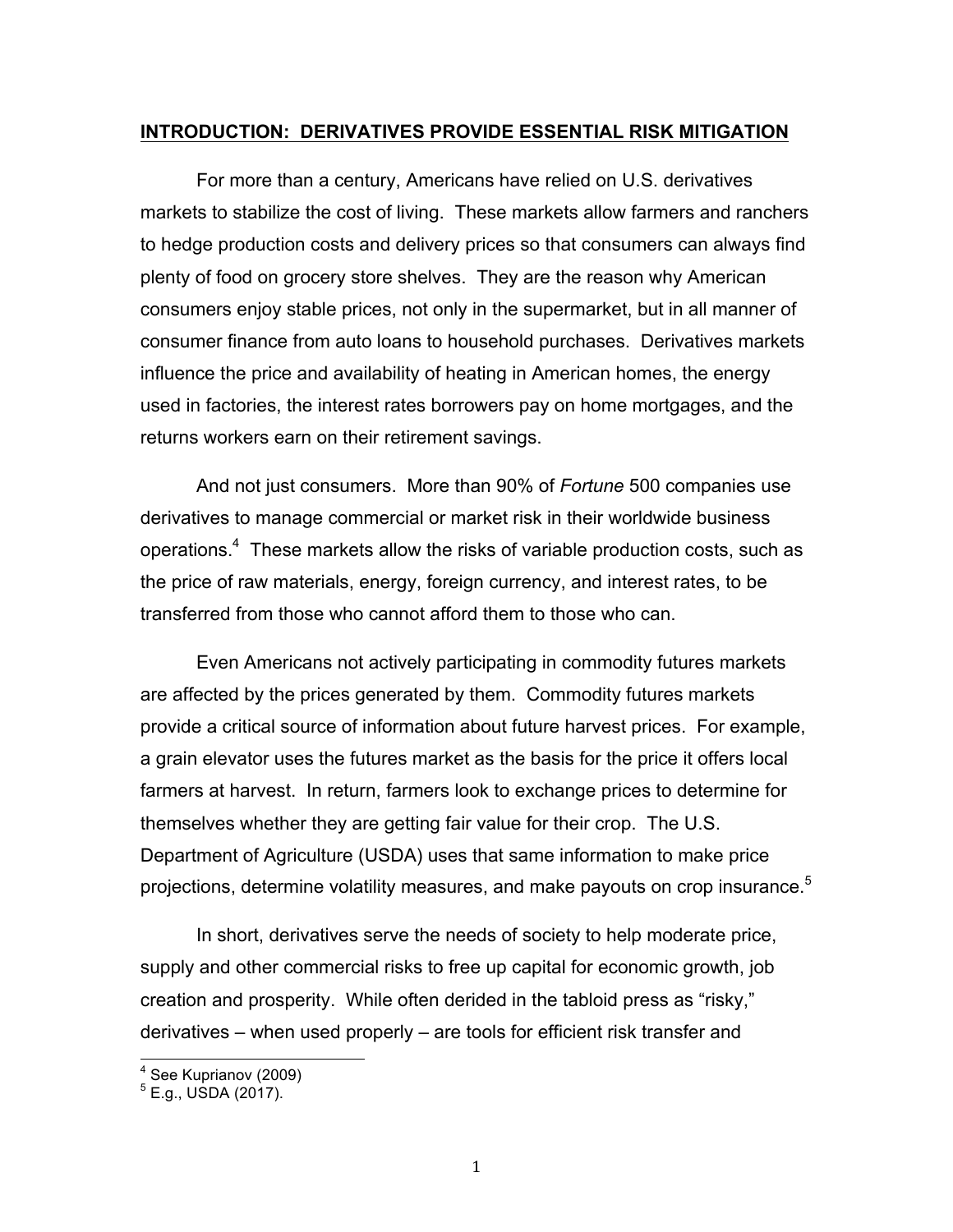## **INTRODUCTION: DERIVATIVES PROVIDE ESSENTIAL RISK MITIGATION**

 For more than a century, Americans have relied on U.S. derivatives markets to stabilize the cost of living. These markets allow farmers and ranchers to hedge production costs and delivery prices so that consumers can always find plenty of food on grocery store shelves. They are the reason why American consumers enjoy stable prices, not only in the supermarket, but in all manner of consumer finance from auto loans to household purchases. Derivatives markets influence the price and availability of heating in American homes, the energy used in factories, the interest rates borrowers pay on home mortgages, and the returns workers earn on their retirement savings.

 And not just consumers. More than 90% of *Fortune* 500 companies use derivatives to manage commercial or market risk in their worldwide business operations. $4$  These markets allow the risks of variable production costs, such as the price of raw materials, energy, foreign currency, and interest rates, to be transferred from those who cannot afford them to those who can.

 Even Americans not actively participating in commodity futures markets are affected by the prices generated by them. Commodity futures markets provide a critical source of information about future harvest prices. For example, a grain elevator uses the futures market as the basis for the price it offers local farmers at harvest. In return, farmers look to exchange prices to determine for themselves whether they are getting fair value for their crop. The U.S. Department of Agriculture (USDA) uses that same information to make price projections, determine volatility measures, and make payouts on crop insurance.<sup>5</sup>

 In short, derivatives serve the needs of society to help moderate price, supply and other commercial risks to free up capital for economic growth, job creation and prosperity. While often derided in the tabloid press as "risky," derivatives – when used properly – are tools for efficient risk transfer and

 $4$  See Kuprianov (2009)

 $^5$  E.g., USDA (2017).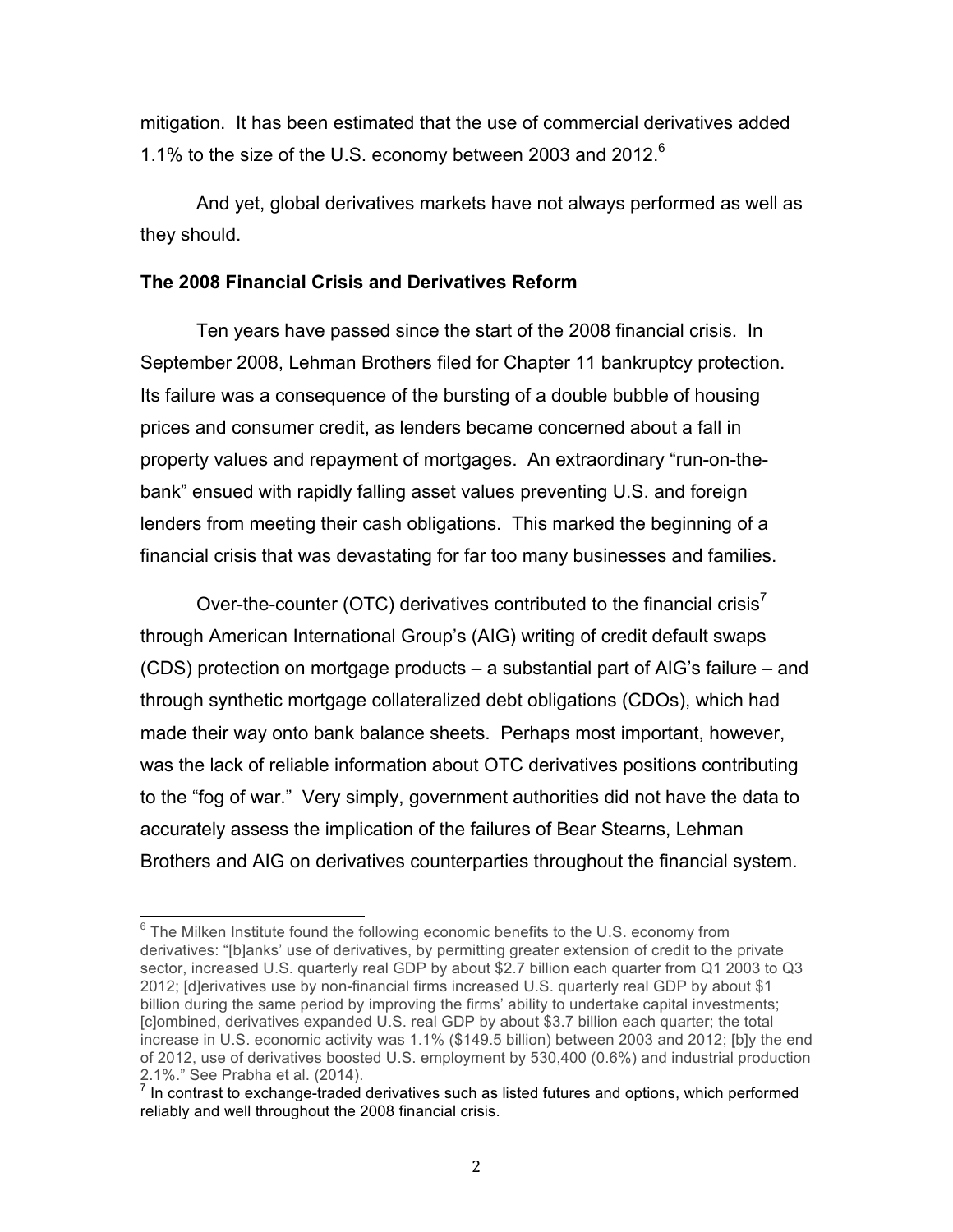mitigation. It has been estimated that the use of commercial derivatives added 1.1% to the size of the U.S. economy between 2003 and 2012.<sup>6</sup>

 And yet, global derivatives markets have not always performed as well as they should.

## **The 2008 Financial Crisis and Derivatives Reform**

 Ten years have passed since the start of the 2008 financial crisis. In September 2008, Lehman Brothers filed for Chapter 11 bankruptcy protection. Its failure was a consequence of the bursting of a double bubble of housing prices and consumer credit, as lenders became concerned about a fall in property values and repayment of mortgages. An extraordinary "run-on-the- bank" ensued with rapidly falling asset values preventing U.S. and foreign lenders from meeting their cash obligations. This marked the beginning of a financial crisis that was devastating for far too many businesses and families.

Over-the-counter (OTC) derivatives contributed to the financial crisis<sup>7</sup> through American International Group's (AIG) writing of credit default swaps (CDS) protection on mortgage products – a substantial part of AIG's failure – and through synthetic mortgage collateralized debt obligations (CDOs), which had made their way onto bank balance sheets. Perhaps most important, however, was the lack of reliable information about OTC derivatives positions contributing to the "fog of war." Very simply, government authorities did not have the data to accurately assess the implication of the failures of Bear Stearns, Lehman Brothers and AIG on derivatives counterparties throughout the financial system.

 $6$  The Milken Institute found the following economic benefits to the U.S. economy from derivatives: "[b]anks' use of derivatives, by permitting greater extension of credit to the private sector, increased U.S. quarterly real GDP by about \$2.7 billion each quarter from Q1 2003 to Q3 2012; [d]erivatives use by non-financial firms increased U.S. quarterly real GDP by about \$1 billion during the same period by improving the firms' ability to undertake capital investments; [c]ombined, derivatives expanded U.S. real GDP by about \$3.7 billion each quarter; the total increase in U.S. economic activity was 1.1% (\$149.5 billion) between 2003 and 2012; [b]y the end of 2012, use of derivatives boosted U.S. employment by 530,400 (0.6%) and industrial production 2.1%." See Prabha et al. (2014).

 reliably and well throughout the 2008 financial crisis. In contrast to exchange-traded derivatives such as listed futures and options, which performed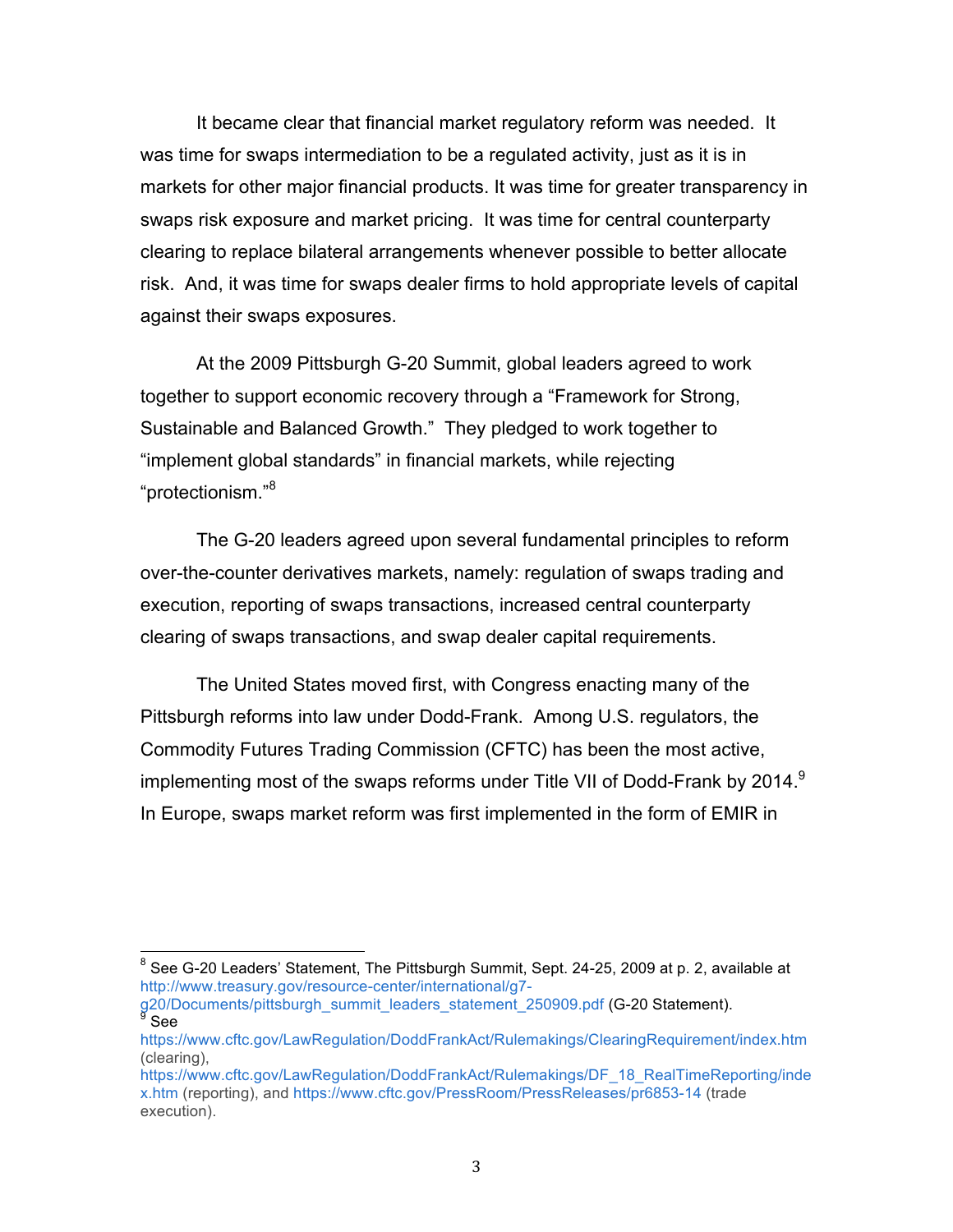It became clear that financial market regulatory reform was needed. It was time for swaps intermediation to be a regulated activity, just as it is in markets for other major financial products. It was time for greater transparency in swaps risk exposure and market pricing. It was time for central counterparty clearing to replace bilateral arrangements whenever possible to better allocate risk. And, it was time for swaps dealer firms to hold appropriate levels of capital against their swaps exposures.

 At the 2009 Pittsburgh G-20 Summit, global leaders agreed to work together to support economic recovery through a "Framework for Strong, Sustainable and Balanced Growth." They pledged to work together to "implement global standards" in financial markets, while rejecting "protectionism."<sup>8</sup> "protectionism."8 The G-20 leaders agreed upon several fundamental principles to reform

 over-the-counter derivatives markets, namely: regulation of swaps trading and execution, reporting of swaps transactions, increased central counterparty clearing of swaps transactions, and swap dealer capital requirements.

 The United States moved first, with Congress enacting many of the Pittsburgh reforms into law under Dodd-Frank. Among U.S. regulators, the Commodity Futures Trading Commission (CFTC) has been the most active, implementing most of the swaps reforms under Title VII of Dodd-Frank by 2014. $^9$ In Europe, swaps market reform was first implemented in the form of EMIR in

 $^8$  See G-20 Leaders' Statement, The Pittsburgh Summit, Sept. 24-25, 2009 at p. 2, available at http://www.treasury.gov/resource-center/international/g7-

g20/Documents/pittsburgh\_summit\_leaders\_statement\_250909.pdf (G-20 Statement).

https://www.cftc.gov/LawRegulation/DoddFrankAct/Rulemakings/ClearingRequirement/index.htm (clearing),

 x.htm (reporting), and https://www.cftc.gov/PressRoom/PressReleases/pr6853-14 (trade https://www.cftc.gov/LawRegulation/DoddFrankAct/Rulemakings/DF\_18\_RealTimeReporting/inde execution).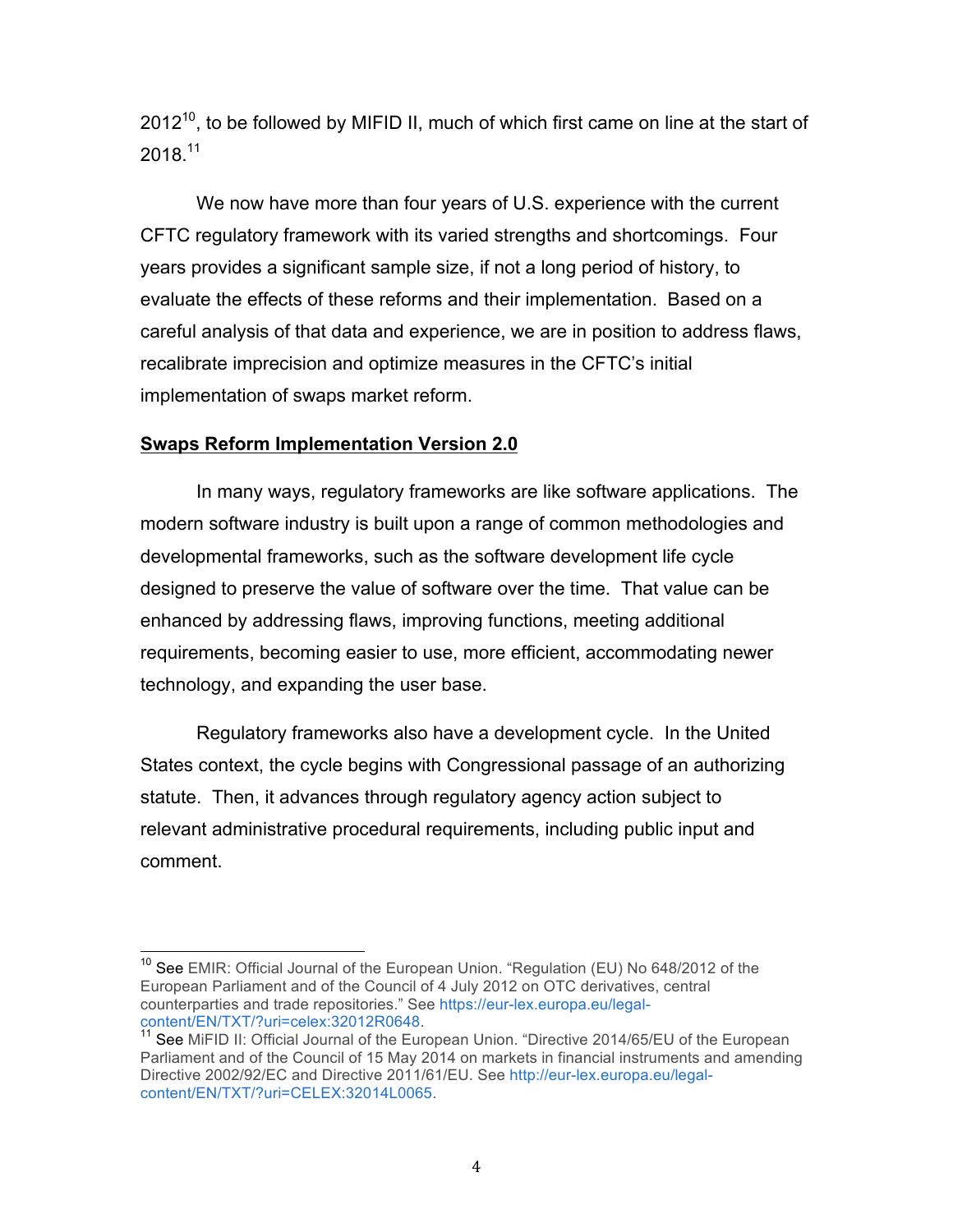2012<sup>10</sup>, to be followed by MIFID II, much of which first came on line at the start of  $2018.<sup>11</sup>$ 

 We now have more than four years of U.S. experience with the current CFTC regulatory framework with its varied strengths and shortcomings. Four years provides a significant sample size, if not a long period of history, to evaluate the effects of these reforms and their implementation. Based on a careful analysis of that data and experience, we are in position to address flaws, recalibrate imprecision and optimize measures in the CFTC's initial implementation of swaps market reform.

# **Swaps Reform Implementation Version 2.0**

 In many ways, regulatory frameworks are like software applications. The modern software industry is built upon a range of common methodologies and developmental frameworks, such as the software development life cycle designed to preserve the value of software over the time. That value can be enhanced by addressing flaws, improving functions, meeting additional requirements, becoming easier to use, more efficient, accommodating newer technology, and expanding the user base.

 Regulatory frameworks also have a development cycle. In the United States context, the cycle begins with Congressional passage of an authorizing statute. Then, it advances through regulatory agency action subject to relevant administrative procedural requirements, including public input and comment.

<sup>&</sup>lt;sup>10</sup> See EMIR: Official Journal of the European Union. "Regulation (EU) No 648/2012 of the European Parliament and of the Council of 4 July 2012 on OTC derivatives, central counterparties and trade repositories." See https://eur-lex.europa.eu/legal-

content/EN/TXT/?uri=celex:32012R0648.<br><sup>11</sup> See MiFID II: Official Journal of the European Union. "Directive 2014/65/EU of the European Parliament and of the Council of 15 May 2014 on markets in financial instruments and amending Directive 2002/92/EC and Directive 2011/61/EU. See http://eur-lex.europa.eu/legalcontent/EN/TXT/?uri=CELEX:32014L0065.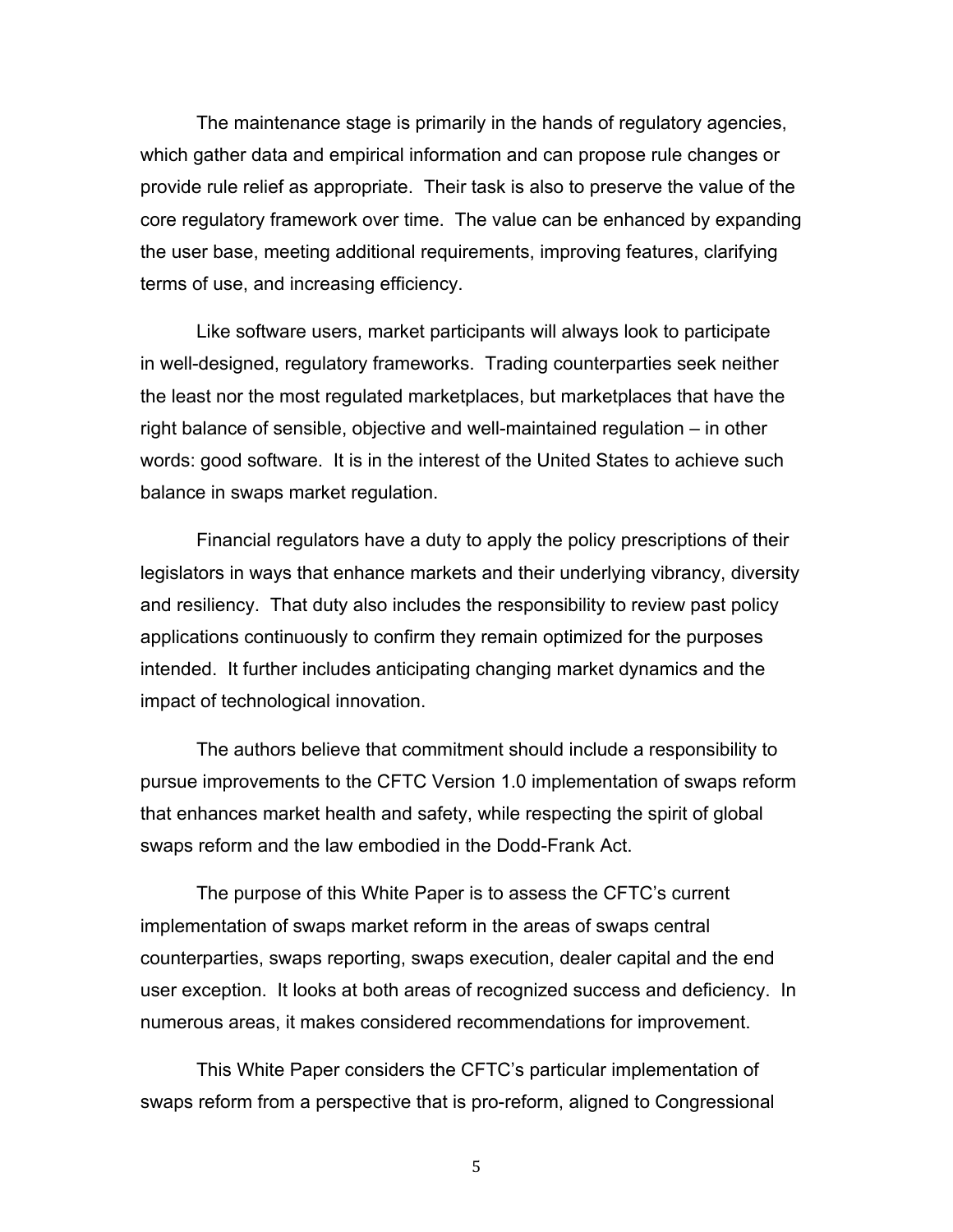The maintenance stage is primarily in the hands of regulatory agencies, which gather data and empirical information and can propose rule changes or provide rule relief as appropriate. Their task is also to preserve the value of the core regulatory framework over time. The value can be enhanced by expanding the user base, meeting additional requirements, improving features, clarifying terms of use, and increasing efficiency.

 Like software users, market participants will always look to participate in well-designed, regulatory frameworks. Trading counterparties seek neither the least nor the most regulated marketplaces, but marketplaces that have the right balance of sensible, objective and well-maintained regulation – in other words: good software. It is in the interest of the United States to achieve such balance in swaps market regulation.

 Financial regulators have a duty to apply the policy prescriptions of their legislators in ways that enhance markets and their underlying vibrancy, diversity and resiliency. That duty also includes the responsibility to review past policy applications continuously to confirm they remain optimized for the purposes intended. It further includes anticipating changing market dynamics and the impact of technological innovation.

 The authors believe that commitment should include a responsibility to pursue improvements to the CFTC Version 1.0 implementation of swaps reform that enhances market health and safety, while respecting the spirit of global swaps reform and the law embodied in the Dodd-Frank Act.

 The purpose of this White Paper is to assess the CFTC's current implementation of swaps market reform in the areas of swaps central user exception. It looks at both areas of recognized success and deficiency. In numerous areas, it makes considered recommendations for improvement. counterparties, swaps reporting, swaps execution, dealer capital and the end

 This White Paper considers the CFTC's particular implementation of swaps reform from a perspective that is pro-reform, aligned to Congressional

5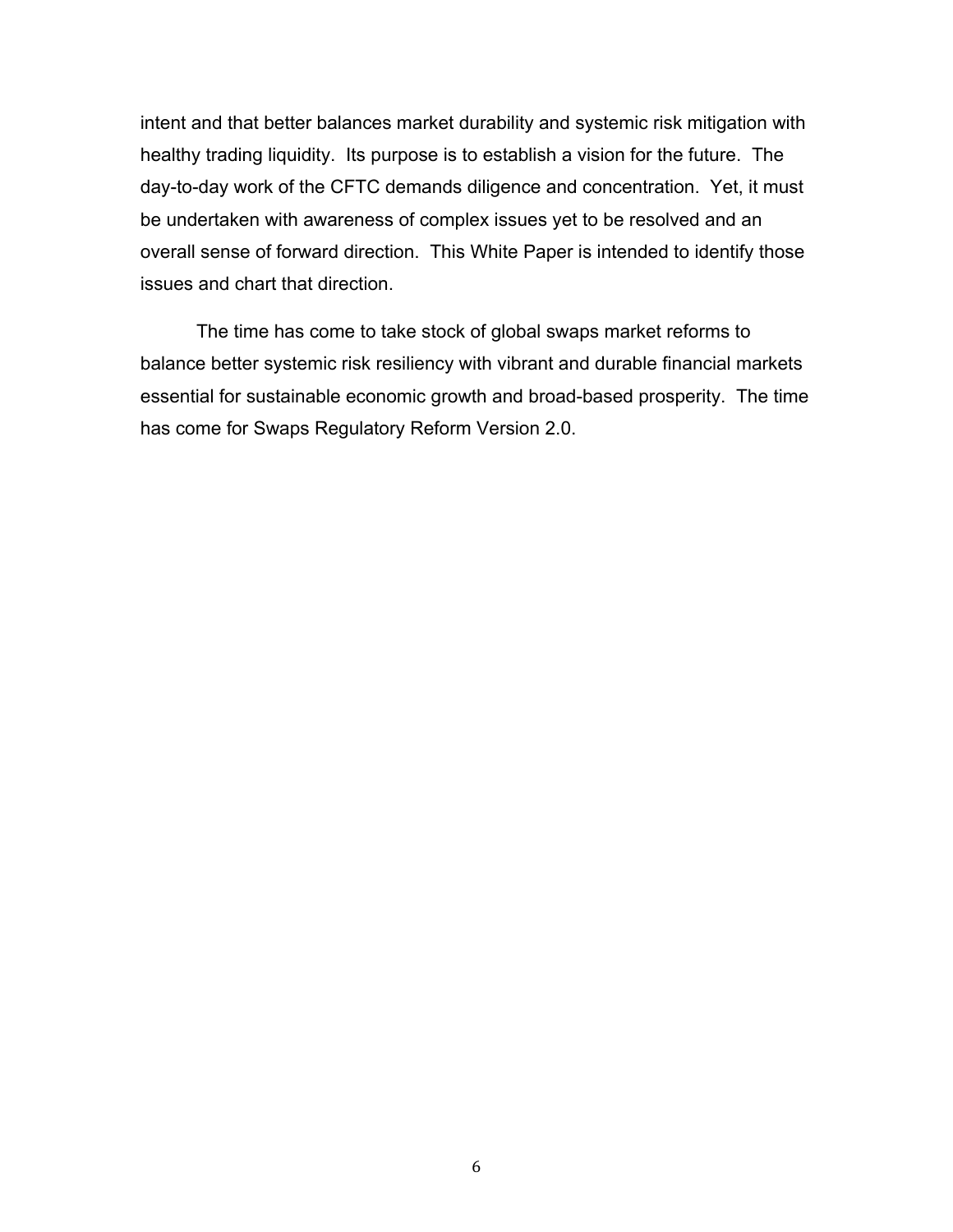intent and that better balances market durability and systemic risk mitigation with healthy trading liquidity. Its purpose is to establish a vision for the future. The day-to-day work of the CFTC demands diligence and concentration. Yet, it must be undertaken with awareness of complex issues yet to be resolved and an overall sense of forward direction. This White Paper is intended to identify those issues and chart that direction.

 The time has come to take stock of global swaps market reforms to balance better systemic risk resiliency with vibrant and durable financial markets essential for sustainable economic growth and broad-based prosperity. The time has come for Swaps Regulatory Reform Version 2.0.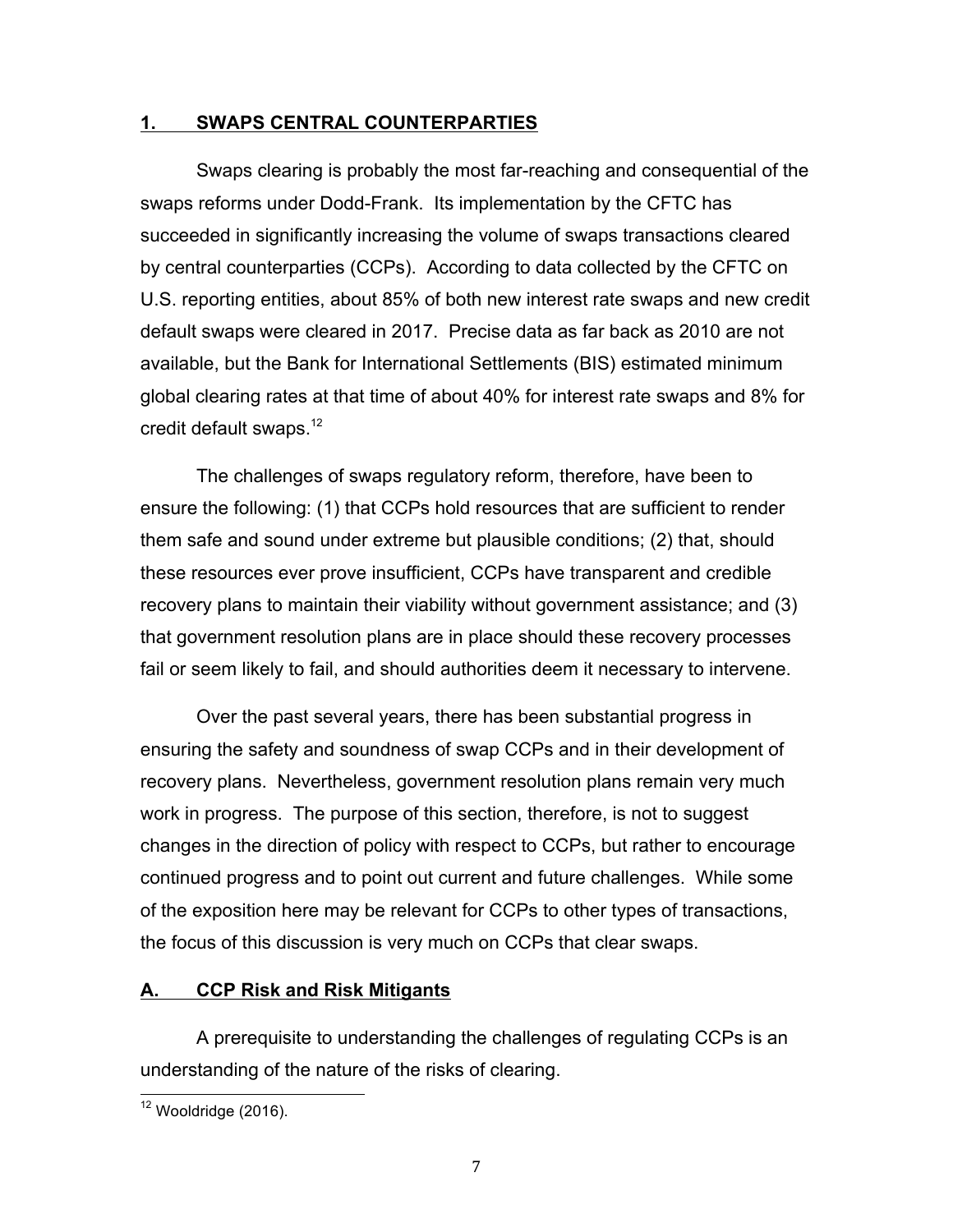## **1. SWAPS CENTRAL COUNTERPARTIES**

 Swaps clearing is probably the most far-reaching and consequential of the swaps reforms under Dodd-Frank. Its implementation by the CFTC has succeeded in significantly increasing the volume of swaps transactions cleared by central counterparties (CCPs). According to data collected by the CFTC on U.S. reporting entities, about 85% of both new interest rate swaps and new credit default swaps were cleared in 2017. Precise data as far back as 2010 are not available, but the Bank for International Settlements (BIS) estimated minimum global clearing rates at that time of about 40% for interest rate swaps and 8% for credit default swaps. $12$ 

 The challenges of swaps regulatory reform, therefore, have been to ensure the following: (1) that CCPs hold resources that are sufficient to render them safe and sound under extreme but plausible conditions; (2) that, should these resources ever prove insufficient, CCPs have transparent and credible recovery plans to maintain their viability without government assistance; and (3) that government resolution plans are in place should these recovery processes fail or seem likely to fail, and should authorities deem it necessary to intervene.

 Over the past several years, there has been substantial progress in ensuring the safety and soundness of swap CCPs and in their development of recovery plans. Nevertheless, government resolution plans remain very much work in progress. The purpose of this section, therefore, is not to suggest changes in the direction of policy with respect to CCPs, but rather to encourage continued progress and to point out current and future challenges. While some of the exposition here may be relevant for CCPs to other types of transactions, the focus of this discussion is very much on CCPs that clear swaps.

# **A. CCP Risk and Risk Mitigants**

 A prerequisite to understanding the challenges of regulating CCPs is an understanding of the nature of the risks of clearing.

 $12$  Wooldridge (2016).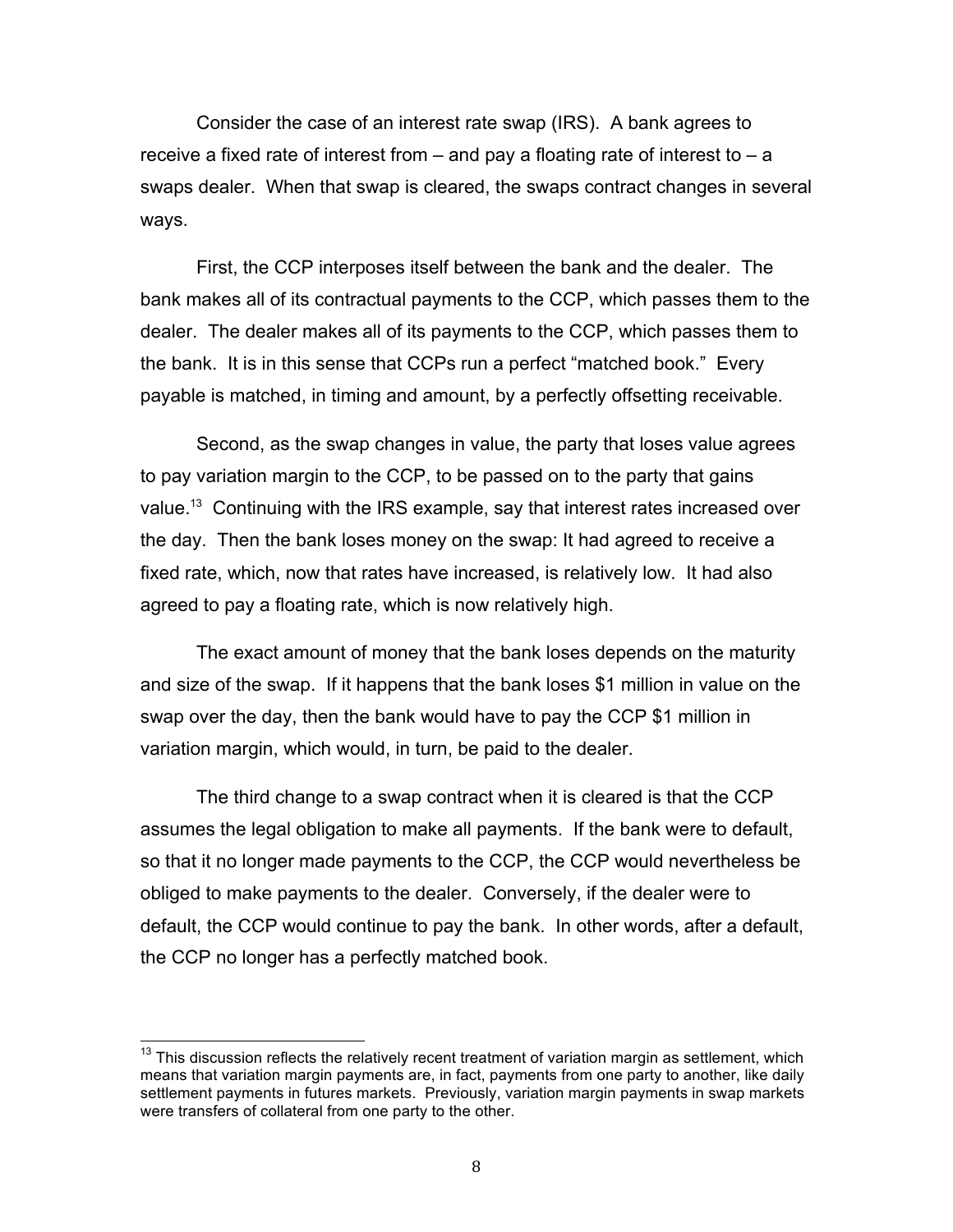Consider the case of an interest rate swap (IRS). A bank agrees to receive a fixed rate of interest from – and pay a floating rate of interest to – a swaps dealer. When that swap is cleared, the swaps contract changes in several ways.

 First, the CCP interposes itself between the bank and the dealer. The bank makes all of its contractual payments to the CCP, which passes them to the dealer. The dealer makes all of its payments to the CCP, which passes them to the bank. It is in this sense that CCPs run a perfect "matched book." Every payable is matched, in timing and amount, by a perfectly offsetting receivable.

 Second, as the swap changes in value, the party that loses value agrees to pay variation margin to the CCP, to be passed on to the party that gains value.<sup>13</sup> Continuing with the IRS example, say that interest rates increased over the day. Then the bank loses money on the swap: It had agreed to receive a fixed rate, which, now that rates have increased, is relatively low. It had also agreed to pay a floating rate, which is now relatively high.

 The exact amount of money that the bank loses depends on the maturity and size of the swap. If it happens that the bank loses \$1 million in value on the swap over the day, then the bank would have to pay the CCP \$1 million in variation margin, which would, in turn, be paid to the dealer.

 The third change to a swap contract when it is cleared is that the CCP assumes the legal obligation to make all payments. If the bank were to default, so that it no longer made payments to the CCP, the CCP would nevertheless be obliged to make payments to the dealer. Conversely, if the dealer were to default, the CCP would continue to pay the bank. In other words, after a default, the CCP no longer has a perfectly matched book.

 $13$  This discussion reflects the relatively recent treatment of variation margin as settlement, which means that variation margin payments are, in fact, payments from one party to another, like daily settlement payments in futures markets. Previously, variation margin payments in swap markets were transfers of collateral from one party to the other.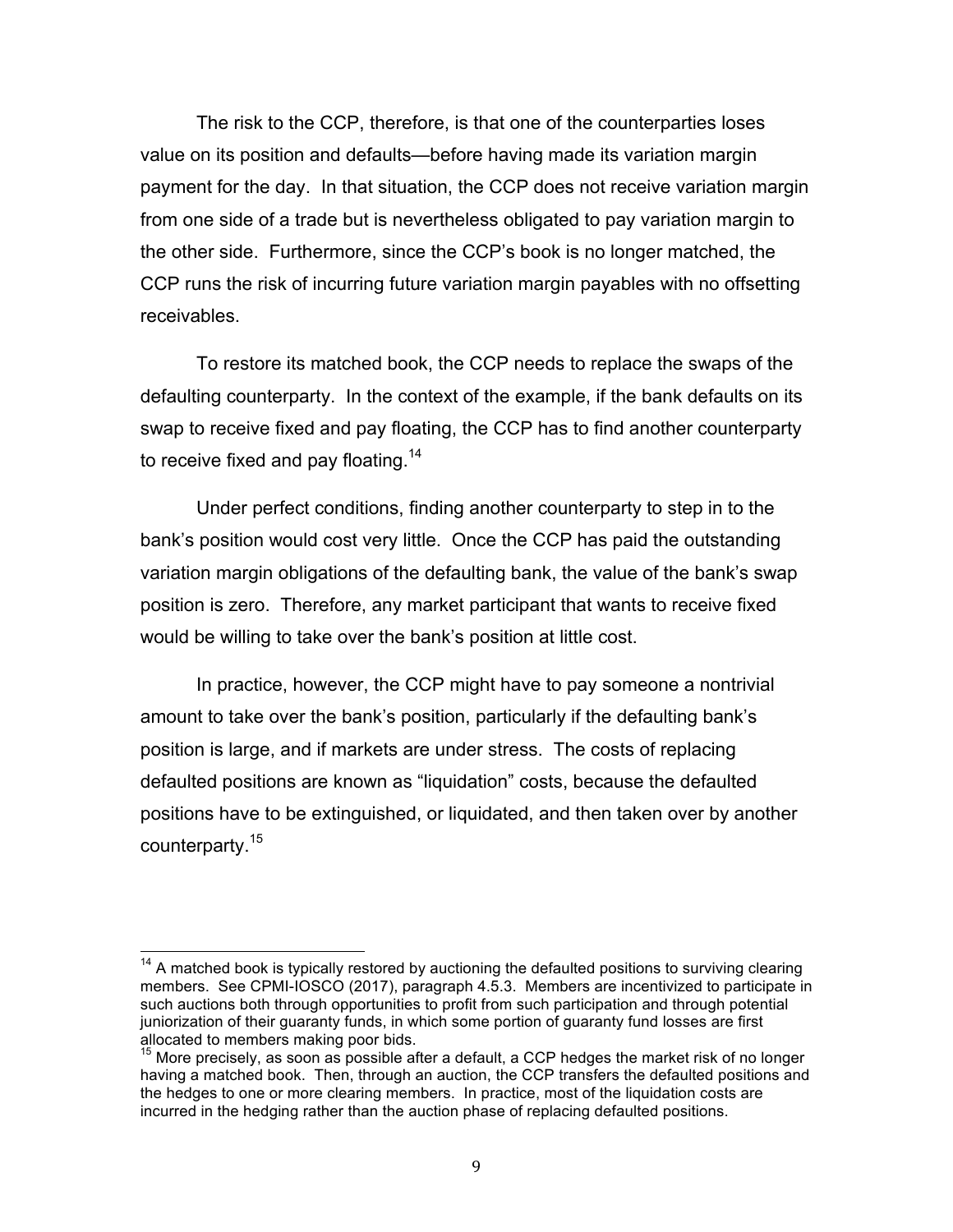The risk to the CCP, therefore, is that one of the counterparties loses value on its position and defaults—before having made its variation margin payment for the day. In that situation, the CCP does not receive variation margin from one side of a trade but is nevertheless obligated to pay variation margin to the other side. Furthermore, since the CCP's book is no longer matched, the CCP runs the risk of incurring future variation margin payables with no offsetting receivables.

 To restore its matched book, the CCP needs to replace the swaps of the defaulting counterparty. In the context of the example, if the bank defaults on its swap to receive fixed and pay floating, the CCP has to find another counterparty to receive fixed and pay floating.<sup>14</sup>

 Under perfect conditions, finding another counterparty to step in to the bank's position would cost very little. Once the CCP has paid the outstanding variation margin obligations of the defaulting bank, the value of the bank's swap position is zero. Therefore, any market participant that wants to receive fixed would be willing to take over the bank's position at little cost.

 In practice, however, the CCP might have to pay someone a nontrivial amount to take over the bank's position, particularly if the defaulting bank's position is large, and if markets are under stress. The costs of replacing defaulted positions are known as "liquidation" costs, because the defaulted positions have to be extinguished, or liquidated, and then taken over by another counterparty.<sup>15</sup>

 $14$  A matched book is typically restored by auctioning the defaulted positions to surviving clearing such auctions both through opportunities to profit from such participation and through potential juniorization of their guaranty funds, in which some portion of guaranty fund losses are first members. See CPMI-IOSCO (2017), paragraph 4.5.3. Members are incentivized to participate in allocated to members making poor bids.

<sup>&</sup>lt;sup>15</sup> More precisely, as soon as possible after a default, a CCP hedges the market risk of no longer having a matched book. Then, through an auction, the CCP transfers the defaulted positions and the hedges to one or more clearing members. In practice, most of the liquidation costs are incurred in the hedging rather than the auction phase of replacing defaulted positions.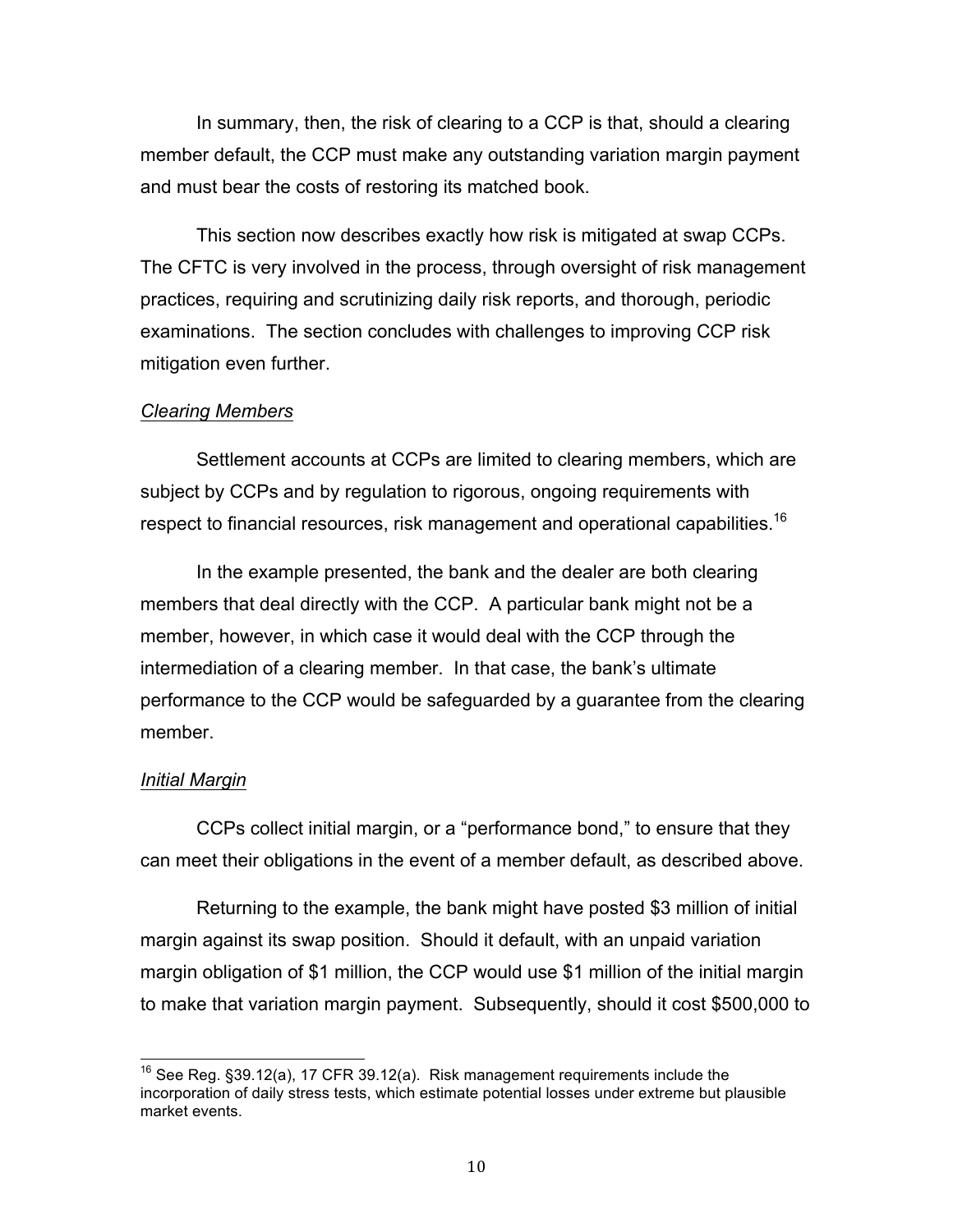In summary, then, the risk of clearing to a CCP is that, should a clearing member default, the CCP must make any outstanding variation margin payment and must bear the costs of restoring its matched book.

 This section now describes exactly how risk is mitigated at swap CCPs. The CFTC is very involved in the process, through oversight of risk management practices, requiring and scrutinizing daily risk reports, and thorough, periodic examinations. The section concludes with challenges to improving CCP risk mitigation even further.

### *Clearing Members*

 Settlement accounts at CCPs are limited to clearing members, which are subject by CCPs and by regulation to rigorous, ongoing requirements with respect to financial resources, risk management and operational capabilities.<sup>16</sup>

 In the example presented, the bank and the dealer are both clearing members that deal directly with the CCP. A particular bank might not be a member, however, in which case it would deal with the CCP through the intermediation of a clearing member. In that case, the bank's ultimate performance to the CCP would be safeguarded by a guarantee from the clearing member.

### *Initial Margin*

 CCPs collect initial margin, or a "performance bond," to ensure that they can meet their obligations in the event of a member default, as described above.

 Returning to the example, the bank might have posted \$3 million of initial margin against its swap position. Should it default, with an unpaid variation margin obligation of \$1 million, the CCP would use \$1 million of the initial margin to make that variation margin payment. Subsequently, should it cost \$500,000 to

<sup>&</sup>lt;sup>16</sup> See Reg. §39.12(a), 17 CFR 39.12(a). Risk management requirements include the incorporation of daily stress tests, which estimate potential losses under extreme but plausible market events.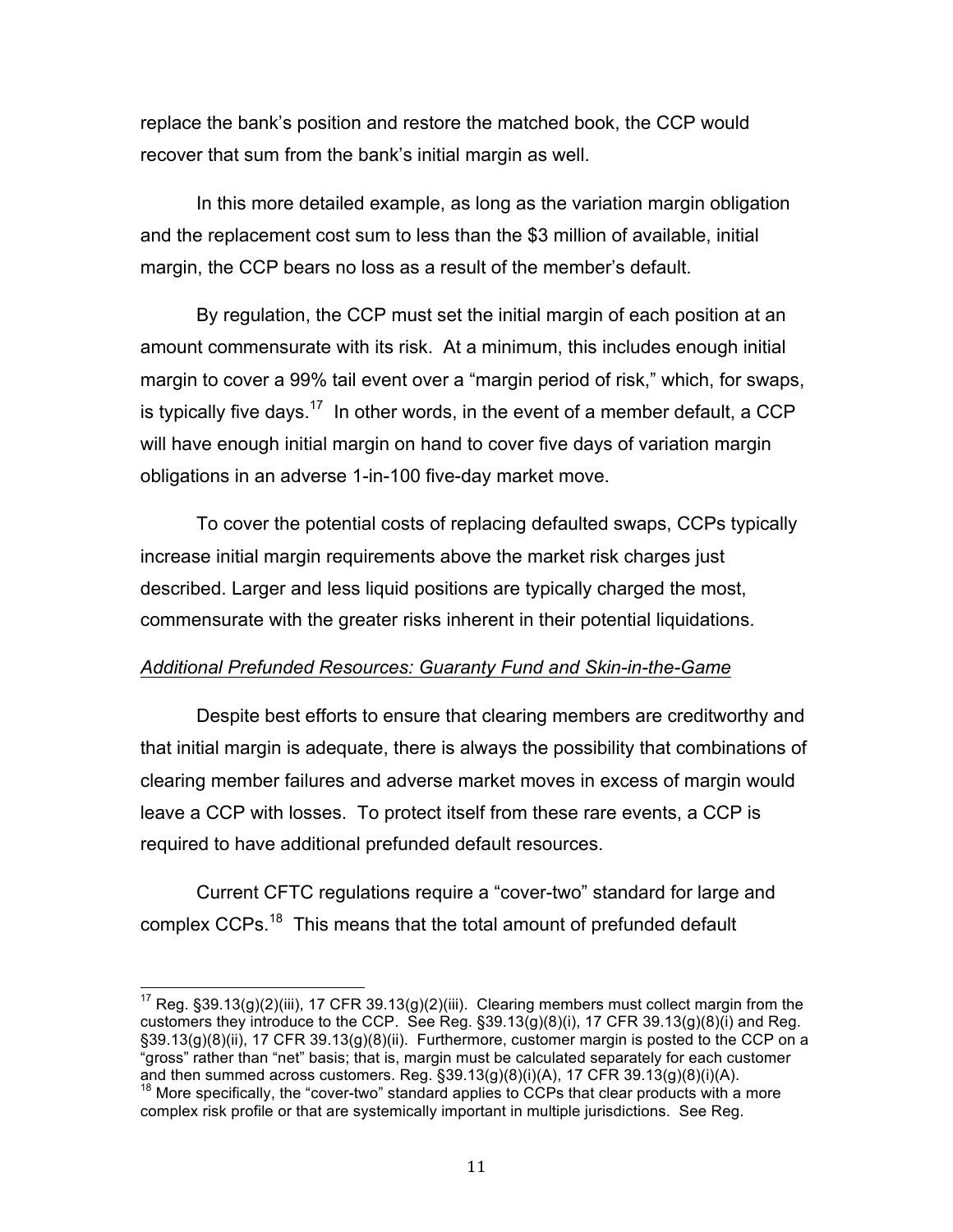replace the bank's position and restore the matched book, the CCP would recover that sum from the bank's initial margin as well.

 In this more detailed example, as long as the variation margin obligation and the replacement cost sum to less than the \$3 million of available, initial margin, the CCP bears no loss as a result of the member's default.

 By regulation, the CCP must set the initial margin of each position at an amount commensurate with its risk. At a minimum, this includes enough initial margin to cover a 99% tail event over a "margin period of risk," which, for swaps, is typically five days.<sup>17</sup> In other words, in the event of a member default, a CCP will have enough initial margin on hand to cover five days of variation margin obligations in an adverse 1-in-100 five-day market move.

 To cover the potential costs of replacing defaulted swaps, CCPs typically increase initial margin requirements above the market risk charges just described. Larger and less liquid positions are typically charged the most, commensurate with the greater risks inherent in their potential liquidations.

# *Additional Prefunded Resources: Guaranty Fund and Skin-in-the-Game*

 Despite best efforts to ensure that clearing members are creditworthy and that initial margin is adequate, there is always the possibility that combinations of clearing member failures and adverse market moves in excess of margin would leave a CCP with losses. To protect itself from these rare events, a CCP is required to have additional prefunded default resources.

 Current CFTC regulations require a "cover-two" standard for large and complex CCPs.<sup>18</sup> This means that the total amount of prefunded default

<sup>&</sup>lt;sup>17</sup> Reg. §39.13(g)(2)(iii), 17 CFR 39.13(g)(2)(iii). Clearing members must collect margin from the customers they introduce to the CCP. See Reg. §39.13(g)(8)(i), 17 CFR 39.13(g)(8)(i) and Reg. §39.13(g)(8)(ii), 17 CFR 39.13(g)(8)(ii). Furthermore, customer margin is posted to the CCP on a "gross" rather than "net" basis; that is, margin must be calculated separately for each customer and then summed across customers. Reg.  $\S39.13(g)(8)(i)(A)$ , 17 CFR  $39.13(g)(8)(i)(A)$ .

 $18$  More specifically, the "cover-two" standard applies to CCPs that clear products with a more complex risk profile or that are systemically important in multiple jurisdictions. See Reg.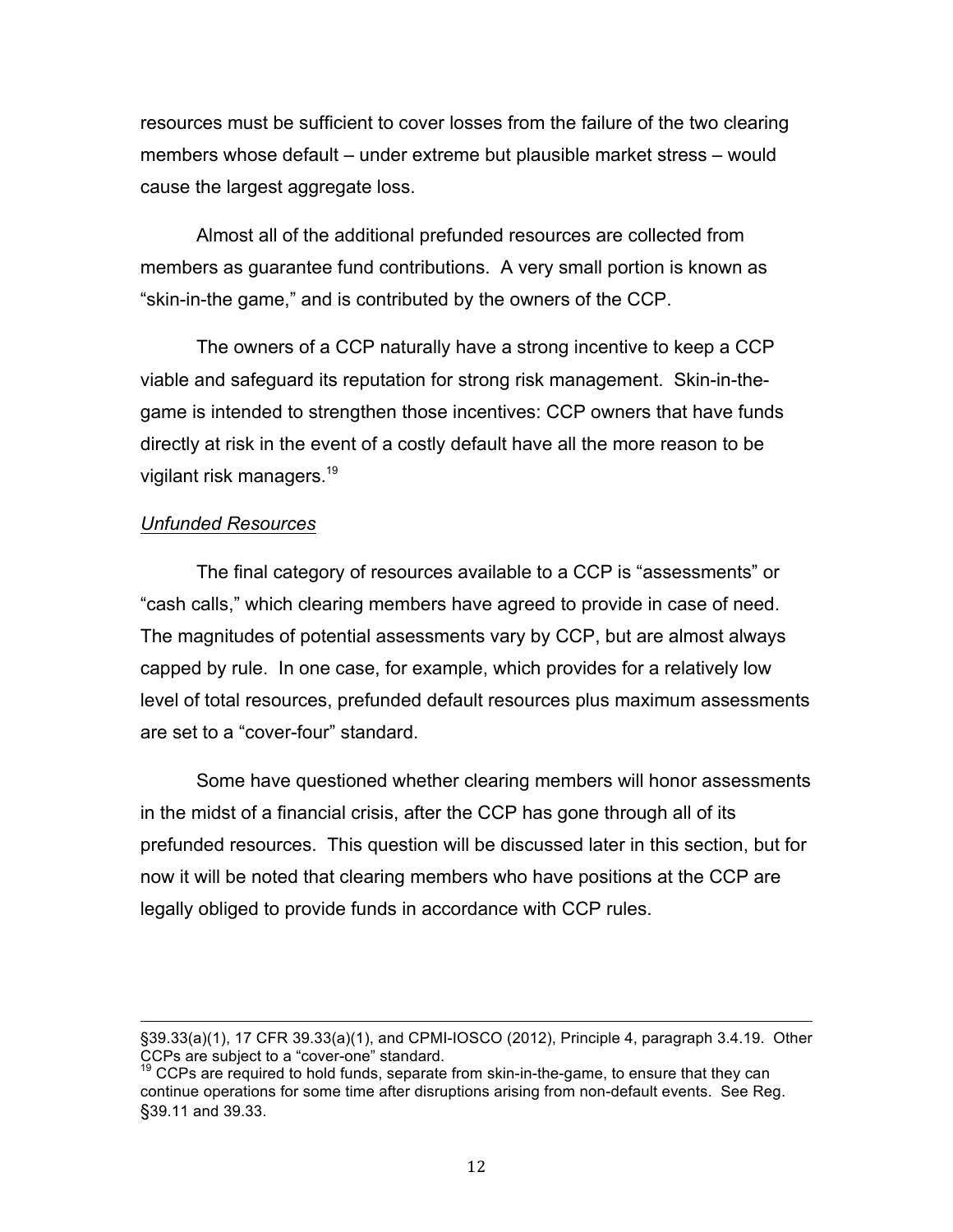resources must be sufficient to cover losses from the failure of the two clearing members whose default – under extreme but plausible market stress – would cause the largest aggregate loss.

 Almost all of the additional prefunded resources are collected from members as guarantee fund contributions. A very small portion is known as "skin-in-the game," and is contributed by the owners of the CCP.

 The owners of a CCP naturally have a strong incentive to keep a CCP viable and safeguard its reputation for strong risk management. Skin-in-the- game is intended to strengthen those incentives: CCP owners that have funds directly at risk in the event of a costly default have all the more reason to be vigilant risk managers.<sup>19</sup>

### *Unfunded Resources*

 The final category of resources available to a CCP is "assessments" or "cash calls," which clearing members have agreed to provide in case of need. The magnitudes of potential assessments vary by CCP, but are almost always capped by rule. In one case, for example, which provides for a relatively low level of total resources, prefunded default resources plus maximum assessments are set to a "cover-four" standard.

 Some have questioned whether clearing members will honor assessments in the midst of a financial crisis, after the CCP has gone through all of its prefunded resources. This question will be discussed later in this section, but for now it will be noted that clearing members who have positions at the CCP are legally obliged to provide funds in accordance with CCP rules.

 §39.33(a)(1), 17 CFR 39.33(a)(1), and CPMI-IOSCO (2012), Principle 4, paragraph 3.4.19. Other CCPs are subject to a "cover-one" standard.

 $19$  CCPs are required to hold funds, separate from skin-in-the-game, to ensure that they can continue operations for some time after disruptions arising from non-default events. See Reg. §39.11 and 39.33.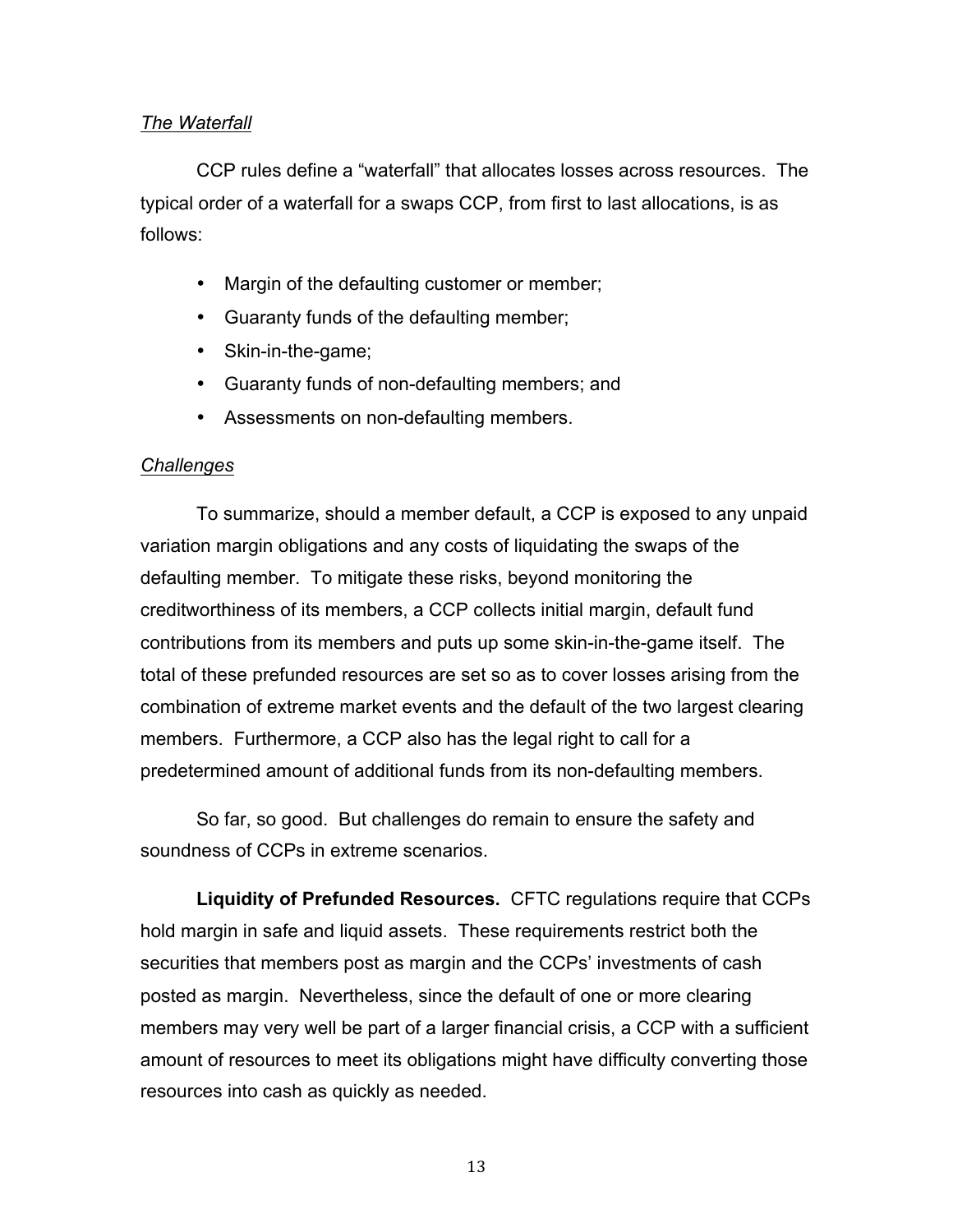## *The Waterfall*

 CCP rules define a "waterfall" that allocates losses across resources. The typical order of a waterfall for a swaps CCP, from first to last allocations, is as follows:

- $\bullet$ Margin of the defaulting customer or member;
- Guaranty funds of the defaulting member;
- Skin-in-the-game;
- Guaranty funds of non-defaulting members; and
- Assessments on non-defaulting members.

### *Challenges*

 To summarize, should a member default, a CCP is exposed to any unpaid variation margin obligations and any costs of liquidating the swaps of the defaulting member. To mitigate these risks, beyond monitoring the creditworthiness of its members, a CCP collects initial margin, default fund contributions from its members and puts up some skin-in-the-game itself. The total of these prefunded resources are set so as to cover losses arising from the combination of extreme market events and the default of the two largest clearing members. Furthermore, a CCP also has the legal right to call for a predetermined amount of additional funds from its non-defaulting members.

 So far, so good. But challenges do remain to ensure the safety and soundness of CCPs in extreme scenarios.

 **Liquidity of Prefunded Resources.** CFTC regulations require that CCPs hold margin in safe and liquid assets. These requirements restrict both the securities that members post as margin and the CCPs' investments of cash posted as margin. Nevertheless, since the default of one or more clearing members may very well be part of a larger financial crisis, a CCP with a sufficient amount of resources to meet its obligations might have difficulty converting those resources into cash as quickly as needed.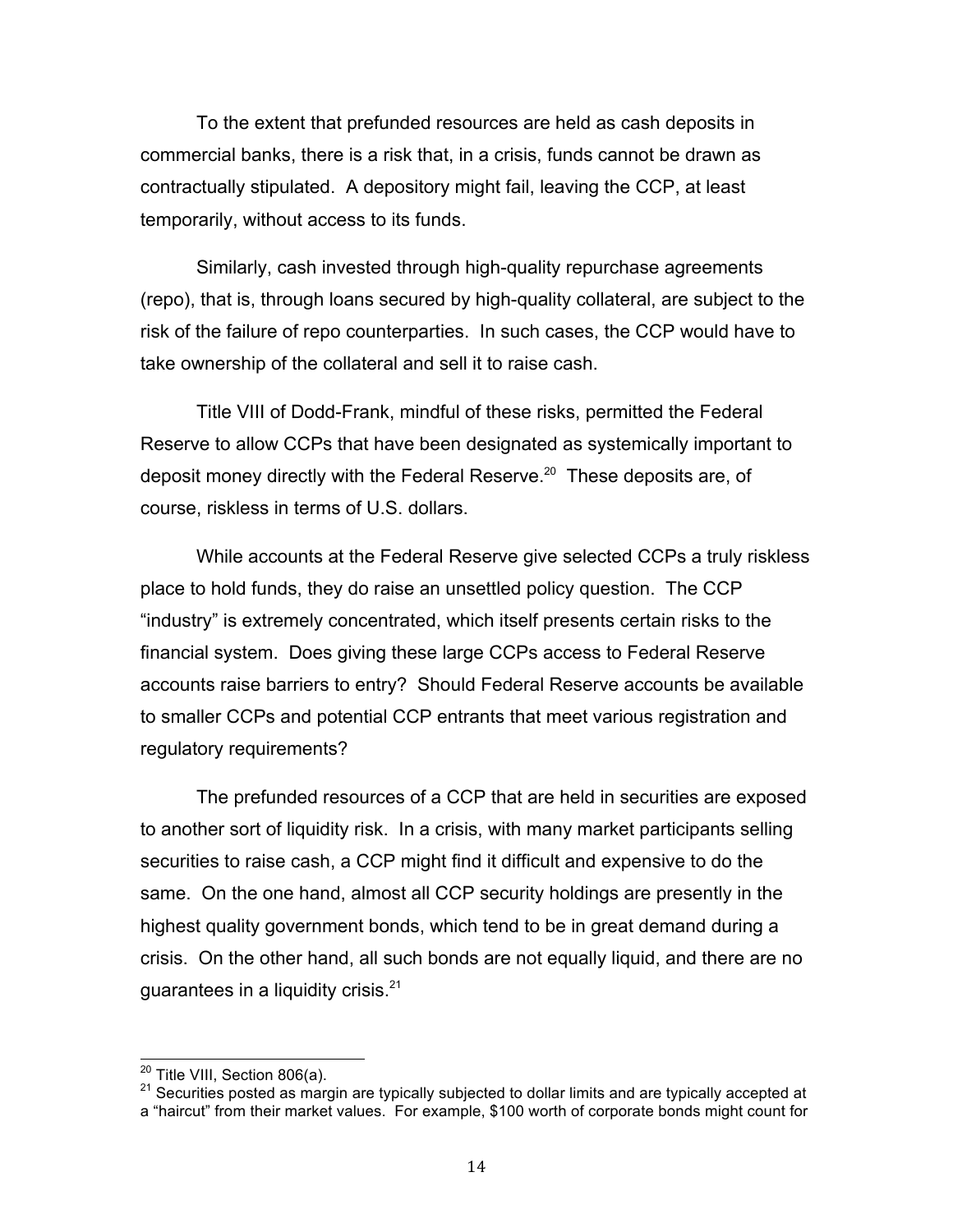To the extent that prefunded resources are held as cash deposits in commercial banks, there is a risk that, in a crisis, funds cannot be drawn as contractually stipulated. A depository might fail, leaving the CCP, at least temporarily, without access to its funds.

 Similarly, cash invested through high-quality repurchase agreements (repo), that is, through loans secured by high-quality collateral, are subject to the risk of the failure of repo counterparties. In such cases, the CCP would have to take ownership of the collateral and sell it to raise cash.

 Title VIII of Dodd-Frank, mindful of these risks, permitted the Federal Reserve to allow CCPs that have been designated as systemically important to deposit money directly with the Federal Reserve.<sup>20</sup> These deposits are, of course, riskless in terms of U.S. dollars.

 While accounts at the Federal Reserve give selected CCPs a truly riskless place to hold funds, they do raise an unsettled policy question. The CCP "industry" is extremely concentrated, which itself presents certain risks to the financial system. Does giving these large CCPs access to Federal Reserve accounts raise barriers to entry? Should Federal Reserve accounts be available to smaller CCPs and potential CCP entrants that meet various registration and regulatory requirements?

 The prefunded resources of a CCP that are held in securities are exposed to another sort of liquidity risk. In a crisis, with many market participants selling securities to raise cash, a CCP might find it difficult and expensive to do the same. On the one hand, almost all CCP security holdings are presently in the highest quality government bonds, which tend to be in great demand during a crisis. On the other hand, all such bonds are not equally liquid, and there are no guarantees in a liquidity crisis. $21$ 

<sup>&</sup>lt;sup>20</sup> Title VIII, Section 806(a).

<sup>&</sup>lt;sup>20</sup> Title VIII, Section 806(a).<br><sup>21</sup> Securities posted as margin are typically subjected to dollar limits and are typically accepted at a "haircut" from their market values. For example, \$100 worth of corporate bonds might count for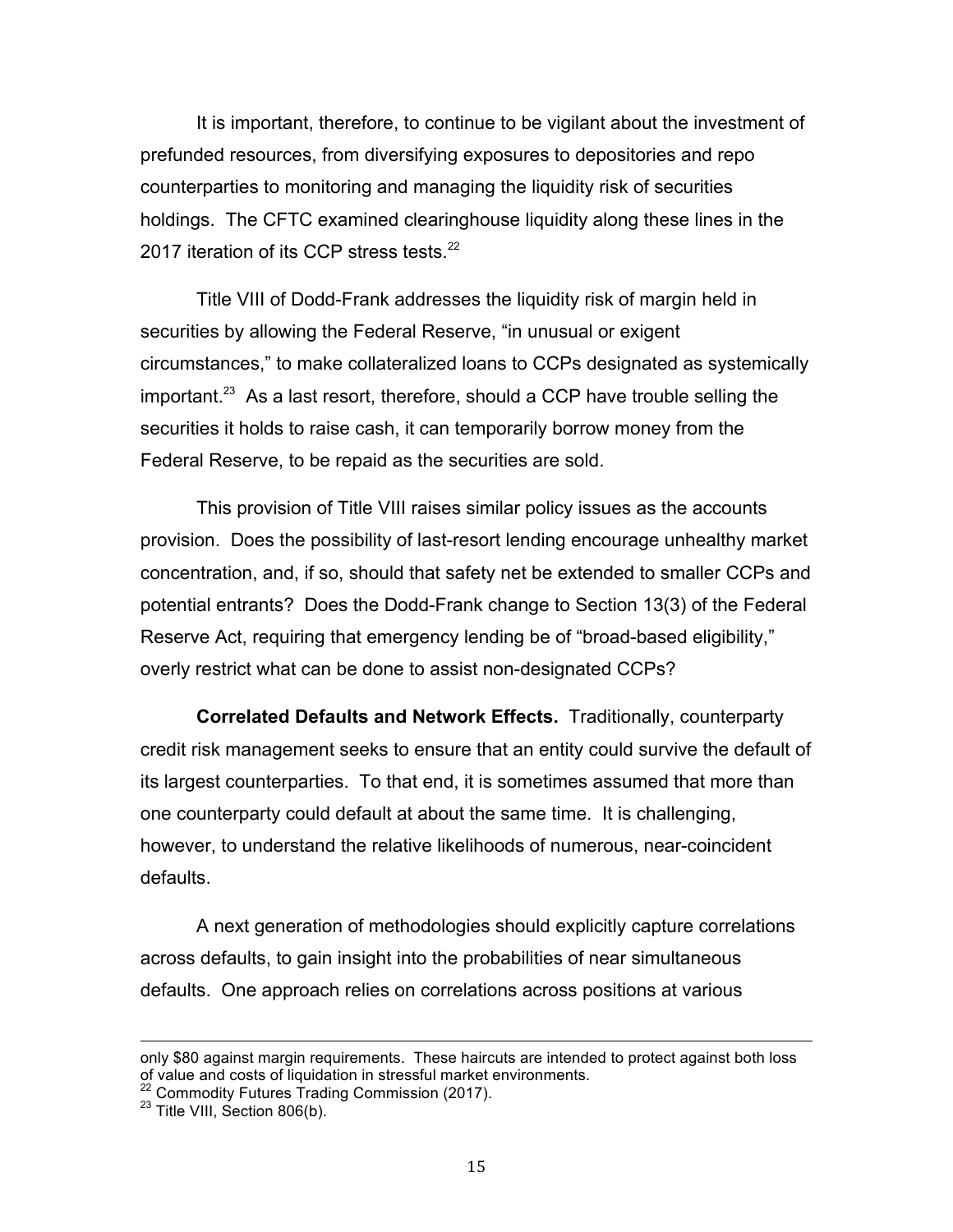It is important, therefore, to continue to be vigilant about the investment of prefunded resources, from diversifying exposures to depositories and repo counterparties to monitoring and managing the liquidity risk of securities holdings. The CFTC examined clearinghouse liquidity along these lines in the 2017 iteration of its CCP stress tests.<sup>22</sup>

 Title VIII of Dodd-Frank addresses the liquidity risk of margin held in securities by allowing the Federal Reserve, "in unusual or exigent circumstances," to make collateralized loans to CCPs designated as systemically important.<sup>23</sup> As a last resort, therefore, should a CCP have trouble selling the securities it holds to raise cash, it can temporarily borrow money from the Federal Reserve, to be repaid as the securities are sold.

 This provision of Title VIII raises similar policy issues as the accounts provision. Does the possibility of last-resort lending encourage unhealthy market concentration, and, if so, should that safety net be extended to smaller CCPs and potential entrants? Does the Dodd-Frank change to Section 13(3) of the Federal Reserve Act, requiring that emergency lending be of "broad-based eligibility," overly restrict what can be done to assist non-designated CCPs?

 **Correlated Defaults and Network Effects.** Traditionally, counterparty credit risk management seeks to ensure that an entity could survive the default of its largest counterparties. To that end, it is sometimes assumed that more than one counterparty could default at about the same time. It is challenging, however, to understand the relative likelihoods of numerous, near-coincident defaults.

 A next generation of methodologies should explicitly capture correlations across defaults, to gain insight into the probabilities of near simultaneous defaults. One approach relies on correlations across positions at various

 only \$80 against margin requirements. These haircuts are intended to protect against both loss of value and costs of liquidation in stressful market environments.

<sup>&</sup>lt;sup>22</sup> Commodity Futures Trading Commission (2017).<br><sup>23</sup> Title VIII, Section 806(b).

<sup>&</sup>lt;sup>23</sup> Title VIII, Section 806(b).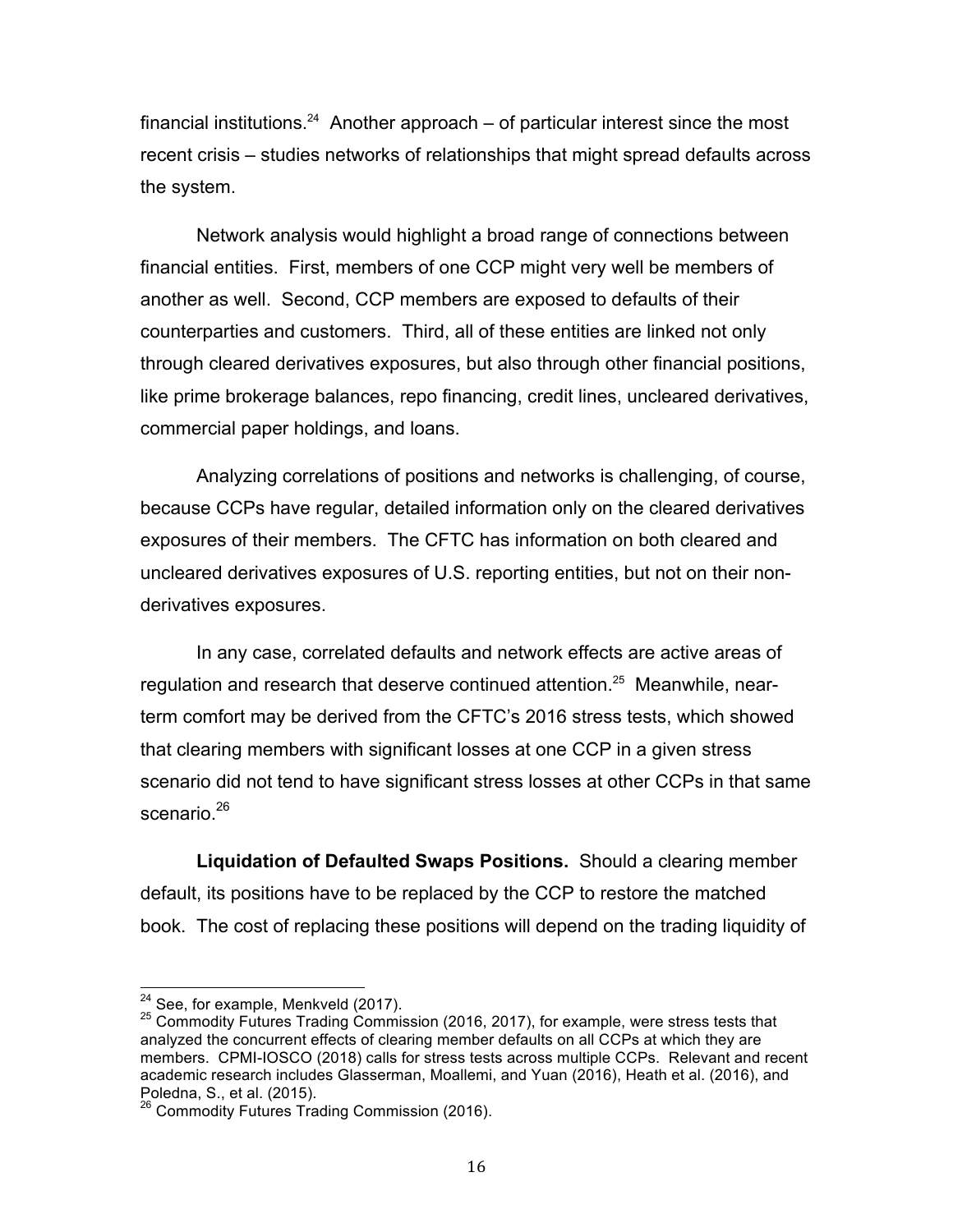financial institutions.<sup>24</sup> Another approach – of particular interest since the most recent crisis – studies networks of relationships that might spread defaults across the system.

 Network analysis would highlight a broad range of connections between financial entities. First, members of one CCP might very well be members of another as well. Second, CCP members are exposed to defaults of their counterparties and customers. Third, all of these entities are linked not only through cleared derivatives exposures, but also through other financial positions, like prime brokerage balances, repo financing, credit lines, uncleared derivatives, commercial paper holdings, and loans.

 Analyzing correlations of positions and networks is challenging, of course, because CCPs have regular, detailed information only on the cleared derivatives exposures of their members. The CFTC has information on both cleared and uncleared derivatives exposures of U.S. reporting entities, but not on their nonderivatives exposures.

 In any case, correlated defaults and network effects are active areas of regulation and research that deserve continued attention.<sup>25</sup> Meanwhile, near- term comfort may be derived from the CFTC's 2016 stress tests, which showed that clearing members with significant losses at one CCP in a given stress scenario did not tend to have significant stress losses at other CCPs in that same scenario.<sup>26</sup>

 **Liquidation of Defaulted Swaps Positions.** Should a clearing member default, its positions have to be replaced by the CCP to restore the matched book. The cost of replacing these positions will depend on the trading liquidity of

<sup>&</sup>lt;sup>24</sup> See, for example, Menkveld (2017).

<sup>&</sup>lt;sup>24</sup> See, for example, Menkveld (2017).<br><sup>25</sup> Commodity Futures Trading Commission (2016, 2017), for example, were stress tests that analyzed the concurrent effects of clearing member defaults on all CCPs at which they are members. CPMI-IOSCO (2018) calls for stress tests across multiple CCPs. Relevant and recent academic research includes Glasserman, Moallemi, and Yuan (2016), Heath et al. (2016), and Poledna, S., et al. (2015).

<sup>&</sup>lt;sup>26</sup> Commodity Futures Trading Commission (2016).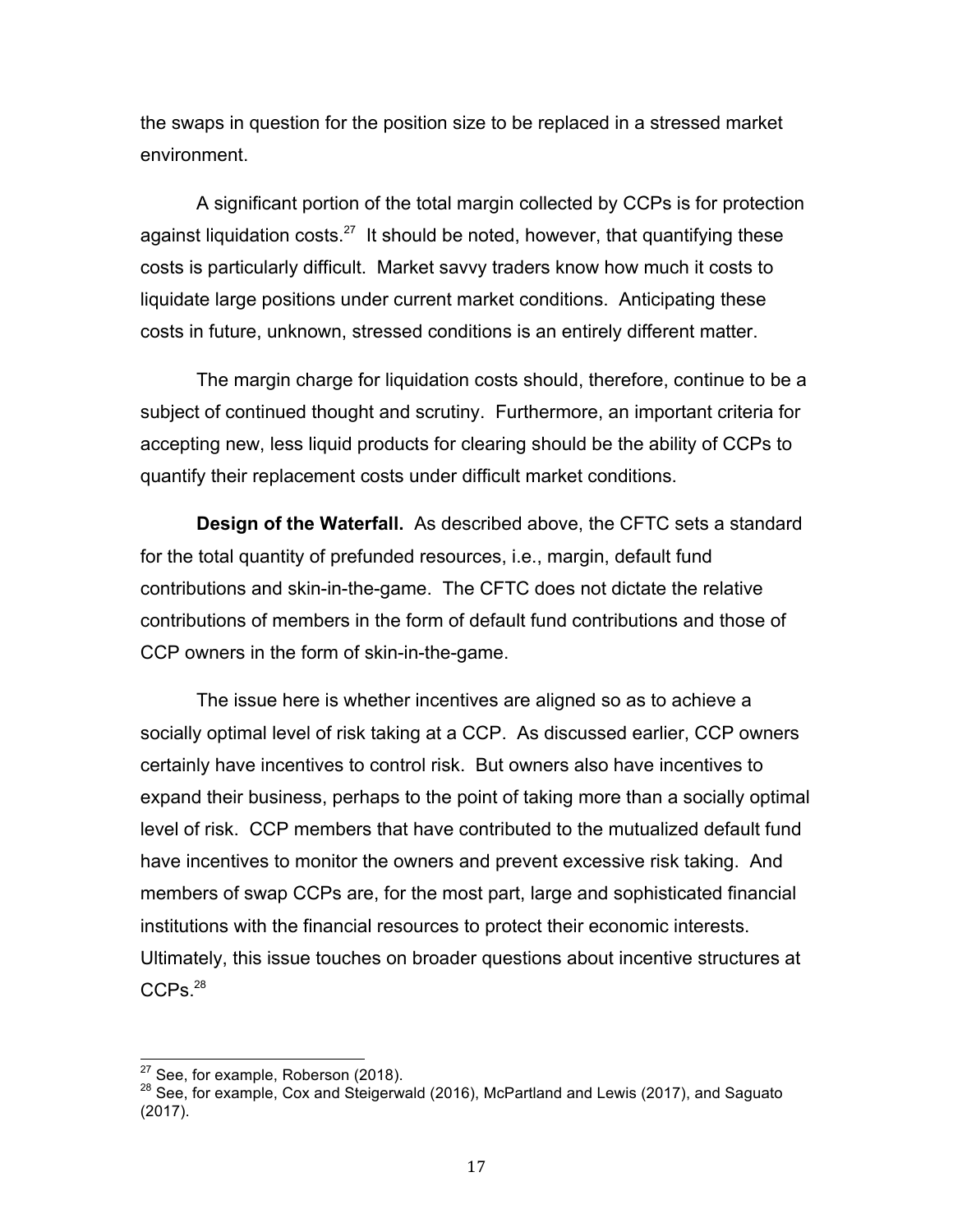the swaps in question for the position size to be replaced in a stressed market environment.

 A significant portion of the total margin collected by CCPs is for protection against liquidation costs. $27$  It should be noted, however, that quantifying these costs is particularly difficult. Market savvy traders know how much it costs to liquidate large positions under current market conditions. Anticipating these costs in future, unknown, stressed conditions is an entirely different matter.

 The margin charge for liquidation costs should, therefore, continue to be a subject of continued thought and scrutiny. Furthermore, an important criteria for accepting new, less liquid products for clearing should be the ability of CCPs to quantify their replacement costs under difficult market conditions.

 **Design of the Waterfall.** As described above, the CFTC sets a standard for the total quantity of prefunded resources, i.e., margin, default fund contributions and skin-in-the-game. The CFTC does not dictate the relative contributions of members in the form of default fund contributions and those of CCP owners in the form of skin-in-the-game.

 The issue here is whether incentives are aligned so as to achieve a socially optimal level of risk taking at a CCP. As discussed earlier, CCP owners certainly have incentives to control risk. But owners also have incentives to expand their business, perhaps to the point of taking more than a socially optimal level of risk. CCP members that have contributed to the mutualized default fund have incentives to monitor the owners and prevent excessive risk taking. And members of swap CCPs are, for the most part, large and sophisticated financial institutions with the financial resources to protect their economic interests. Ultimately, this issue touches on broader questions about incentive structures at CCPs.<sup>28</sup>

<sup>&</sup>lt;sup>27</sup> See, for example, Roberson (2018).

<sup>&</sup>lt;sup>27</sup> See, for example, Roberson (2018).<br><sup>28</sup> See, for example, Cox and Steigerwald (2016), McPartland and Lewis (2017), and Saguato (2017).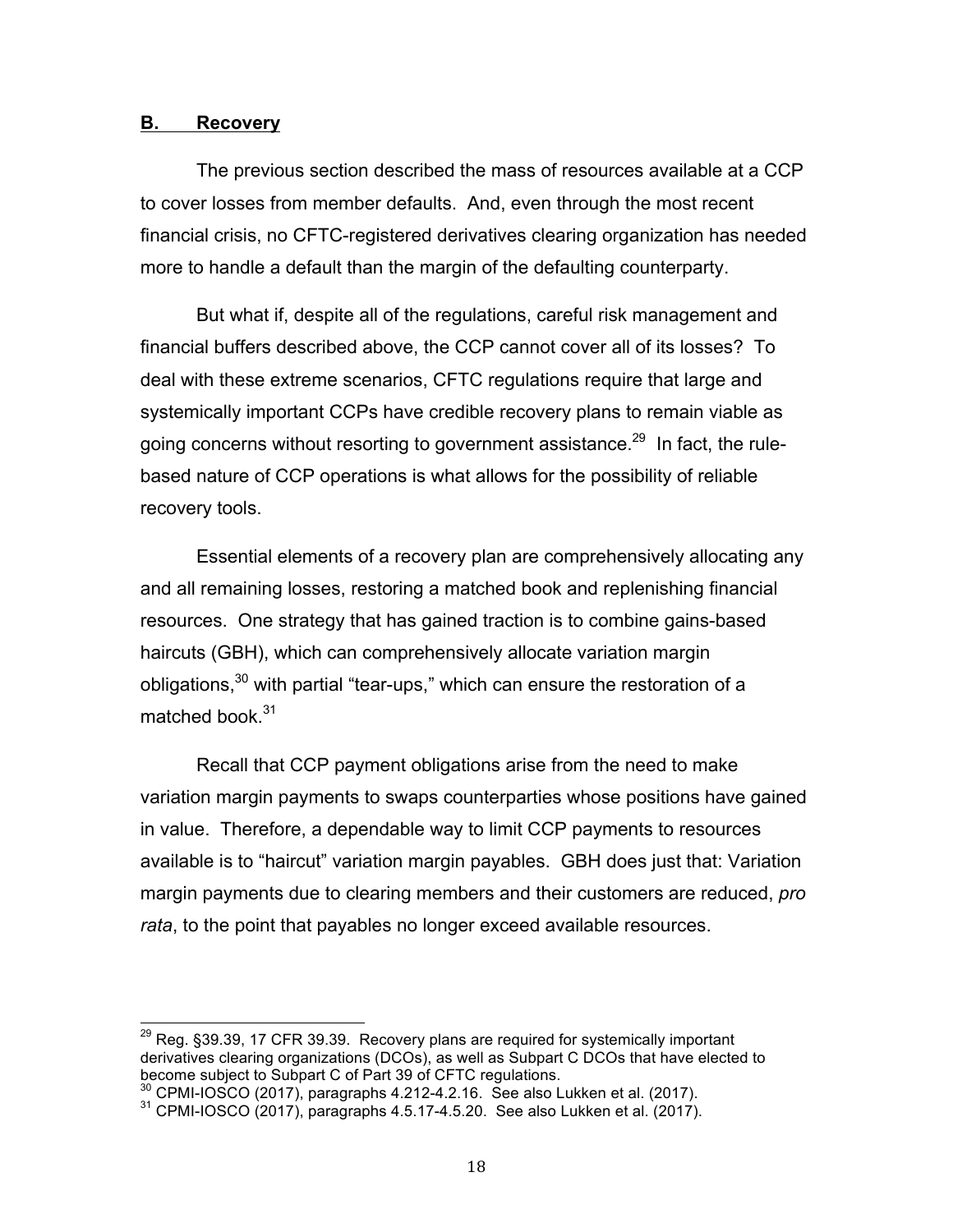### **B. Recovery**

 The previous section described the mass of resources available at a CCP to cover losses from member defaults. And, even through the most recent financial crisis, no CFTC-registered derivatives clearing organization has needed more to handle a default than the margin of the defaulting counterparty.

 But what if, despite all of the regulations, careful risk management and financial buffers described above, the CCP cannot cover all of its losses? To deal with these extreme scenarios, CFTC regulations require that large and systemically important CCPs have credible recovery plans to remain viable as going concerns without resorting to government assistance.<sup>29</sup> In fact, the rule- based nature of CCP operations is what allows for the possibility of reliable recovery tools.

 Essential elements of a recovery plan are comprehensively allocating any and all remaining losses, restoring a matched book and replenishing financial resources. One strategy that has gained traction is to combine gains-based haircuts (GBH), which can comprehensively allocate variation margin obligations, $30$  with partial "tear-ups," which can ensure the restoration of a matched book.<sup>31</sup>

 Recall that CCP payment obligations arise from the need to make variation margin payments to swaps counterparties whose positions have gained in value. Therefore, a dependable way to limit CCP payments to resources available is to "haircut" variation margin payables. GBH does just that: Variation margin payments due to clearing members and their customers are reduced, *pro rata*, to the point that payables no longer exceed available resources.

 $^{29}$  Reg. §39.39, 17 CFR 39.39. Recovery plans are required for systemically important derivatives clearing organizations (DCOs), as well as Subpart C DCOs that have elected to become subject to Subpart C of Part 39 of CFTC regulations.

<sup>&</sup>lt;sup>30</sup> CPMI-IOSCO (2017), paragraphs 4.212-4.2.16. See also Lukken et al. (2017).  $^{\rm 30}$  CPMI-IOSCO (2017), paragraphs 4.212-4.2.16. See also Lukken et al. (2017).<br><sup>31</sup> CPMI-IOSCO (2017), paragraphs 4.5.17-4.5.20. See also Lukken et al. (2017).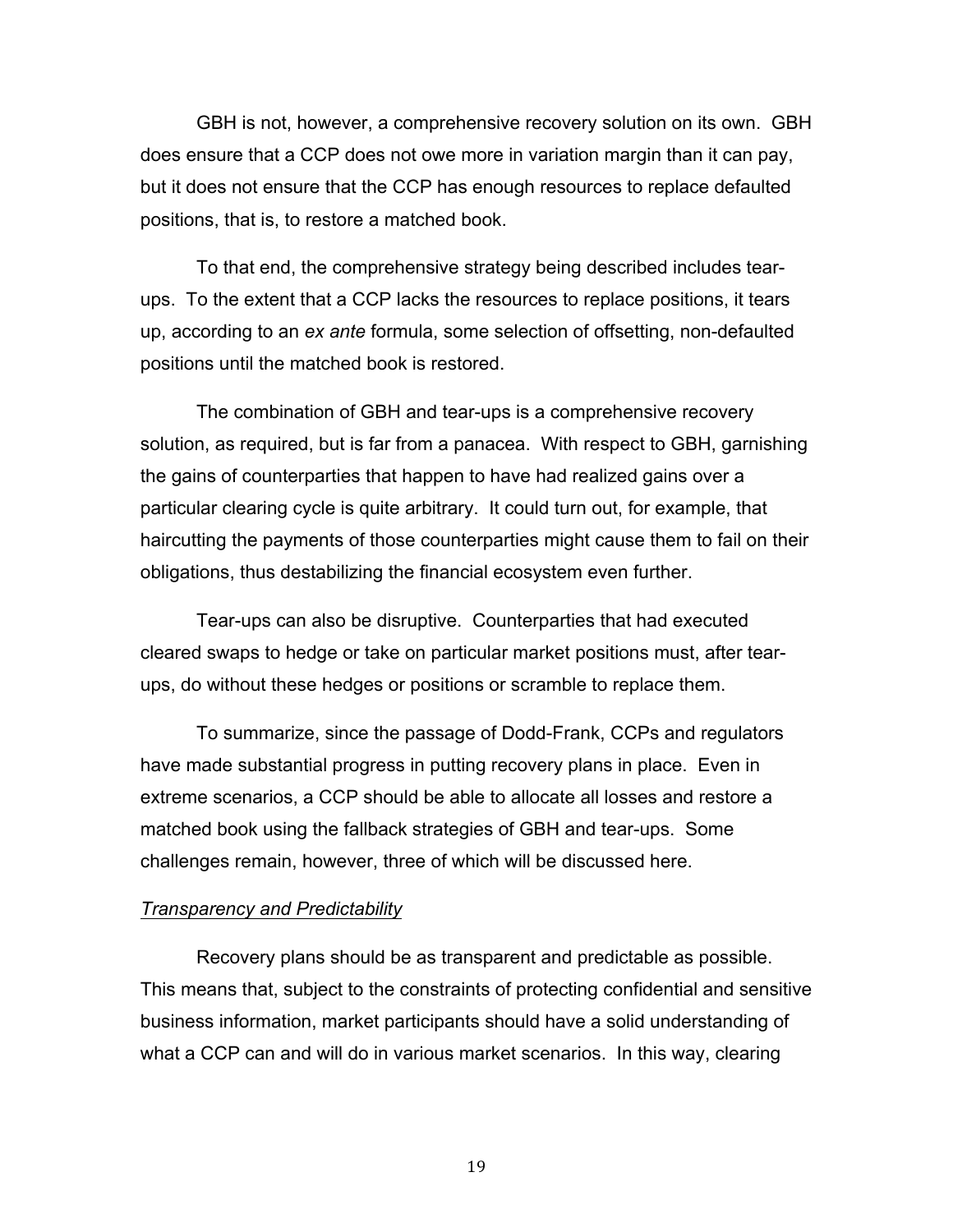GBH is not, however, a comprehensive recovery solution on its own. GBH does ensure that a CCP does not owe more in variation margin than it can pay, but it does not ensure that the CCP has enough resources to replace defaulted positions, that is, to restore a matched book.

 To that end, the comprehensive strategy being described includes tear- ups. To the extent that a CCP lacks the resources to replace positions, it tears up, according to an *ex ante* formula, some selection of offsetting, non-defaulted positions until the matched book is restored.

 The combination of GBH and tear-ups is a comprehensive recovery solution, as required, but is far from a panacea. With respect to GBH, garnishing the gains of counterparties that happen to have had realized gains over a particular clearing cycle is quite arbitrary. It could turn out, for example, that haircutting the payments of those counterparties might cause them to fail on their obligations, thus destabilizing the financial ecosystem even further.

 Tear-ups can also be disruptive. Counterparties that had executed cleared swaps to hedge or take on particular market positions must, after tear-ups, do without these hedges or positions or scramble to replace them.

 To summarize, since the passage of Dodd-Frank, CCPs and regulators have made substantial progress in putting recovery plans in place. Even in extreme scenarios, a CCP should be able to allocate all losses and restore a matched book using the fallback strategies of GBH and tear-ups. Some challenges remain, however, three of which will be discussed here.

#### *Transparency and Predictability*

 Recovery plans should be as transparent and predictable as possible. This means that, subject to the constraints of protecting confidential and sensitive business information, market participants should have a solid understanding of what a CCP can and will do in various market scenarios. In this way, clearing

19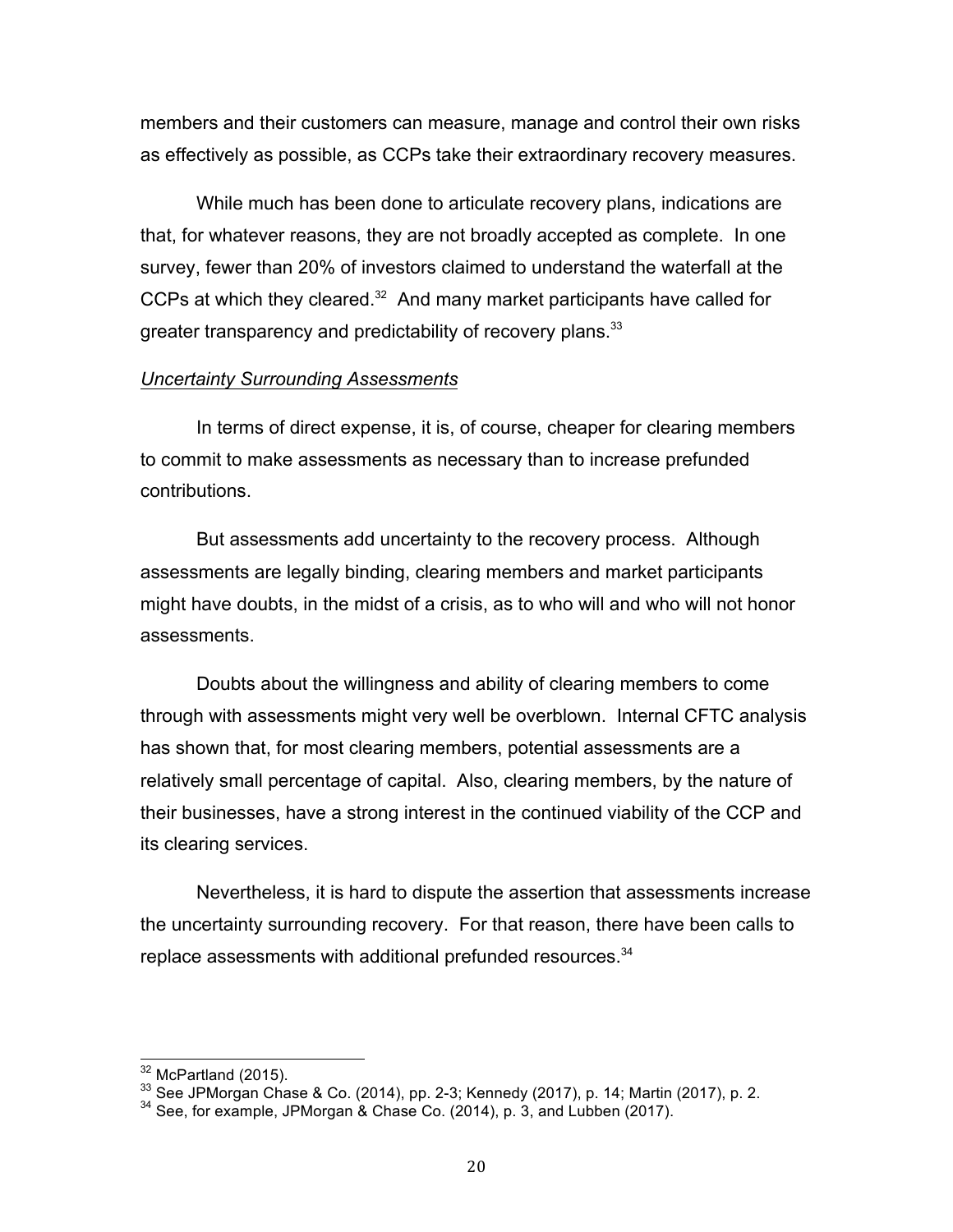members and their customers can measure, manage and control their own risks as effectively as possible, as CCPs take their extraordinary recovery measures.

 While much has been done to articulate recovery plans, indications are that, for whatever reasons, they are not broadly accepted as complete. In one survey, fewer than 20% of investors claimed to understand the waterfall at the CCPs at which they cleared. $32$  And many market participants have called for greater transparency and predictability of recovery plans.<sup>33</sup>

### *Uncertainty Surrounding Assessments*

 In terms of direct expense, it is, of course, cheaper for clearing members to commit to make assessments as necessary than to increase prefunded contributions.

 But assessments add uncertainty to the recovery process. Although assessments are legally binding, clearing members and market participants might have doubts, in the midst of a crisis, as to who will and who will not honor assessments.

 Doubts about the willingness and ability of clearing members to come through with assessments might very well be overblown. Internal CFTC analysis has shown that, for most clearing members, potential assessments are a relatively small percentage of capital. Also, clearing members, by the nature of their businesses, have a strong interest in the continued viability of the CCP and its clearing services.

 Nevertheless, it is hard to dispute the assertion that assessments increase the uncertainty surrounding recovery. For that reason, there have been calls to replace assessments with additional prefunded resources.<sup>34</sup>

<sup>&</sup>lt;sup>32</sup> McPartland (2015).<br><sup>33</sup> See JPMorgan Chase & Co. (2014), pp. 2-3; Kennedy (2017), p. 14; Martin (2017), p. 2.<br><sup>34</sup> See, for example, JPMorgan & Chase Co. (2014), p. 3, and Lubben (2017).

 $34$  See, for example, JPMorgan & Chase Co. (2014), p. 3, and Lubben (2017).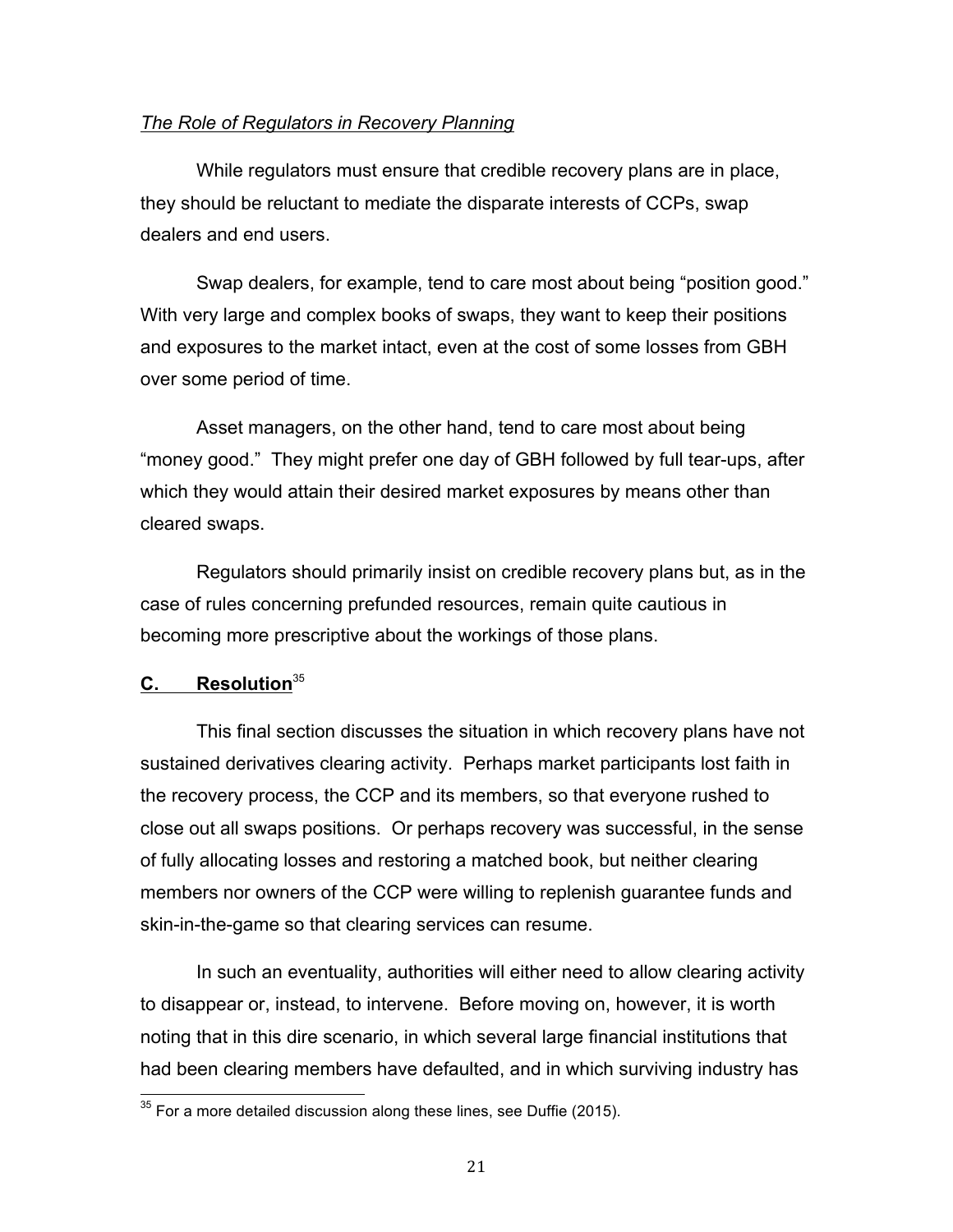# *The Role of Regulators in Recovery Planning*

 While regulators must ensure that credible recovery plans are in place, they should be reluctant to mediate the disparate interests of CCPs, swap dealers and end users.

 Swap dealers, for example, tend to care most about being "position good." With very large and complex books of swaps, they want to keep their positions and exposures to the market intact, even at the cost of some losses from GBH over some period of time.

 Asset managers, on the other hand, tend to care most about being "money good." They might prefer one day of GBH followed by full tear-ups, after which they would attain their desired market exposures by means other than cleared swaps.

 Regulators should primarily insist on credible recovery plans but, as in the case of rules concerning prefunded resources, remain quite cautious in becoming more prescriptive about the workings of those plans.

# **C. Resolution**<sup>35</sup>

 This final section discusses the situation in which recovery plans have not sustained derivatives clearing activity. Perhaps market participants lost faith in the recovery process, the CCP and its members, so that everyone rushed to close out all swaps positions. Or perhaps recovery was successful, in the sense of fully allocating losses and restoring a matched book, but neither clearing members nor owners of the CCP were willing to replenish guarantee funds and skin-in-the-game so that clearing services can resume.

 In such an eventuality, authorities will either need to allow clearing activity to disappear or, instead, to intervene. Before moving on, however, it is worth noting that in this dire scenario, in which several large financial institutions that had been clearing members have defaulted, and in which surviving industry has

 $35$  For a more detailed discussion along these lines, see Duffie (2015).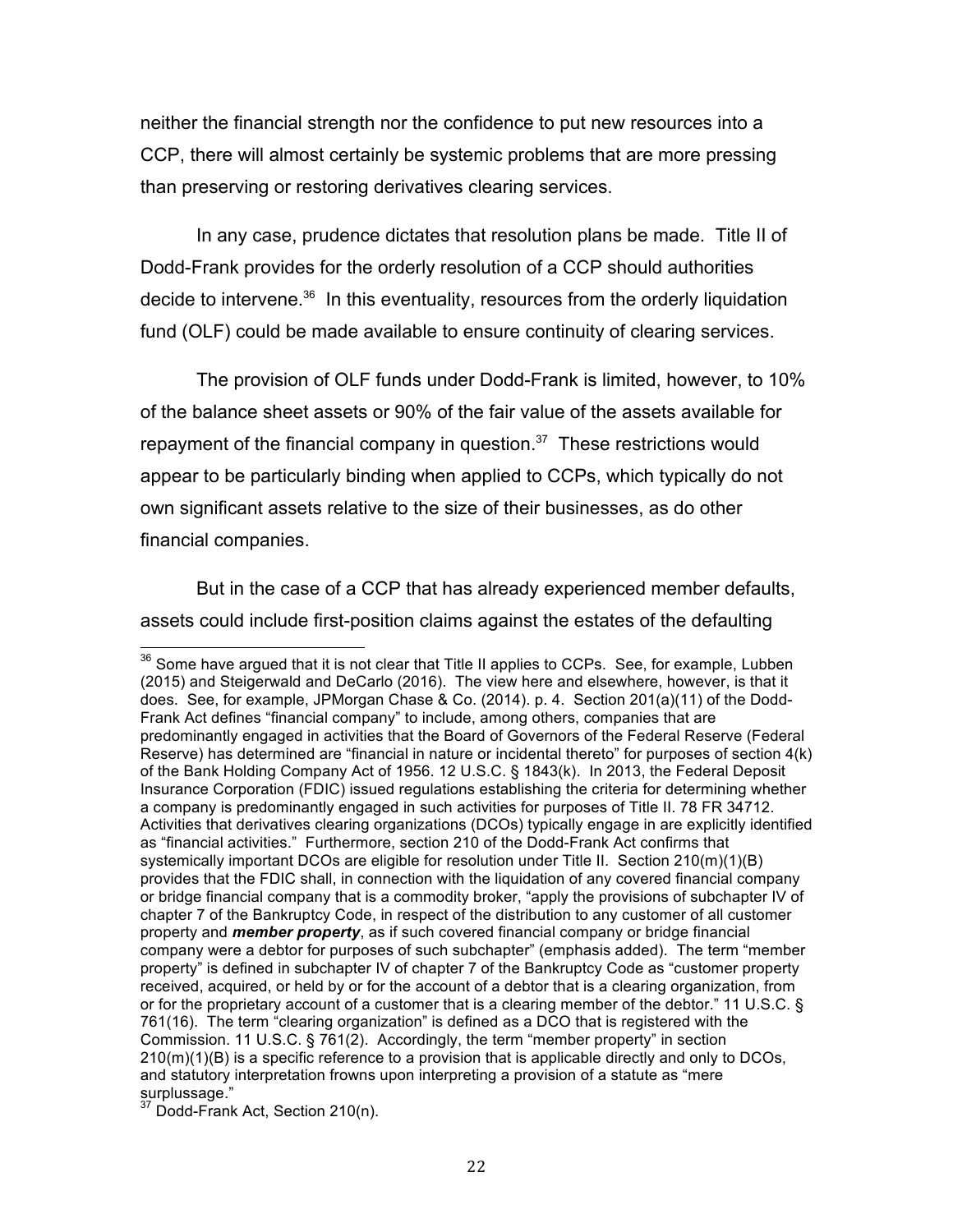neither the financial strength nor the confidence to put new resources into a CCP, there will almost certainly be systemic problems that are more pressing than preserving or restoring derivatives clearing services.

 In any case, prudence dictates that resolution plans be made. Title II of Dodd-Frank provides for the orderly resolution of a CCP should authorities decide to intervene. $36$  In this eventuality, resources from the orderly liquidation fund (OLF) could be made available to ensure continuity of clearing services.

 The provision of OLF funds under Dodd-Frank is limited, however, to 10% of the balance sheet assets or 90% of the fair value of the assets available for repayment of the financial company in question. $37$  These restrictions would appear to be particularly binding when applied to CCPs, which typically do not own significant assets relative to the size of their businesses, as do other financial companies.

 But in the case of a CCP that has already experienced member defaults, assets could include first-position claims against the estates of the defaulting

 $36$  Some have argued that it is not clear that Title II applies to CCPs. See, for example, Lubben (2015) and Steigerwald and DeCarlo (2016). The view here and elsewhere, however, is that it does. See, for example, JPMorgan Chase & Co. (2014). p. 4. Section 201(a)(11) of the Dodd- Frank Act defines "financial company" to include, among others, companies that are predominantly engaged in activities that the Board of Governors of the Federal Reserve (Federal Reserve) has determined are "financial in nature or incidental thereto" for purposes of section 4(k) of the Bank Holding Company Act of 1956. 12 U.S.C. § 1843(k). In 2013, the Federal Deposit a company is predominantly engaged in such activities for purposes of Title II. 78 FR 34712. Activities that derivatives clearing organizations (DCOs) typically engage in are explicitly identified as "financial activities." Furthermore, section 210 of the Dodd-Frank Act confirms that systemically important DCOs are eligible for resolution under Title II. Section 210(m)(1)(B) provides that the FDIC shall, in connection with the liquidation of any covered financial company or bridge financial company that is a commodity broker, "apply the provisions of subchapter IV of chapter 7 of the Bankruptcy Code, in respect of the distribution to any customer of all customer company were a debtor for purposes of such subchapter" (emphasis added). The term "member property" is defined in subchapter IV of chapter 7 of the Bankruptcy Code as "customer property received, acquired, or held by or for the account of a debtor that is a clearing organization, from or for the proprietary account of a customer that is a clearing member of the debtor." 11 U.S.C. § 761(16). The term "clearing organization" is defined as a DCO that is registered with the Commission. 11 U.S.C. § 761(2). Accordingly, the term "member property" in section 210(m)(1)(B) is a specific reference to a provision that is applicable directly and only to DCOs, Insurance Corporation (FDIC) issued regulations establishing the criteria for determining whether property and *member property*, as if such covered financial company or bridge financial and statutory interpretation frowns upon interpreting a provision of a statute as "mere  $\frac{1}{37}$  surplussage."

 $37$  Dodd-Frank Act, Section 210(n).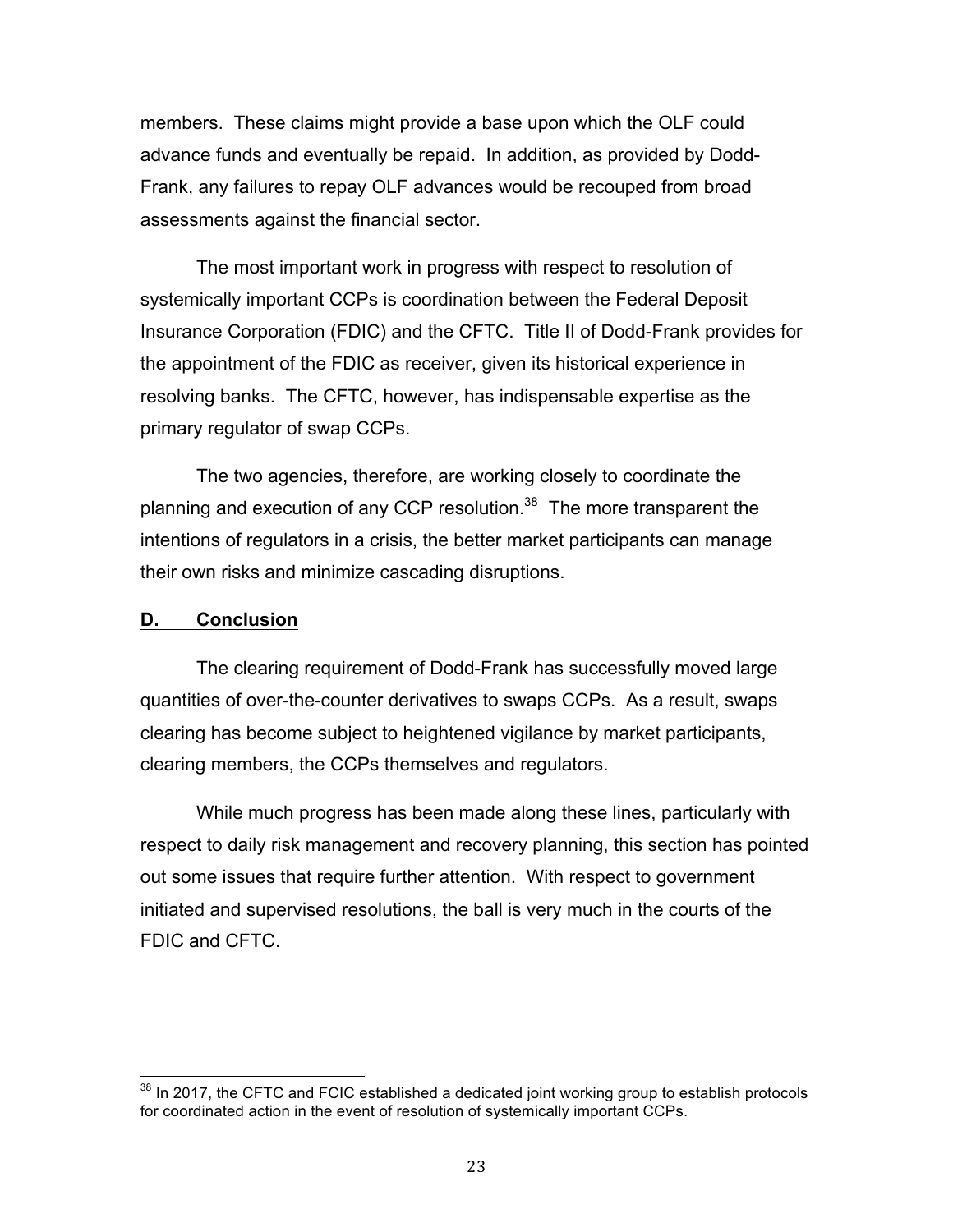members. These claims might provide a base upon which the OLF could advance funds and eventually be repaid. In addition, as provided by Dodd- Frank, any failures to repay OLF advances would be recouped from broad assessments against the financial sector.

 The most important work in progress with respect to resolution of systemically important CCPs is coordination between the Federal Deposit Insurance Corporation (FDIC) and the CFTC. Title II of Dodd-Frank provides for the appointment of the FDIC as receiver, given its historical experience in resolving banks. The CFTC, however, has indispensable expertise as the primary regulator of swap CCPs.

 The two agencies, therefore, are working closely to coordinate the planning and execution of any CCP resolution.<sup>38</sup> The more transparent the intentions of regulators in a crisis, the better market participants can manage their own risks and minimize cascading disruptions.

# **D. Conclusion**

 The clearing requirement of Dodd-Frank has successfully moved large quantities of over-the-counter derivatives to swaps CCPs. As a result, swaps clearing has become subject to heightened vigilance by market participants, clearing members, the CCPs themselves and regulators.

 While much progress has been made along these lines, particularly with respect to daily risk management and recovery planning, this section has pointed out some issues that require further attention. With respect to government initiated and supervised resolutions, the ball is very much in the courts of the FDIC and CFTC.

<sup>&</sup>lt;sup>38</sup> In 2017, the CFTC and FCIC established a dedicated joint working group to establish protocols for coordinated action in the event of resolution of systemically important CCPs.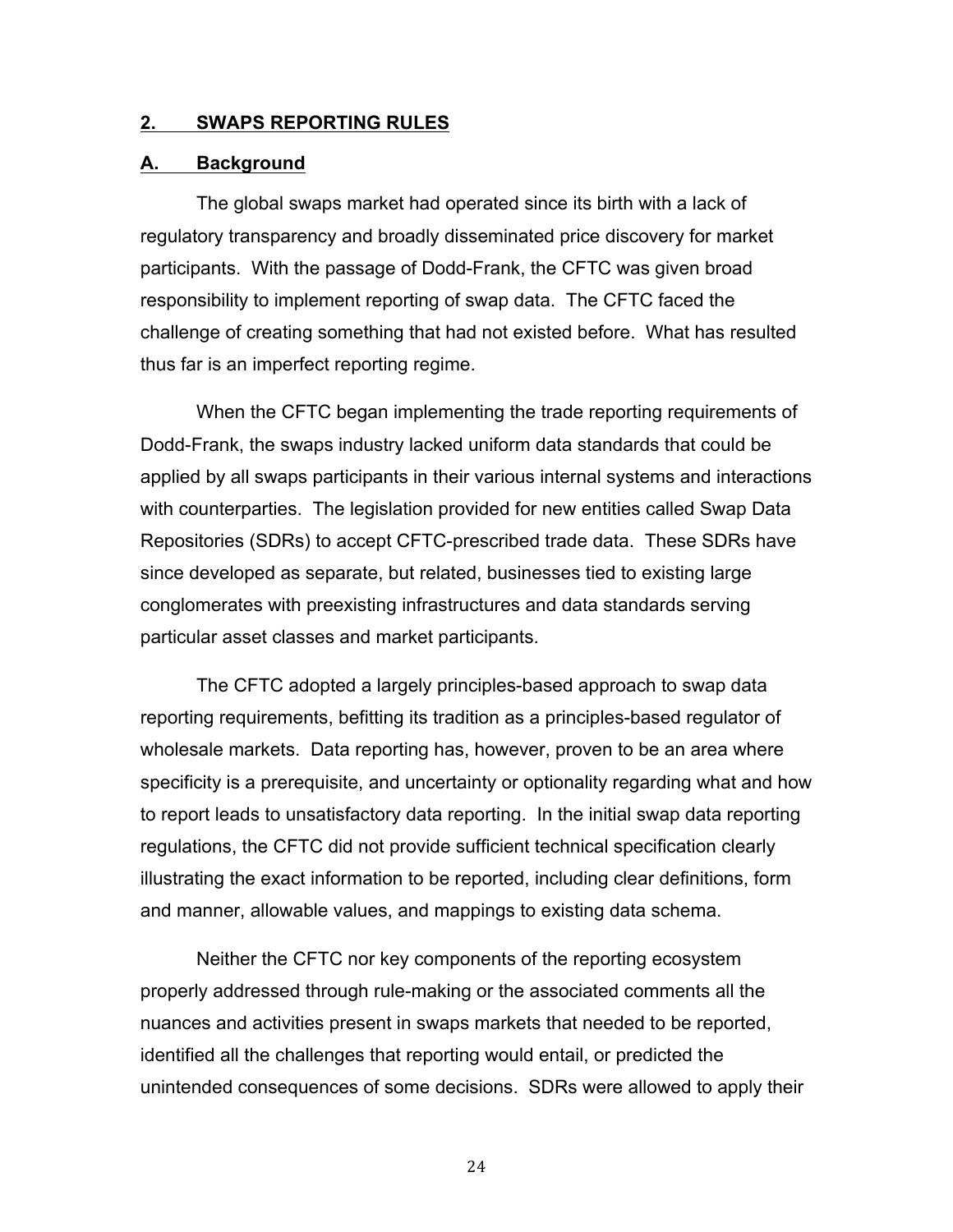#### **2. SWAPS REPORTING RULES**

### **A. Background**

 The global swaps market had operated since its birth with a lack of regulatory transparency and broadly disseminated price discovery for market participants. With the passage of Dodd-Frank, the CFTC was given broad responsibility to implement reporting of swap data. The CFTC faced the challenge of creating something that had not existed before. What has resulted thus far is an imperfect reporting regime.

 When the CFTC began implementing the trade reporting requirements of Dodd-Frank, the swaps industry lacked uniform data standards that could be applied by all swaps participants in their various internal systems and interactions with counterparties. The legislation provided for new entities called Swap Data Repositories (SDRs) to accept CFTC-prescribed trade data. These SDRs have since developed as separate, but related, businesses tied to existing large conglomerates with preexisting infrastructures and data standards serving particular asset classes and market participants.

 The CFTC adopted a largely principles-based approach to swap data reporting requirements, befitting its tradition as a principles-based regulator of wholesale markets. Data reporting has, however, proven to be an area where specificity is a prerequisite, and uncertainty or optionality regarding what and how to report leads to unsatisfactory data reporting. In the initial swap data reporting regulations, the CFTC did not provide sufficient technical specification clearly illustrating the exact information to be reported, including clear definitions, form and manner, allowable values, and mappings to existing data schema.

 Neither the CFTC nor key components of the reporting ecosystem properly addressed through rule-making or the associated comments all the nuances and activities present in swaps markets that needed to be reported, identified all the challenges that reporting would entail, or predicted the unintended consequences of some decisions. SDRs were allowed to apply their

24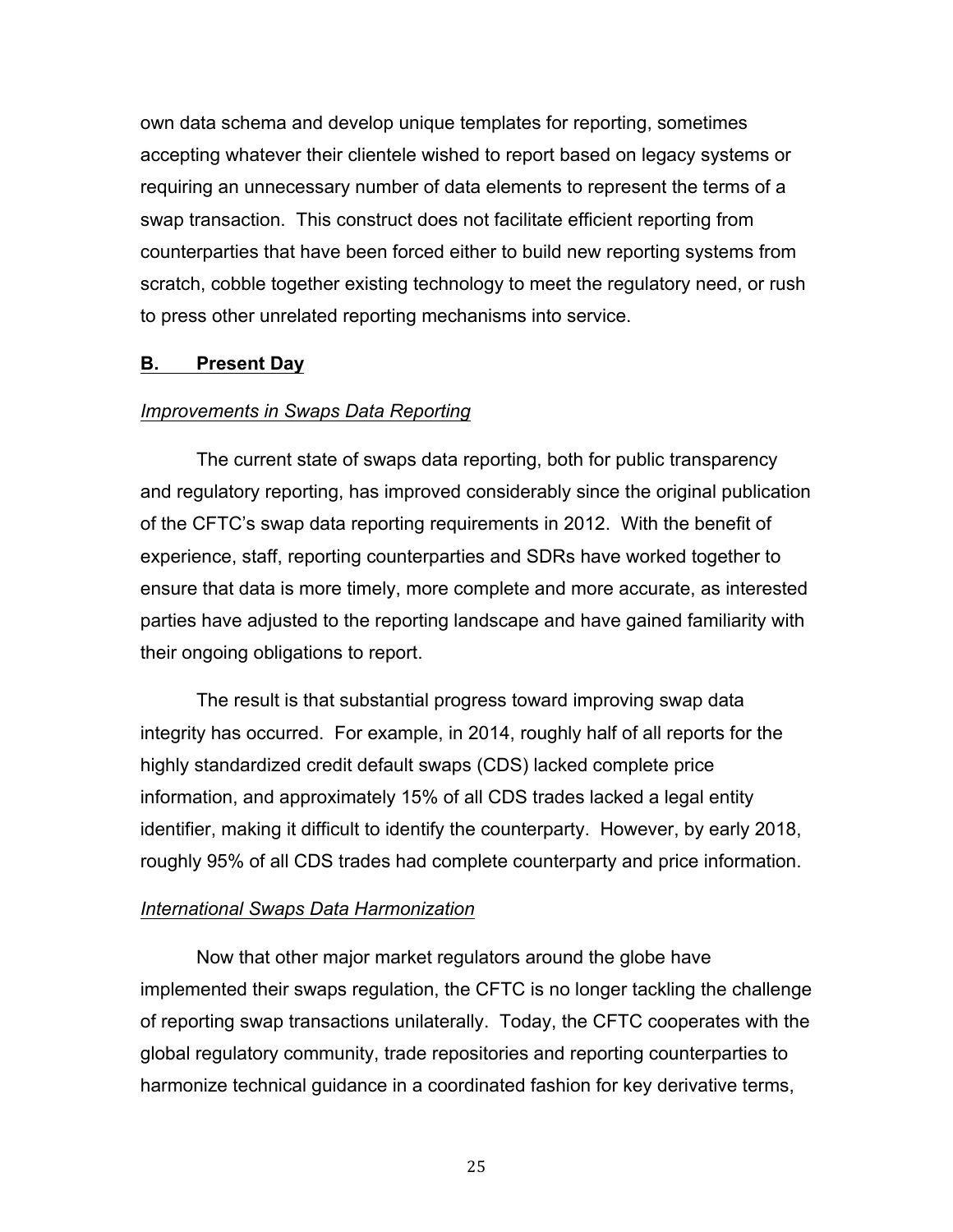own data schema and develop unique templates for reporting, sometimes accepting whatever their clientele wished to report based on legacy systems or requiring an unnecessary number of data elements to represent the terms of a swap transaction. This construct does not facilitate efficient reporting from counterparties that have been forced either to build new reporting systems from scratch, cobble together existing technology to meet the regulatory need, or rush to press other unrelated reporting mechanisms into service.

# **B. Present Day**

# **Improvements in Swaps Data Reporting**

 The current state of swaps data reporting, both for public transparency and regulatory reporting, has improved considerably since the original publication of the CFTC's swap data reporting requirements in 2012. With the benefit of experience, staff, reporting counterparties and SDRs have worked together to ensure that data is more timely, more complete and more accurate, as interested parties have adjusted to the reporting landscape and have gained familiarity with their ongoing obligations to report.

 The result is that substantial progress toward improving swap data integrity has occurred. For example, in 2014, roughly half of all reports for the highly standardized credit default swaps (CDS) lacked complete price information, and approximately 15% of all CDS trades lacked a legal entity identifier, making it difficult to identify the counterparty. However, by early 2018, roughly 95% of all CDS trades had complete counterparty and price information.

# *International Swaps Data Harmonization*

 Now that other major market regulators around the globe have implemented their swaps regulation, the CFTC is no longer tackling the challenge of reporting swap transactions unilaterally. Today, the CFTC cooperates with the global regulatory community, trade repositories and reporting counterparties to harmonize technical guidance in a coordinated fashion for key derivative terms,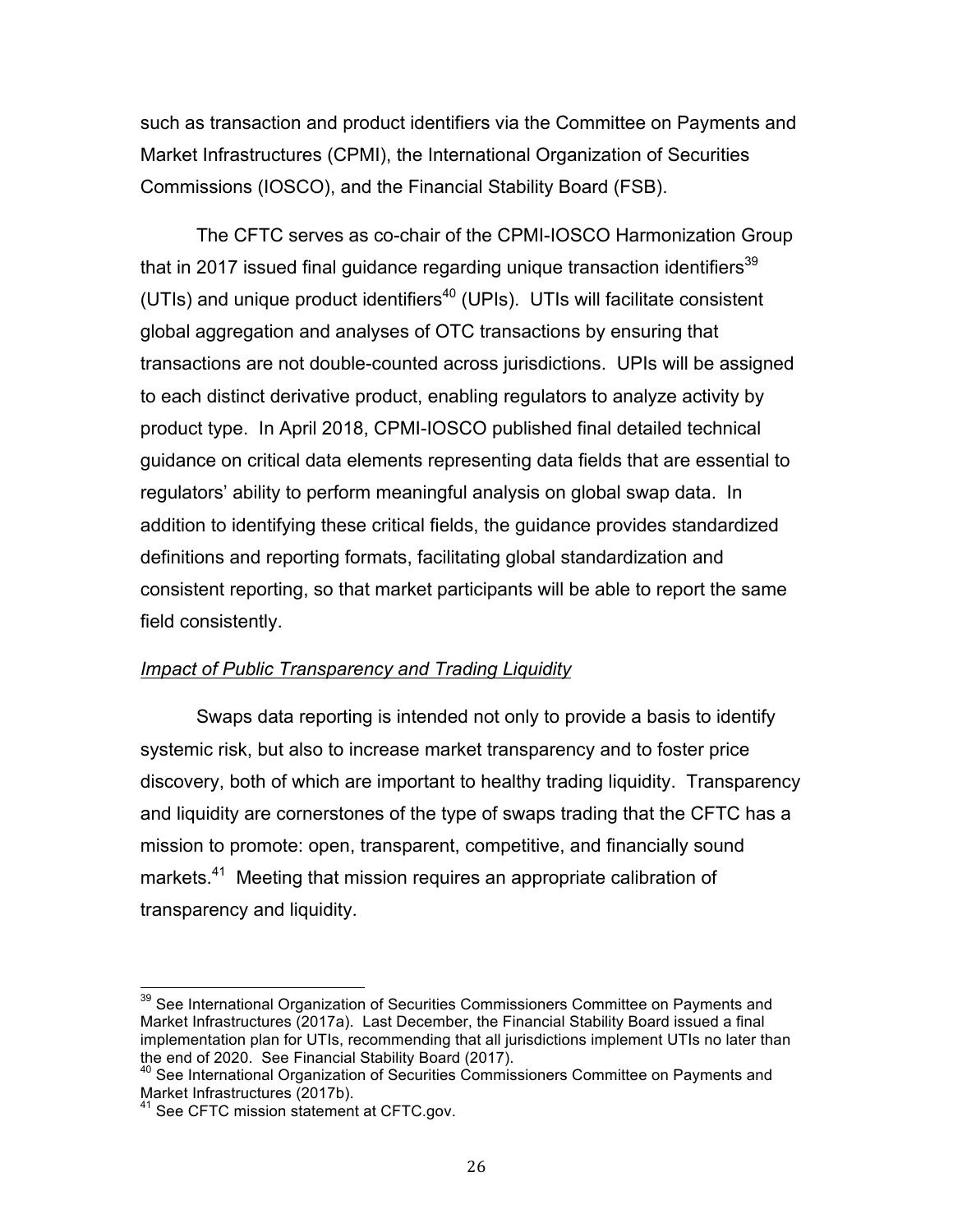such as transaction and product identifiers via the Committee on Payments and Market Infrastructures (CPMI), the International Organization of Securities Commissions (IOSCO), and the Financial Stability Board (FSB).

 The CFTC serves as co-chair of the CPMI-IOSCO Harmonization Group that in 2017 issued final guidance regarding unique transaction identifiers<sup>39</sup> (UTIs) and unique product identifiers<sup>40</sup> (UPIs). UTIs will facilitate consistent global aggregation and analyses of OTC transactions by ensuring that transactions are not double-counted across jurisdictions. UPIs will be assigned to each distinct derivative product, enabling regulators to analyze activity by product type. In April 2018, CPMI-IOSCO published final detailed technical guidance on critical data elements representing data fields that are essential to regulators' ability to perform meaningful analysis on global swap data. In addition to identifying these critical fields, the guidance provides standardized definitions and reporting formats, facilitating global standardization and consistent reporting, so that market participants will be able to report the same field consistently.

## **Impact of Public Transparency and Trading Liquidity**

 Swaps data reporting is intended not only to provide a basis to identify systemic risk, but also to increase market transparency and to foster price discovery, both of which are important to healthy trading liquidity. Transparency and liquidity are cornerstones of the type of swaps trading that the CFTC has a mission to promote: open, transparent, competitive, and financially sound markets.<sup>41</sup> Meeting that mission requires an appropriate calibration of transparency and liquidity.

 Market Infrastructures (2017a). Last December, the Financial Stability Board issued a final the end of 2020. See Financial Stability Board (2017). <sup>39</sup> See International Organization of Securities Commissioners Committee on Payments and implementation plan for UTIs, recommending that all jurisdictions implement UTIs no later than

<sup>&</sup>lt;sup>40</sup> See International Organization of Securities Commissioners Committee on Payments and Market Infrastructures (2017b).<br><sup>41</sup> See CFTC

<sup>&</sup>lt;sup>1</sup> See CFTC mission statement at CFTC.gov.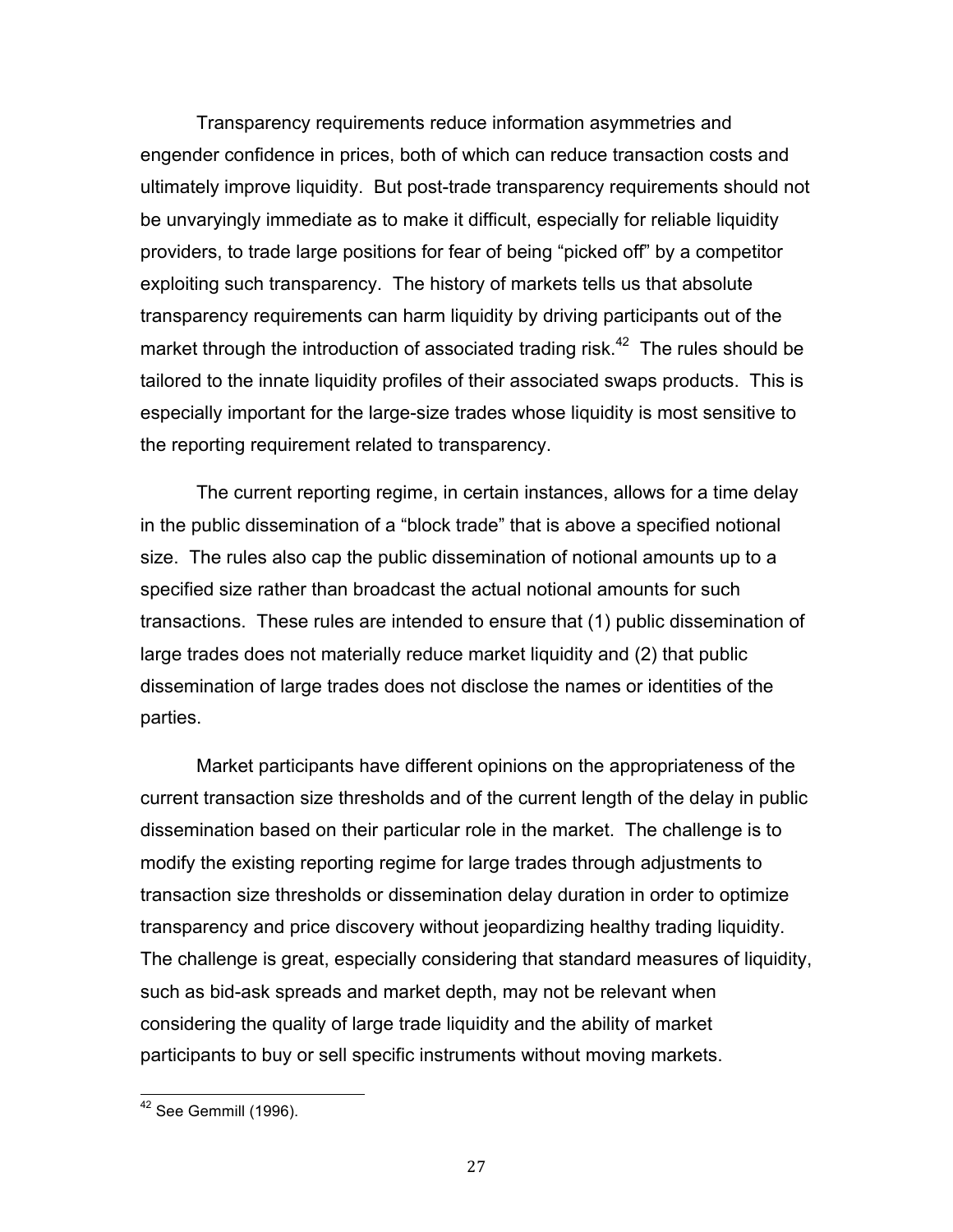Transparency requirements reduce information asymmetries and engender confidence in prices, both of which can reduce transaction costs and ultimately improve liquidity. But post-trade transparency requirements should not be unvaryingly immediate as to make it difficult, especially for reliable liquidity providers, to trade large positions for fear of being "picked off" by a competitor exploiting such transparency. The history of markets tells us that absolute transparency requirements can harm liquidity by driving participants out of the market through the introduction of associated trading risk.<sup>42</sup> The rules should be tailored to the innate liquidity profiles of their associated swaps products. This is especially important for the large-size trades whose liquidity is most sensitive to the reporting requirement related to transparency.

 The current reporting regime, in certain instances, allows for a time delay in the public dissemination of a "block trade" that is above a specified notional size. The rules also cap the public dissemination of notional amounts up to a specified size rather than broadcast the actual notional amounts for such transactions. These rules are intended to ensure that (1) public dissemination of large trades does not materially reduce market liquidity and (2) that public dissemination of large trades does not disclose the names or identities of the parties.

 Market participants have different opinions on the appropriateness of the current transaction size thresholds and of the current length of the delay in public dissemination based on their particular role in the market. The challenge is to modify the existing reporting regime for large trades through adjustments to transaction size thresholds or dissemination delay duration in order to optimize transparency and price discovery without jeopardizing healthy trading liquidity. The challenge is great, especially considering that standard measures of liquidity, such as bid-ask spreads and market depth, may not be relevant when considering the quality of large trade liquidity and the ability of market participants to buy or sell specific instruments without moving markets.

 $42$  See Gemmill (1996).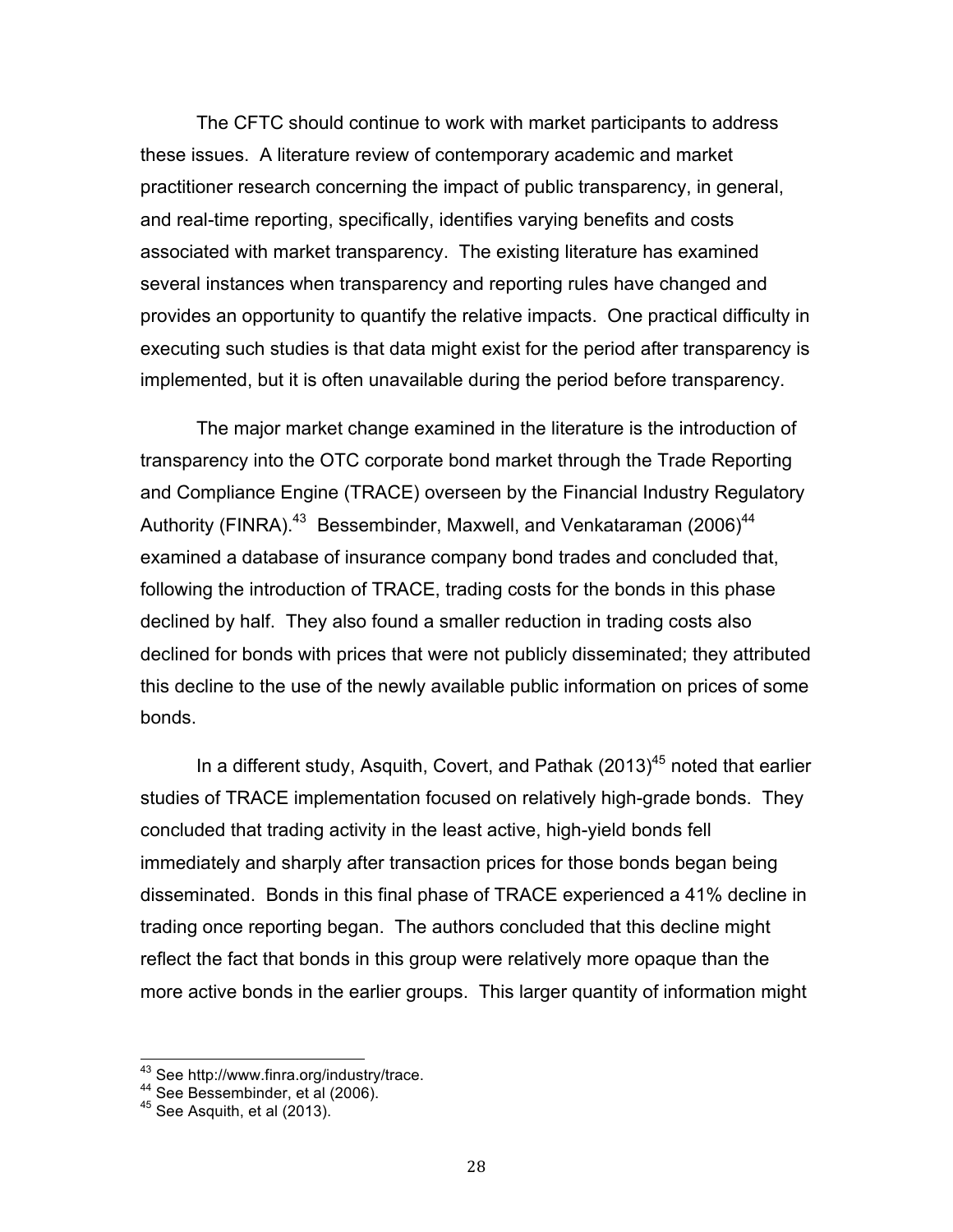The CFTC should continue to work with market participants to address these issues. A literature review of contemporary academic and market practitioner research concerning the impact of public transparency, in general, and real-time reporting, specifically, identifies varying benefits and costs associated with market transparency. The existing literature has examined several instances when transparency and reporting rules have changed and provides an opportunity to quantify the relative impacts. One practical difficulty in executing such studies is that data might exist for the period after transparency is implemented, but it is often unavailable during the period before transparency.

 The major market change examined in the literature is the introduction of transparency into the OTC corporate bond market through the Trade Reporting and Compliance Engine (TRACE) overseen by the Financial Industry Regulatory Authority (FINRA).<sup>43</sup> Bessembinder, Maxwell, and Venkataraman (2006)<sup>44</sup> examined a database of insurance company bond trades and concluded that, following the introduction of TRACE, trading costs for the bonds in this phase declined by half. They also found a smaller reduction in trading costs also declined for bonds with prices that were not publicly disseminated; they attributed this decline to the use of the newly available public information on prices of some bonds.

In a different study, Asquith, Covert, and Pathak  $(2013)^{45}$  noted that earlier studies of TRACE implementation focused on relatively high-grade bonds. They concluded that trading activity in the least active, high-yield bonds fell immediately and sharply after transaction prices for those bonds began being disseminated. Bonds in this final phase of TRACE experienced a 41% decline in trading once reporting began. The authors concluded that this decline might reflect the fact that bonds in this group were relatively more opaque than the more active bonds in the earlier groups. This larger quantity of information might

<sup>&</sup>lt;sup>43</sup> See http://www.finra.org/industry/trace.<br><sup>44</sup> See Bessembinder, et al (2006).<br><sup>45</sup> See Asquith, et al (2013).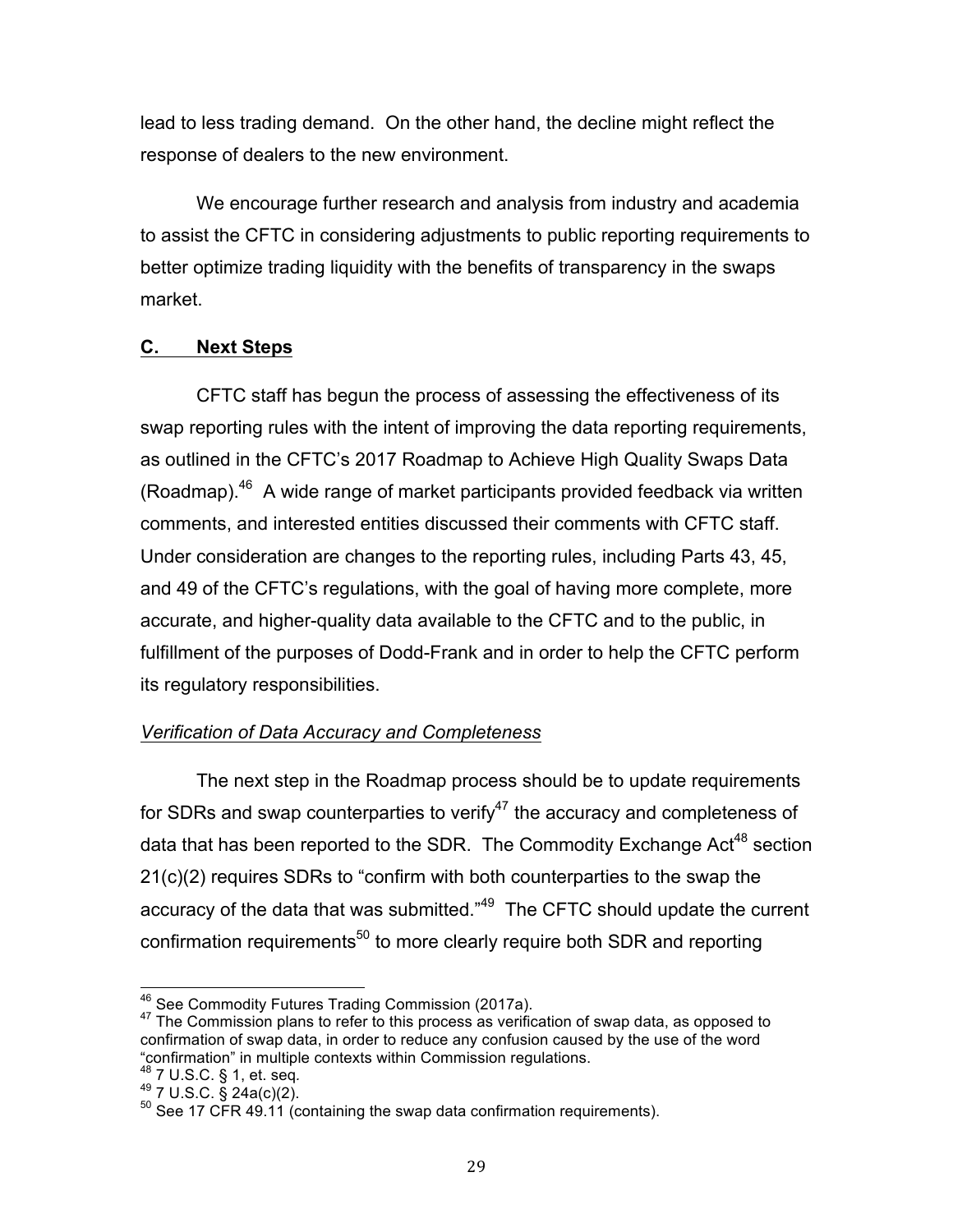lead to less trading demand. On the other hand, the decline might reflect the response of dealers to the new environment.

 We encourage further research and analysis from industry and academia to assist the CFTC in considering adjustments to public reporting requirements to better optimize trading liquidity with the benefits of transparency in the swaps market.

# **C. Next Steps**

 CFTC staff has begun the process of assessing the effectiveness of its swap reporting rules with the intent of improving the data reporting requirements, as outlined in the CFTC's 2017 Roadmap to Achieve High Quality Swaps Data (Roadmap). $46$  A wide range of market participants provided feedback via written comments, and interested entities discussed their comments with CFTC staff. Under consideration are changes to the reporting rules, including Parts 43, 45, and 49 of the CFTC's regulations, with the goal of having more complete, more accurate, and higher-quality data available to the CFTC and to the public, in fulfillment of the purposes of Dodd-Frank and in order to help the CFTC perform its regulatory responsibilities.

# *Verification of Data Accuracy and Completeness*

 The next step in the Roadmap process should be to update requirements for SDRs and swap counterparties to verify<sup>47</sup> the accuracy and completeness of data that has been reported to the SDR. The Commodity Exchange Act<sup>48</sup> section 21(c)(2) requires SDRs to "confirm with both counterparties to the swap the accuracy of the data that was submitted."<sup>49</sup> The CFTC should update the current confirmation requirements<sup>50</sup> to more clearly require both SDR and reporting

<sup>&</sup>lt;sup>46</sup> See Commodity Futures Trading Commission (2017a).

<sup>&</sup>lt;sup>46</sup> See Commodity Futures Trading Commission (2017a).<br><sup>47</sup> The Commission plans to refer to this process as verification of swap data, as opposed to confirmation of swap data, in order to reduce any confusion caused by the use of the word "confirmation" in multiple contexts within Commission regulations.

<sup>48 7</sup> U.S.C. § 1, et. seq.<br> $^{49}$  7 U.S.C. § 24a(c)(2).

<sup>&</sup>lt;sup>48</sup> 7 U.S.C. § 1, et. seq.<br><sup>49</sup> 7 U.S.C. § 24a(c)(2).<br><sup>50</sup> See 17 CFR 49.11 (containing the swap data confirmation requirements).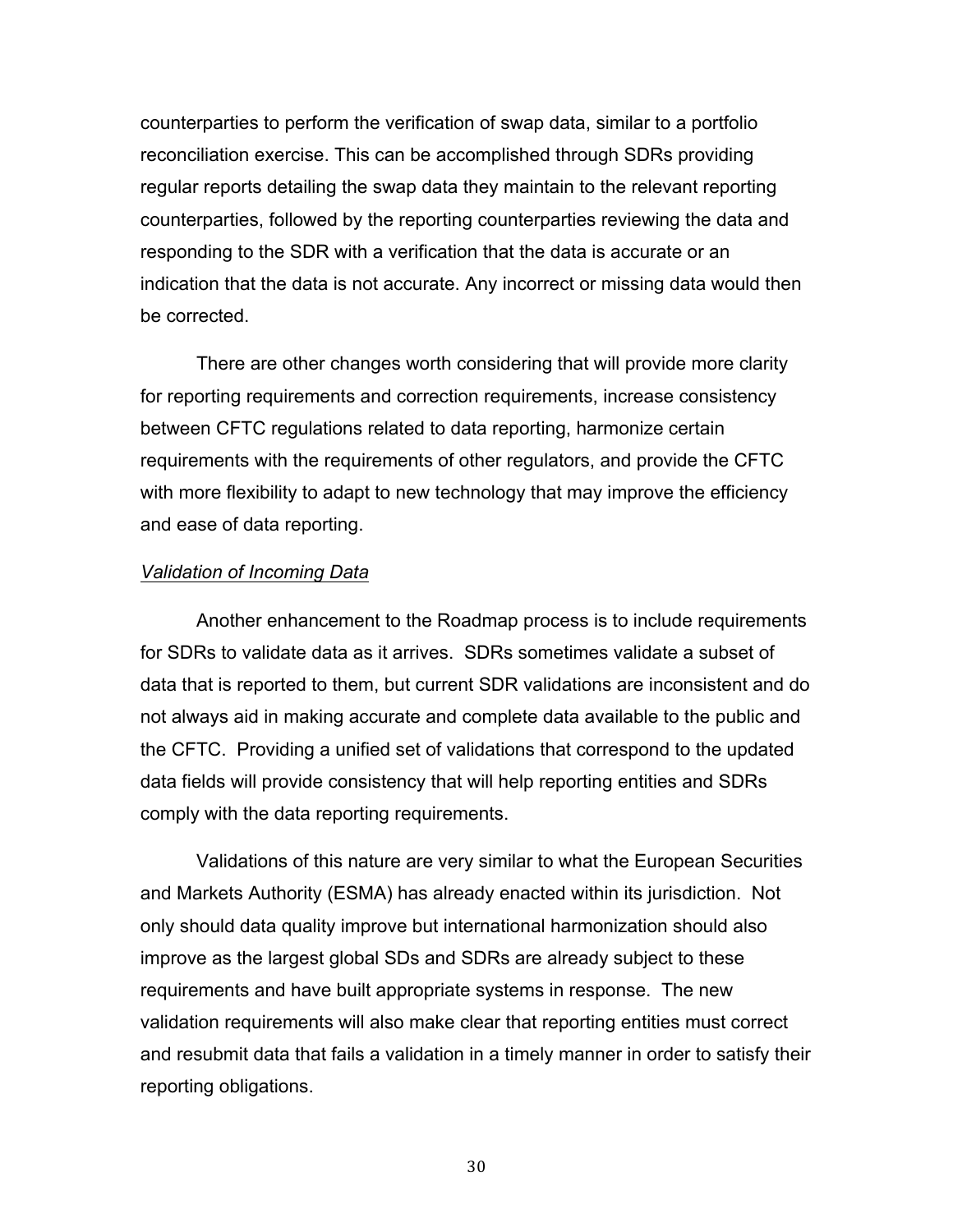counterparties to perform the verification of swap data, similar to a portfolio reconciliation exercise. This can be accomplished through SDRs providing regular reports detailing the swap data they maintain to the relevant reporting counterparties, followed by the reporting counterparties reviewing the data and responding to the SDR with a verification that the data is accurate or an indication that the data is not accurate. Any incorrect or missing data would then be corrected.

 There are other changes worth considering that will provide more clarity for reporting requirements and correction requirements, increase consistency between CFTC regulations related to data reporting, harmonize certain requirements with the requirements of other regulators, and provide the CFTC with more flexibility to adapt to new technology that may improve the efficiency and ease of data reporting.

#### *Validation of Incoming Data*

 Another enhancement to the Roadmap process is to include requirements for SDRs to validate data as it arrives. SDRs sometimes validate a subset of data that is reported to them, but current SDR validations are inconsistent and do not always aid in making accurate and complete data available to the public and the CFTC. Providing a unified set of validations that correspond to the updated data fields will provide consistency that will help reporting entities and SDRs comply with the data reporting requirements.

 Validations of this nature are very similar to what the European Securities and Markets Authority (ESMA) has already enacted within its jurisdiction. Not only should data quality improve but international harmonization should also improve as the largest global SDs and SDRs are already subject to these requirements and have built appropriate systems in response. The new validation requirements will also make clear that reporting entities must correct and resubmit data that fails a validation in a timely manner in order to satisfy their reporting obligations.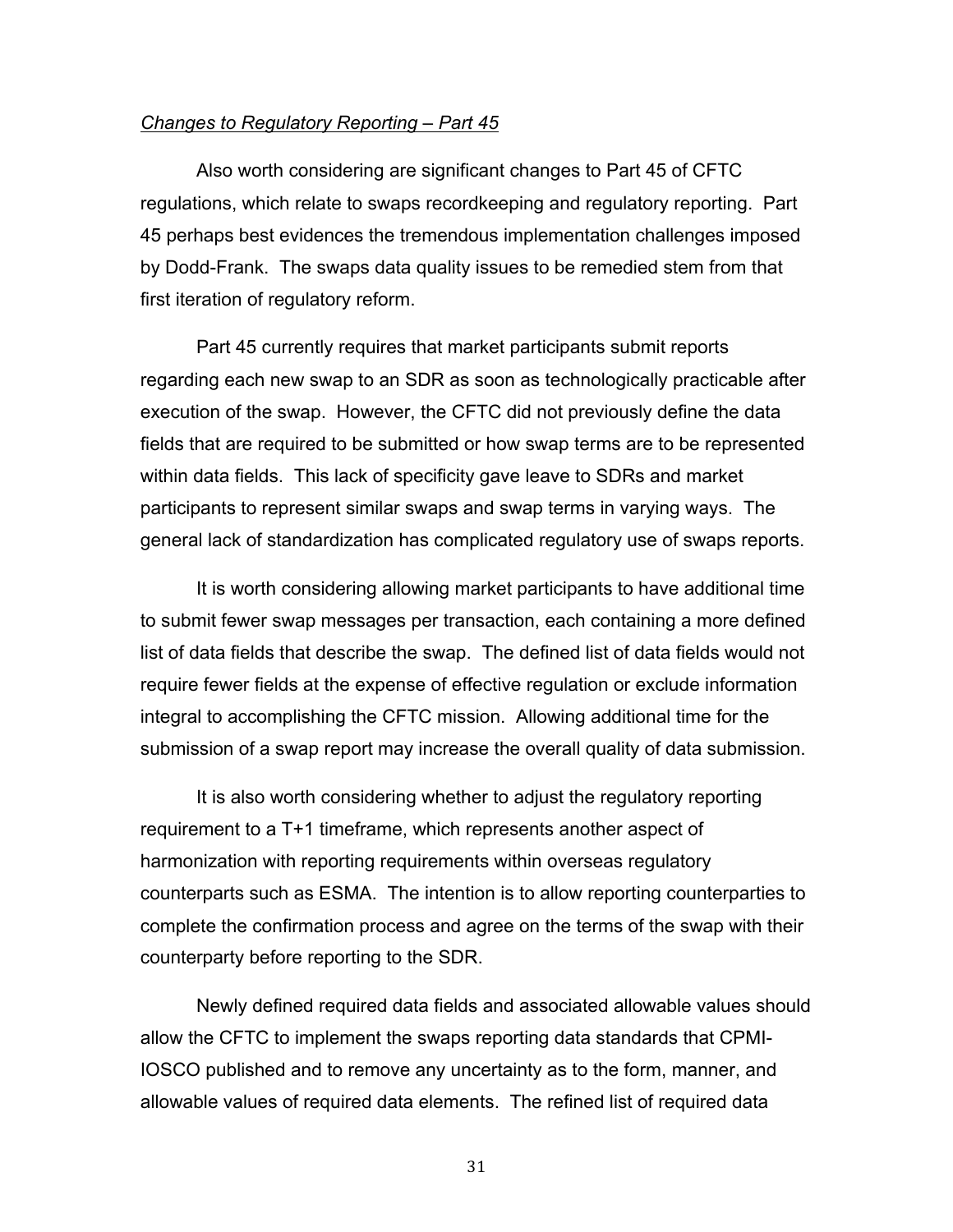#### *Changes to Regulatory Reporting – Part 45*

 Also worth considering are significant changes to Part 45 of CFTC regulations, which relate to swaps recordkeeping and regulatory reporting. Part by Dodd-Frank. The swaps data quality issues to be remedied stem from that first iteration of regulatory reform. 45 perhaps best evidences the tremendous implementation challenges imposed

 Part 45 currently requires that market participants submit reports regarding each new swap to an SDR as soon as technologically practicable after execution of the swap. However, the CFTC did not previously define the data fields that are required to be submitted or how swap terms are to be represented within data fields. This lack of specificity gave leave to SDRs and market participants to represent similar swaps and swap terms in varying ways. The general lack of standardization has complicated regulatory use of swaps reports.

 It is worth considering allowing market participants to have additional time to submit fewer swap messages per transaction, each containing a more defined list of data fields that describe the swap. The defined list of data fields would not require fewer fields at the expense of effective regulation or exclude information integral to accomplishing the CFTC mission. Allowing additional time for the submission of a swap report may increase the overall quality of data submission.

 It is also worth considering whether to adjust the regulatory reporting requirement to a T+1 timeframe, which represents another aspect of harmonization with reporting requirements within overseas regulatory counterparts such as ESMA. The intention is to allow reporting counterparties to complete the confirmation process and agree on the terms of the swap with their counterparty before reporting to the SDR.

 Newly defined required data fields and associated allowable values should allow the CFTC to implement the swaps reporting data standards that CPMI- IOSCO published and to remove any uncertainty as to the form, manner, and allowable values of required data elements. The refined list of required data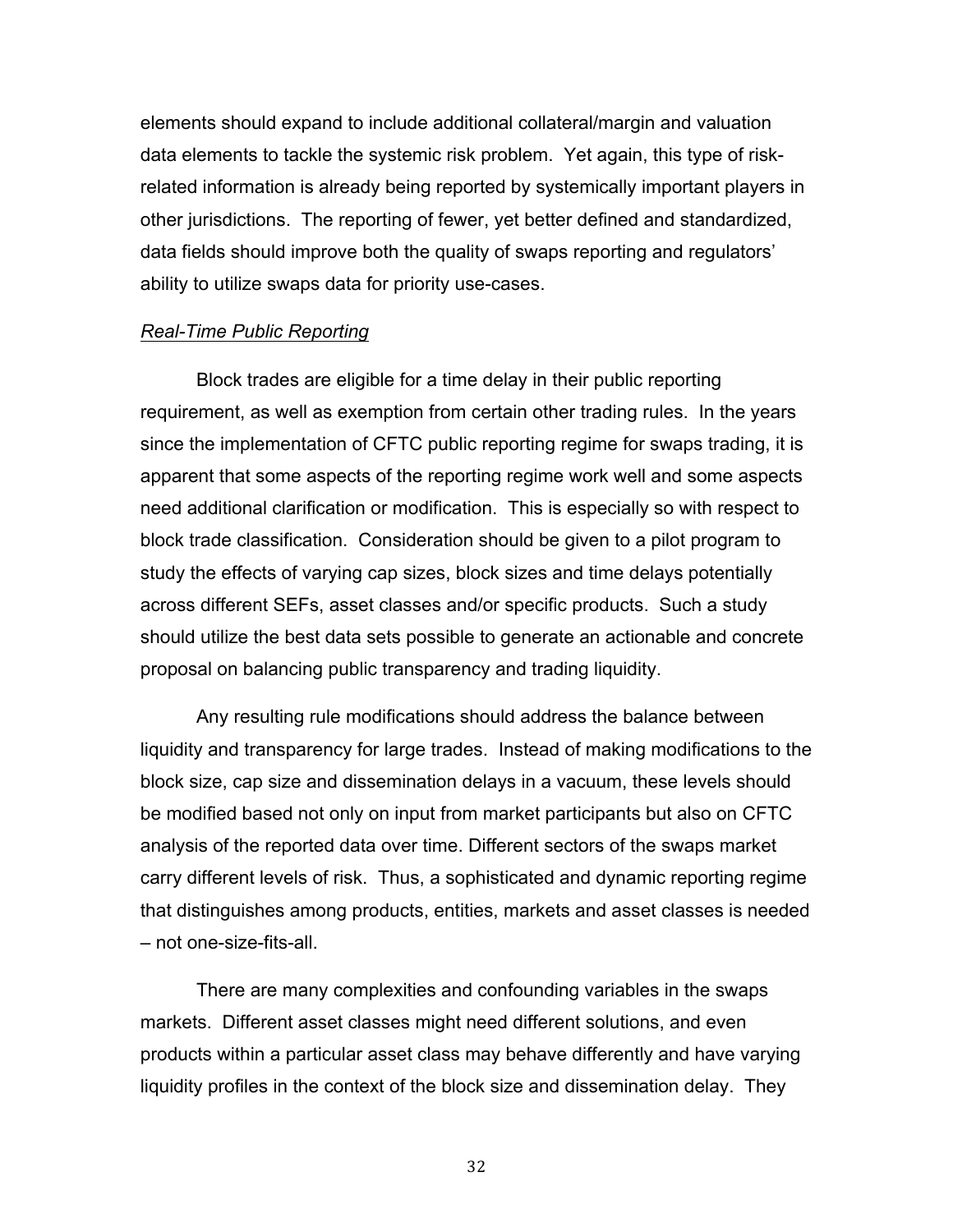elements should expand to include additional collateral/margin and valuation data elements to tackle the systemic risk problem. Yet again, this type of risk- related information is already being reported by systemically important players in other jurisdictions. The reporting of fewer, yet better defined and standardized, data fields should improve both the quality of swaps reporting and regulators' ability to utilize swaps data for priority use-cases.

#### *Real-Time Public Reporting*

 Block trades are eligible for a time delay in their public reporting requirement, as well as exemption from certain other trading rules. In the years since the implementation of CFTC public reporting regime for swaps trading, it is apparent that some aspects of the reporting regime work well and some aspects need additional clarification or modification. This is especially so with respect to block trade classification. Consideration should be given to a pilot program to study the effects of varying cap sizes, block sizes and time delays potentially across different SEFs, asset classes and/or specific products. Such a study should utilize the best data sets possible to generate an actionable and concrete proposal on balancing public transparency and trading liquidity.

 Any resulting rule modifications should address the balance between liquidity and transparency for large trades. Instead of making modifications to the block size, cap size and dissemination delays in a vacuum, these levels should be modified based not only on input from market participants but also on CFTC analysis of the reported data over time. Different sectors of the swaps market carry different levels of risk. Thus, a sophisticated and dynamic reporting regime that distinguishes among products, entities, markets and asset classes is needed – not one-size-fits-all.

 There are many complexities and confounding variables in the swaps markets. Different asset classes might need different solutions, and even products within a particular asset class may behave differently and have varying liquidity profiles in the context of the block size and dissemination delay. They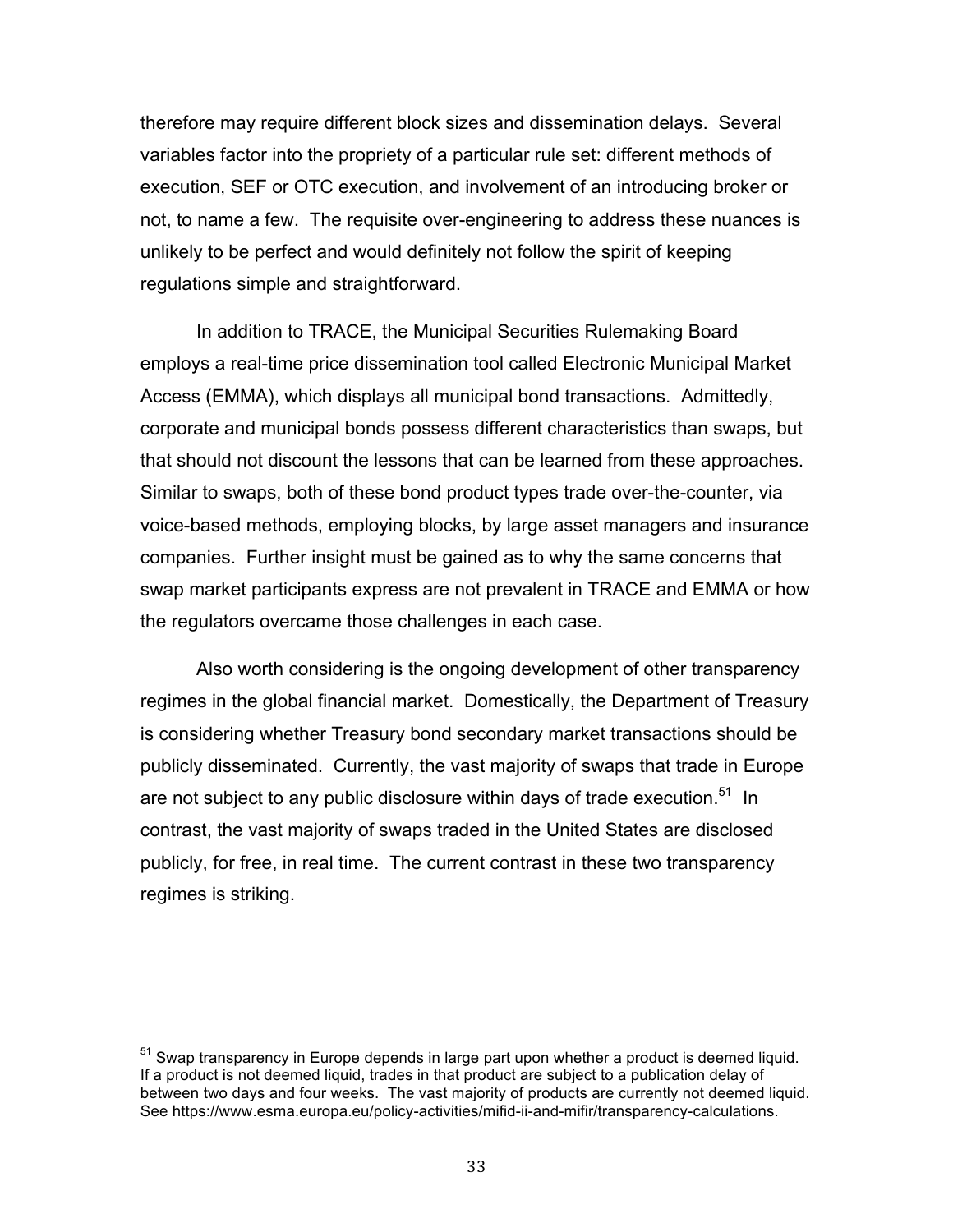therefore may require different block sizes and dissemination delays. Several variables factor into the propriety of a particular rule set: different methods of execution, SEF or OTC execution, and involvement of an introducing broker or not, to name a few. The requisite over-engineering to address these nuances is unlikely to be perfect and would definitely not follow the spirit of keeping regulations simple and straightforward.

 In addition to TRACE, the Municipal Securities Rulemaking Board employs a real-time price dissemination tool called Electronic Municipal Market Access (EMMA), which displays all municipal bond transactions. Admittedly, corporate and municipal bonds possess different characteristics than swaps, but that should not discount the lessons that can be learned from these approaches. Similar to swaps, both of these bond product types trade over-the-counter, via voice-based methods, employing blocks, by large asset managers and insurance companies. Further insight must be gained as to why the same concerns that swap market participants express are not prevalent in TRACE and EMMA or how the regulators overcame those challenges in each case.

 Also worth considering is the ongoing development of other transparency regimes in the global financial market. Domestically, the Department of Treasury is considering whether Treasury bond secondary market transactions should be publicly disseminated. Currently, the vast majority of swaps that trade in Europe are not subject to any public disclosure within days of trade execution.<sup>51</sup> In contrast, the vast majority of swaps traded in the United States are disclosed publicly, for free, in real time. The current contrast in these two transparency regimes is striking.

 $51$  Swap transparency in Europe depends in large part upon whether a product is deemed liquid. If a product is not deemed liquid, trades in that product are subject to a publication delay of between two days and four weeks. The vast majority of products are currently not deemed liquid. See https://www.esma.europa.eu/policy-activities/mifid-ii-and-mifir/transparency-calculations.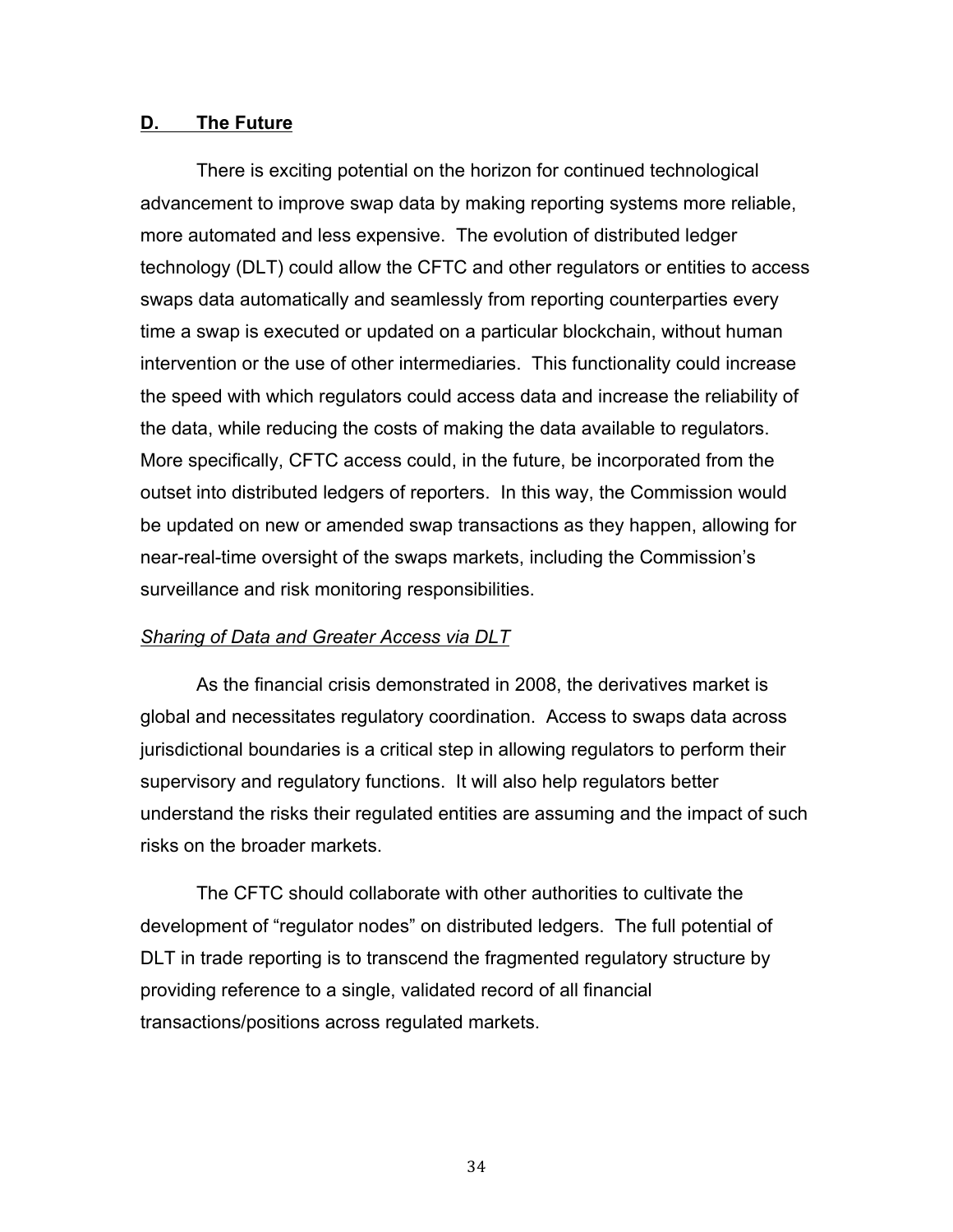#### **D. The Future**

 There is exciting potential on the horizon for continued technological advancement to improve swap data by making reporting systems more reliable, more automated and less expensive. The evolution of distributed ledger technology (DLT) could allow the CFTC and other regulators or entities to access swaps data automatically and seamlessly from reporting counterparties every time a swap is executed or updated on a particular blockchain, without human intervention or the use of other intermediaries. This functionality could increase the speed with which regulators could access data and increase the reliability of the data, while reducing the costs of making the data available to regulators. More specifically, CFTC access could, in the future, be incorporated from the outset into distributed ledgers of reporters. In this way, the Commission would be updated on new or amended swap transactions as they happen, allowing for near-real-time oversight of the swaps markets, including the Commission's surveillance and risk monitoring responsibilities.

### *Sharing of Data and Greater Access via DLT*

 As the financial crisis demonstrated in 2008, the derivatives market is global and necessitates regulatory coordination. Access to swaps data across jurisdictional boundaries is a critical step in allowing regulators to perform their supervisory and regulatory functions. It will also help regulators better understand the risks their regulated entities are assuming and the impact of such risks on the broader markets.

 The CFTC should collaborate with other authorities to cultivate the development of "regulator nodes" on distributed ledgers. The full potential of DLT in trade reporting is to transcend the fragmented regulatory structure by providing reference to a single, validated record of all financial transactions/positions across regulated markets.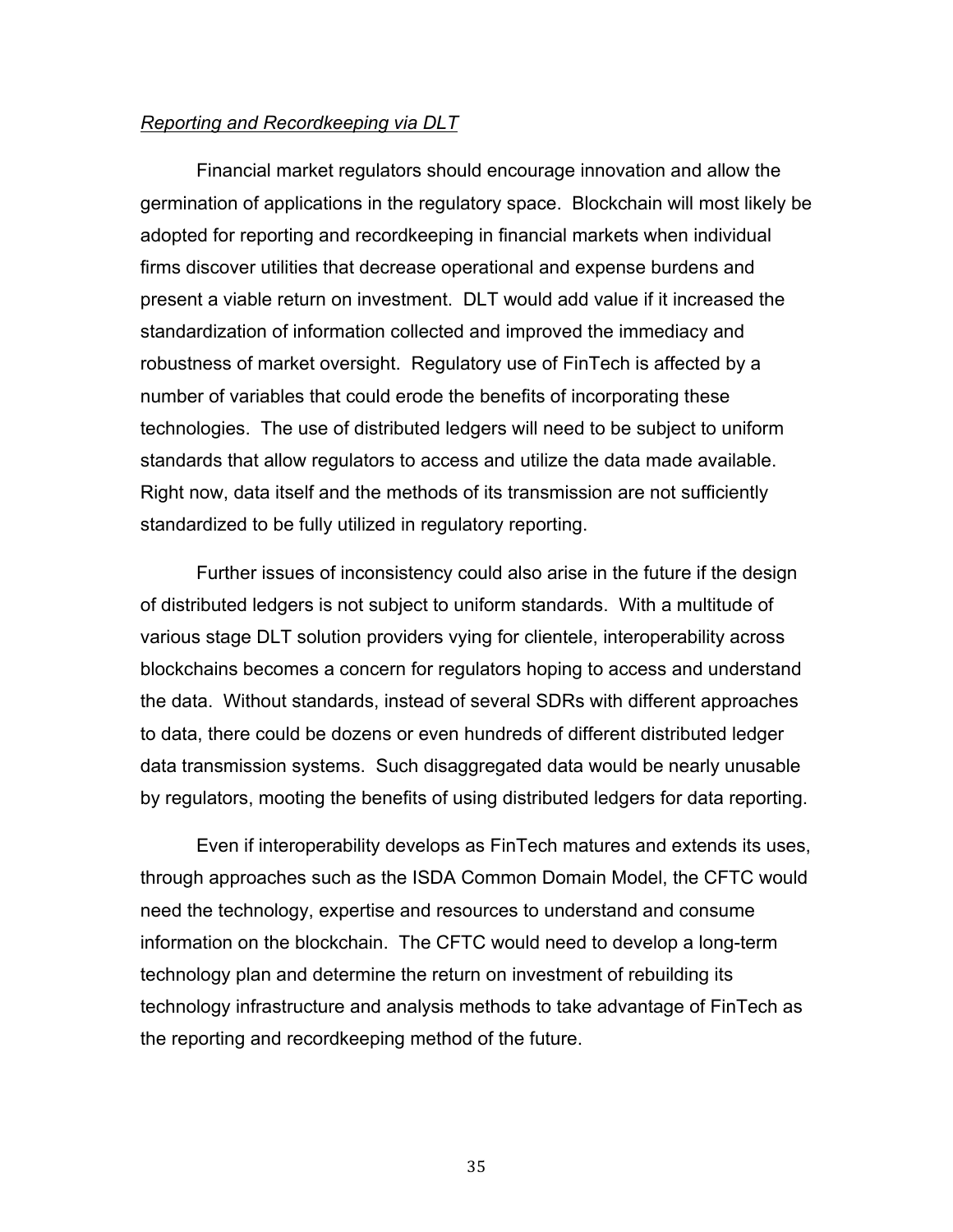#### *Reporting and Recordkeeping via DLT*

 Financial market regulators should encourage innovation and allow the germination of applications in the regulatory space. Blockchain will most likely be adopted for reporting and recordkeeping in financial markets when individual firms discover utilities that decrease operational and expense burdens and present a viable return on investment. DLT would add value if it increased the standardization of information collected and improved the immediacy and robustness of market oversight. Regulatory use of FinTech is affected by a number of variables that could erode the benefits of incorporating these technologies. The use of distributed ledgers will need to be subject to uniform standards that allow regulators to access and utilize the data made available. Right now, data itself and the methods of its transmission are not sufficiently standardized to be fully utilized in regulatory reporting.

 Further issues of inconsistency could also arise in the future if the design of distributed ledgers is not subject to uniform standards. With a multitude of various stage DLT solution providers vying for clientele, interoperability across blockchains becomes a concern for regulators hoping to access and understand the data. Without standards, instead of several SDRs with different approaches to data, there could be dozens or even hundreds of different distributed ledger data transmission systems. Such disaggregated data would be nearly unusable by regulators, mooting the benefits of using distributed ledgers for data reporting.

 Even if interoperability develops as FinTech matures and extends its uses, through approaches such as the ISDA Common Domain Model, the CFTC would need the technology, expertise and resources to understand and consume information on the blockchain. The CFTC would need to develop a long-term technology plan and determine the return on investment of rebuilding its technology infrastructure and analysis methods to take advantage of FinTech as the reporting and recordkeeping method of the future.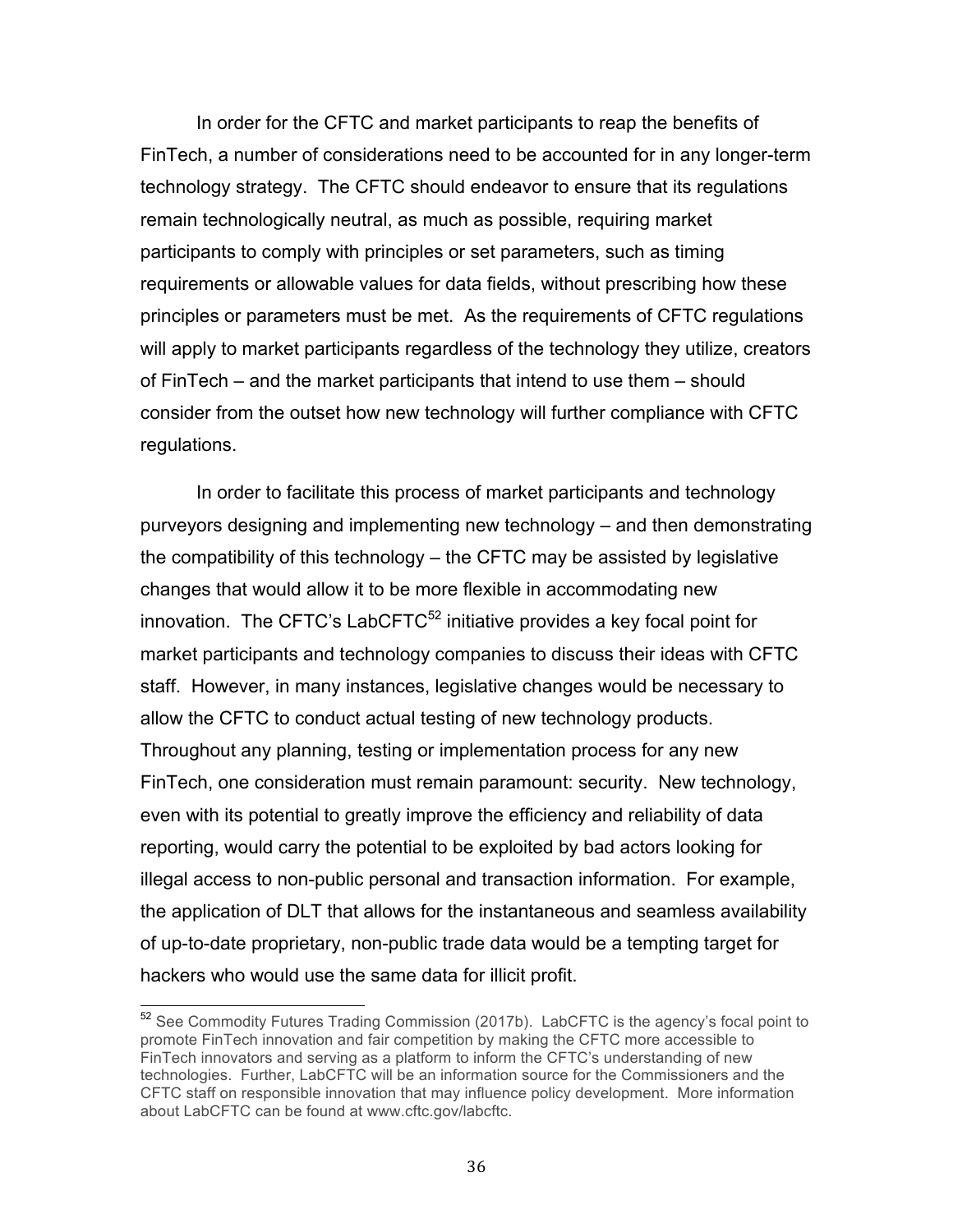In order for the CFTC and market participants to reap the benefits of FinTech, a number of considerations need to be accounted for in any longer-term technology strategy. The CFTC should endeavor to ensure that its regulations remain technologically neutral, as much as possible, requiring market participants to comply with principles or set parameters, such as timing requirements or allowable values for data fields, without prescribing how these principles or parameters must be met. As the requirements of CFTC regulations will apply to market participants regardless of the technology they utilize, creators of FinTech – and the market participants that intend to use them – should consider from the outset how new technology will further compliance with CFTC regulations.

 In order to facilitate this process of market participants and technology purveyors designing and implementing new technology – and then demonstrating the compatibility of this technology – the CFTC may be assisted by legislative changes that would allow it to be more flexible in accommodating new innovation. The CFTC's LabCFTC $52$  initiative provides a key focal point for market participants and technology companies to discuss their ideas with CFTC staff. However, in many instances, legislative changes would be necessary to allow the CFTC to conduct actual testing of new technology products. Throughout any planning, testing or implementation process for any new FinTech, one consideration must remain paramount: security. New technology, even with its potential to greatly improve the efficiency and reliability of data reporting, would carry the potential to be exploited by bad actors looking for illegal access to non-public personal and transaction information. For example, the application of DLT that allows for the instantaneous and seamless availability of up-to-date proprietary, non-public trade data would be a tempting target for hackers who would use the same data for illicit profit.

<sup>&</sup>lt;sup>52</sup> See Commodity Futures Trading Commission (2017b). LabCFTC is the agency's focal point to FinTech innovators and serving as a platform to inform the CFTC's understanding of new technologies. Further, LabCFTC will be an information source for the Commissioners and the CFTC staff on responsible innovation that may influence policy development. More information about LabCFTC can be found at www.cftc.gov/labcftc. promote FinTech innovation and fair competition by making the CFTC more accessible to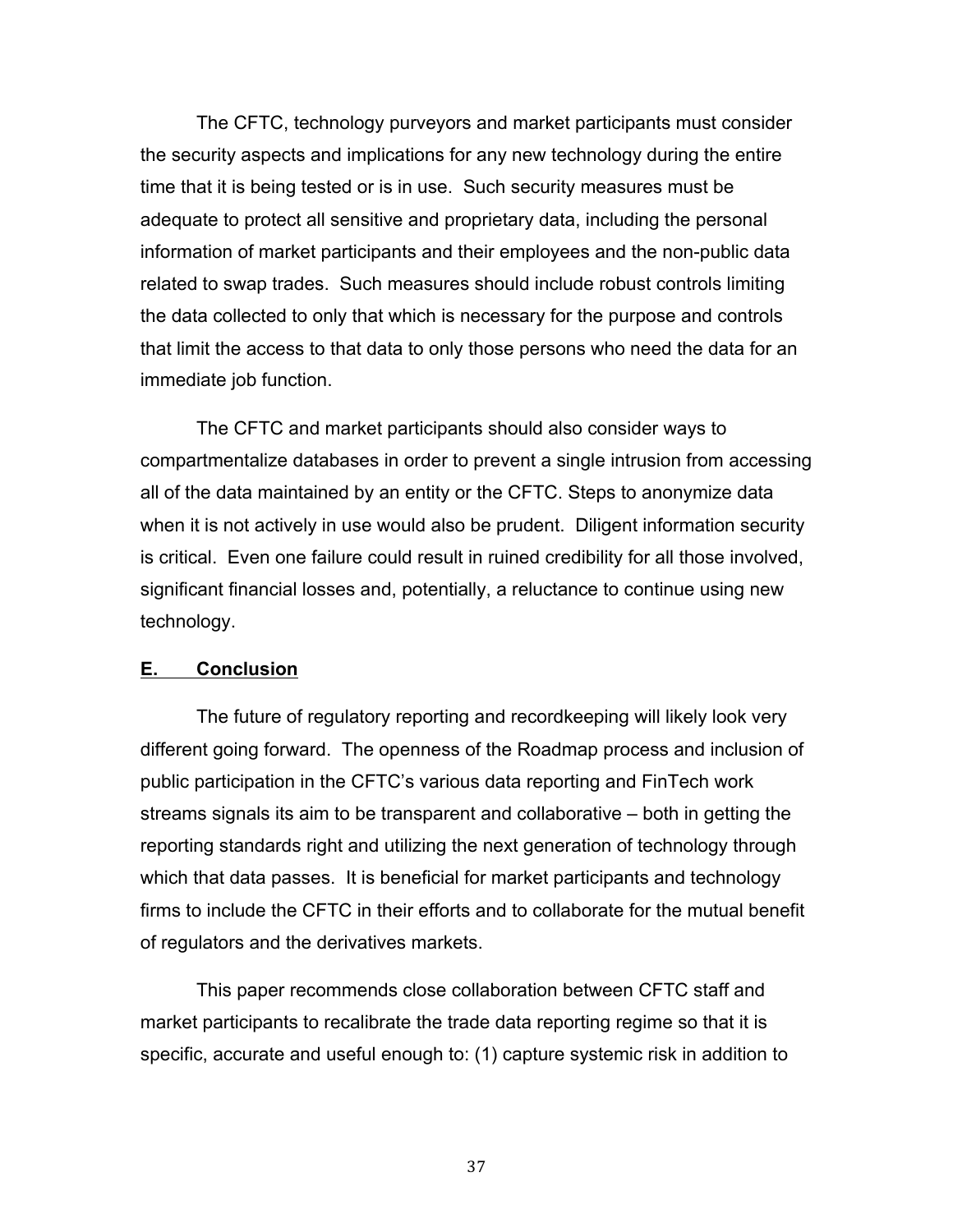The CFTC, technology purveyors and market participants must consider the security aspects and implications for any new technology during the entire time that it is being tested or is in use. Such security measures must be adequate to protect all sensitive and proprietary data, including the personal information of market participants and their employees and the non-public data related to swap trades. Such measures should include robust controls limiting the data collected to only that which is necessary for the purpose and controls that limit the access to that data to only those persons who need the data for an immediate job function.

 The CFTC and market participants should also consider ways to compartmentalize databases in order to prevent a single intrusion from accessing all of the data maintained by an entity or the CFTC. Steps to anonymize data when it is not actively in use would also be prudent. Diligent information security is critical. Even one failure could result in ruined credibility for all those involved, significant financial losses and, potentially, a reluctance to continue using new technology.

#### **E. Conclusion**

 The future of regulatory reporting and recordkeeping will likely look very different going forward. The openness of the Roadmap process and inclusion of public participation in the CFTC's various data reporting and FinTech work streams signals its aim to be transparent and collaborative – both in getting the reporting standards right and utilizing the next generation of technology through which that data passes. It is beneficial for market participants and technology firms to include the CFTC in their efforts and to collaborate for the mutual benefit of regulators and the derivatives markets.

 This paper recommends close collaboration between CFTC staff and market participants to recalibrate the trade data reporting regime so that it is specific, accurate and useful enough to: (1) capture systemic risk in addition to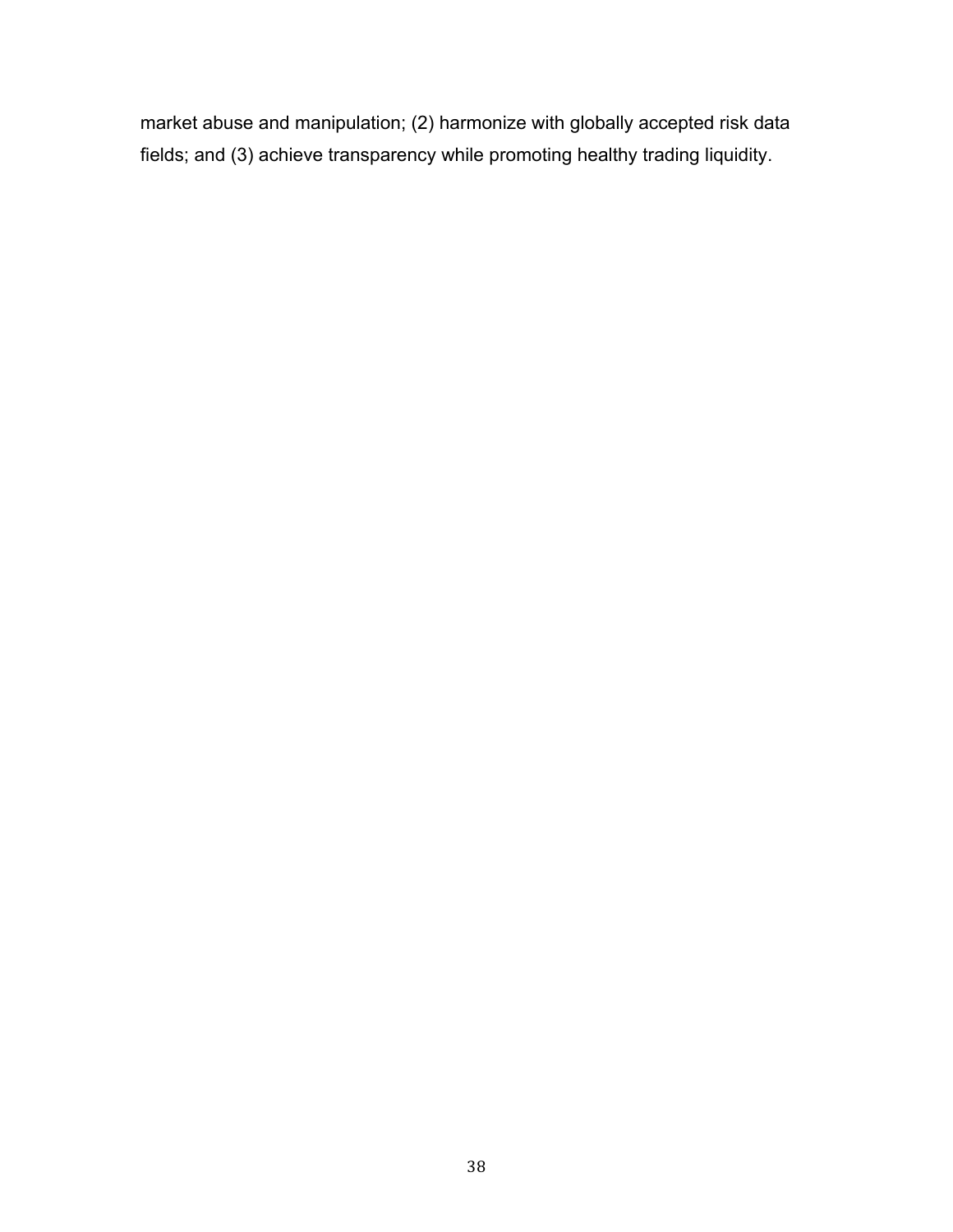market abuse and manipulation; (2) harmonize with globally accepted risk data fields; and (3) achieve transparency while promoting healthy trading liquidity.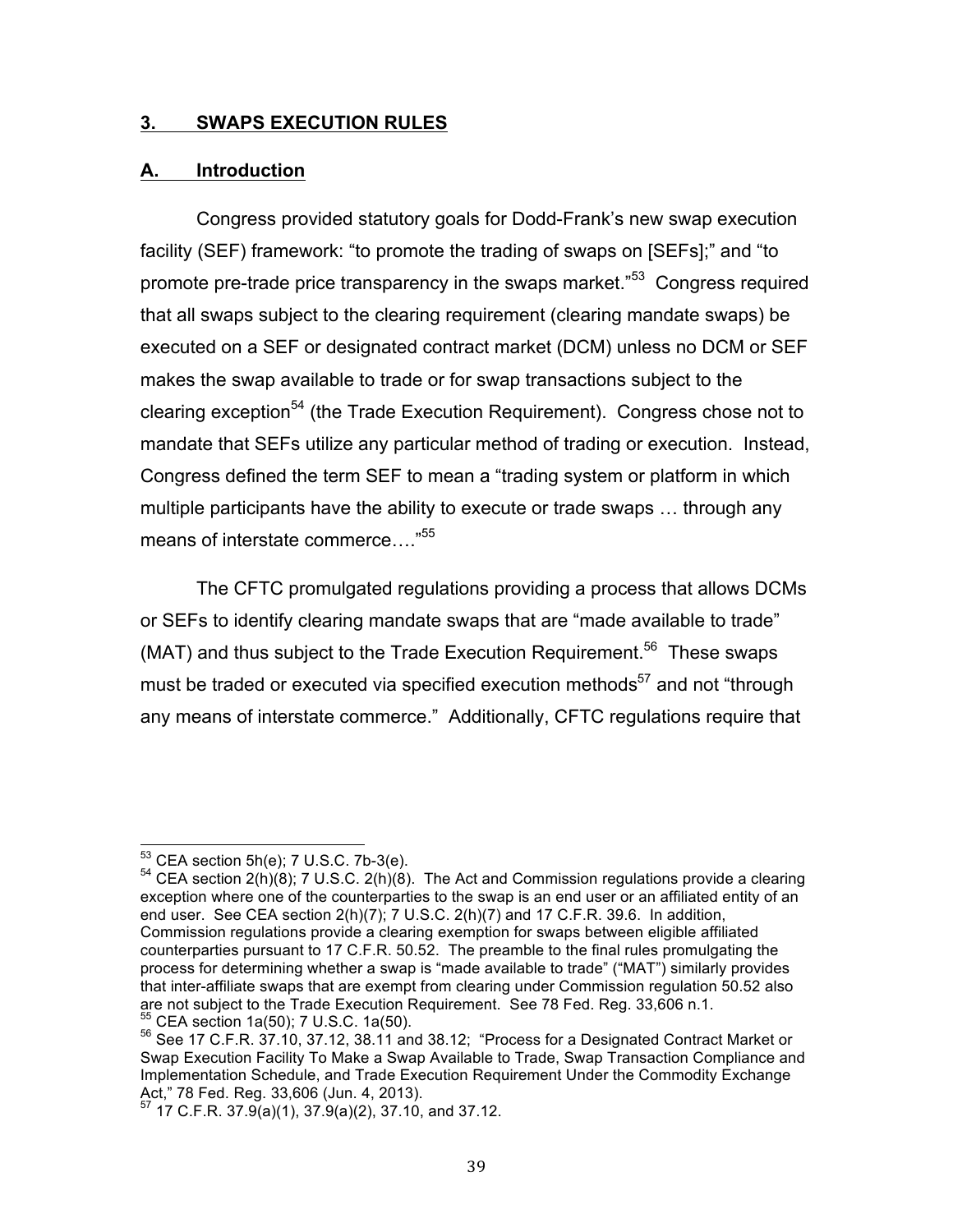#### **3. SWAPS EXECUTION RULES**

#### **A. Introduction**

 Congress provided statutory goals for Dodd-Frank's new swap execution facility (SEF) framework: "to promote the trading of swaps on [SEFs];" and "to promote pre-trade price transparency in the swaps market."<sup>53</sup> Congress required that all swaps subject to the clearing requirement (clearing mandate swaps) be executed on a SEF or designated contract market (DCM) unless no DCM or SEF makes the swap available to trade or for swap transactions subject to the clearing exception<sup>54</sup> (the Trade Execution Requirement). Congress chose not to mandate that SEFs utilize any particular method of trading or execution. Instead, Congress defined the term SEF to mean a "trading system or platform in which multiple participants have the ability to execute or trade swaps … through any means of interstate commerce...."<sup>55</sup>

 The CFTC promulgated regulations providing a process that allows DCMs or SEFs to identify clearing mandate swaps that are "made available to trade" (MAT) and thus subject to the Trade Execution Requirement.<sup>56</sup> These swaps must be traded or executed via specified execution methods<sup>57</sup> and not "through any means of interstate commerce." Additionally, CFTC regulations require that

 $53$  CEA section  $5h(e)$ ; 7 U.S.C. 7b-3(e).

<sup>&</sup>lt;sup>53</sup> CEA section 5h(e); 7 U.S.C. 7b-3(e).<br><sup>54</sup> CEA section 2(h)(8); 7 U.S.C. 2(h)(8). The Act and Commission regulations provide a clearing exception where one of the counterparties to the swap is an end user or an affiliated entity of an end user. See CEA section 2(h)(7); 7 U.S.C. 2(h)(7) and 17 C.F.R. 39.6. In addition, Commission regulations provide a clearing exemption for swaps between eligible affiliated counterparties pursuant to 17 C.F.R. 50.52. The preamble to the final rules promulgating the process for determining whether a swap is "made available to trade" ("MAT") similarly provides that inter-affiliate swaps that are exempt from clearing under Commission regulation 50.52 also are not subject to the Trade Execution Requirement. See 78 Fed. Reg. 33,606 n.1. <sup>55</sup> CEA section 1a(50); 7 U.S.C. 1a(50). are not subject to the Trade Execution Requirement. See 78 Fed. Reg. 33,606 n.1.<br><sup>55</sup> CEA section 1a(50); 7 U.S.C. 1a(50).<br><sup>56</sup> See 17 C.F.R. 37.10, 37.12, 38.11 and 38.12; "Process for a Designated Contract Market or

 Swap Execution Facility To Make a Swap Available to Trade, Swap Transaction Compliance and Act," 78 Fed. Reg. 33,606 (Jun. 4, 2013). Implementation Schedule, and Trade Execution Requirement Under the Commodity Exchange

 $^{57}$  17 C.F.R. 37.9(a)(1), 37.9(a)(2), 37.10, and 37.12.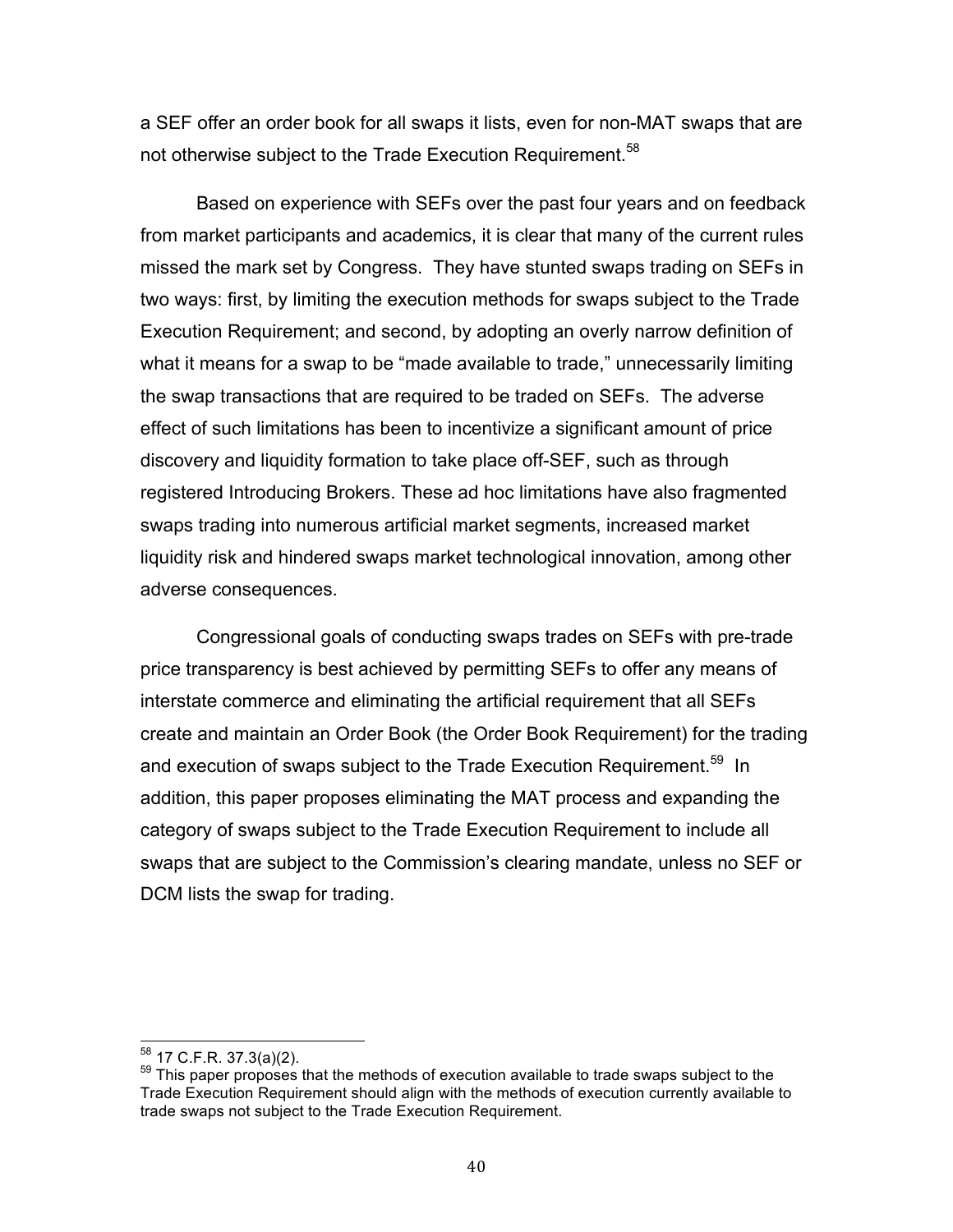a SEF offer an order book for all swaps it lists, even for non-MAT swaps that are not otherwise subject to the Trade Execution Requirement.<sup>58</sup>

 Based on experience with SEFs over the past four years and on feedback from market participants and academics, it is clear that many of the current rules missed the mark set by Congress. They have stunted swaps trading on SEFs in two ways: first, by limiting the execution methods for swaps subject to the Trade Execution Requirement; and second, by adopting an overly narrow definition of what it means for a swap to be "made available to trade," unnecessarily limiting the swap transactions that are required to be traded on SEFs. The adverse effect of such limitations has been to incentivize a significant amount of price discovery and liquidity formation to take place off-SEF, such as through registered Introducing Brokers. These ad hoc limitations have also fragmented swaps trading into numerous artificial market segments, increased market liquidity risk and hindered swaps market technological innovation, among other adverse consequences.

 Congressional goals of conducting swaps trades on SEFs with pre-trade price transparency is best achieved by permitting SEFs to offer any means of interstate commerce and eliminating the artificial requirement that all SEFs create and maintain an Order Book (the Order Book Requirement) for the trading and execution of swaps subject to the Trade Execution Requirement.<sup>59</sup> In addition, this paper proposes eliminating the MAT process and expanding the category of swaps subject to the Trade Execution Requirement to include all swaps that are subject to the Commission's clearing mandate, unless no SEF or DCM lists the swap for trading.

<sup>&</sup>lt;sup>58</sup> 17 C.F.R. 37.3(a)(2).<br><sup>59</sup> This paper proposes that the methods of execution available to trade swaps subject to the Trade Execution Requirement should align with the methods of execution currently available to trade swaps not subject to the Trade Execution Requirement.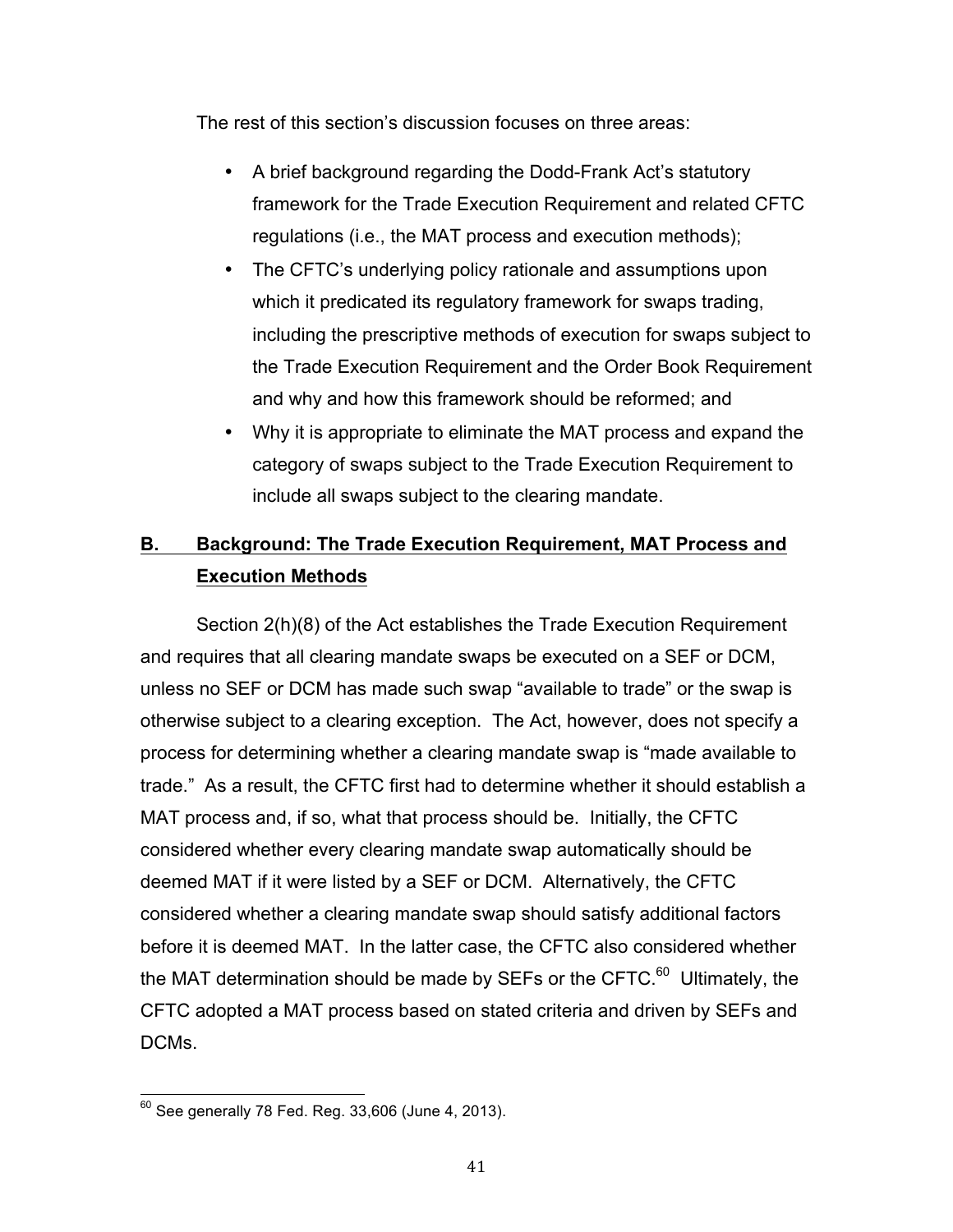The rest of this section's discussion focuses on three areas:

- • A brief background regarding the Dodd-Frank Act's statutory framework for the Trade Execution Requirement and related CFTC regulations (i.e., the MAT process and execution methods);
- • The CFTC's underlying policy rationale and assumptions upon which it predicated its regulatory framework for swaps trading, including the prescriptive methods of execution for swaps subject to the Trade Execution Requirement and the Order Book Requirement and why and how this framework should be reformed; and
- category of swaps subject to the Trade Execution Requirement to include all swaps subject to the clearing mandate. • Why it is appropriate to eliminate the MAT process and expand the

# **B. Background: The Trade Execution Requirement, MAT Process and Execution Methods**

 Section 2(h)(8) of the Act establishes the Trade Execution Requirement and requires that all clearing mandate swaps be executed on a SEF or DCM, unless no SEF or DCM has made such swap "available to trade" or the swap is otherwise subject to a clearing exception. The Act, however, does not specify a process for determining whether a clearing mandate swap is "made available to trade." As a result, the CFTC first had to determine whether it should establish a MAT process and, if so, what that process should be. Initially, the CFTC considered whether every clearing mandate swap automatically should be deemed MAT if it were listed by a SEF or DCM. Alternatively, the CFTC considered whether a clearing mandate swap should satisfy additional factors before it is deemed MAT. In the latter case, the CFTC also considered whether the MAT determination should be made by SEFs or the CFTC.<sup>60</sup> Ultimately, the CFTC adopted a MAT process based on stated criteria and driven by SEFs and DCMs.

 $^{60}$  See generally 78 Fed. Reg. 33,606 (June 4, 2013).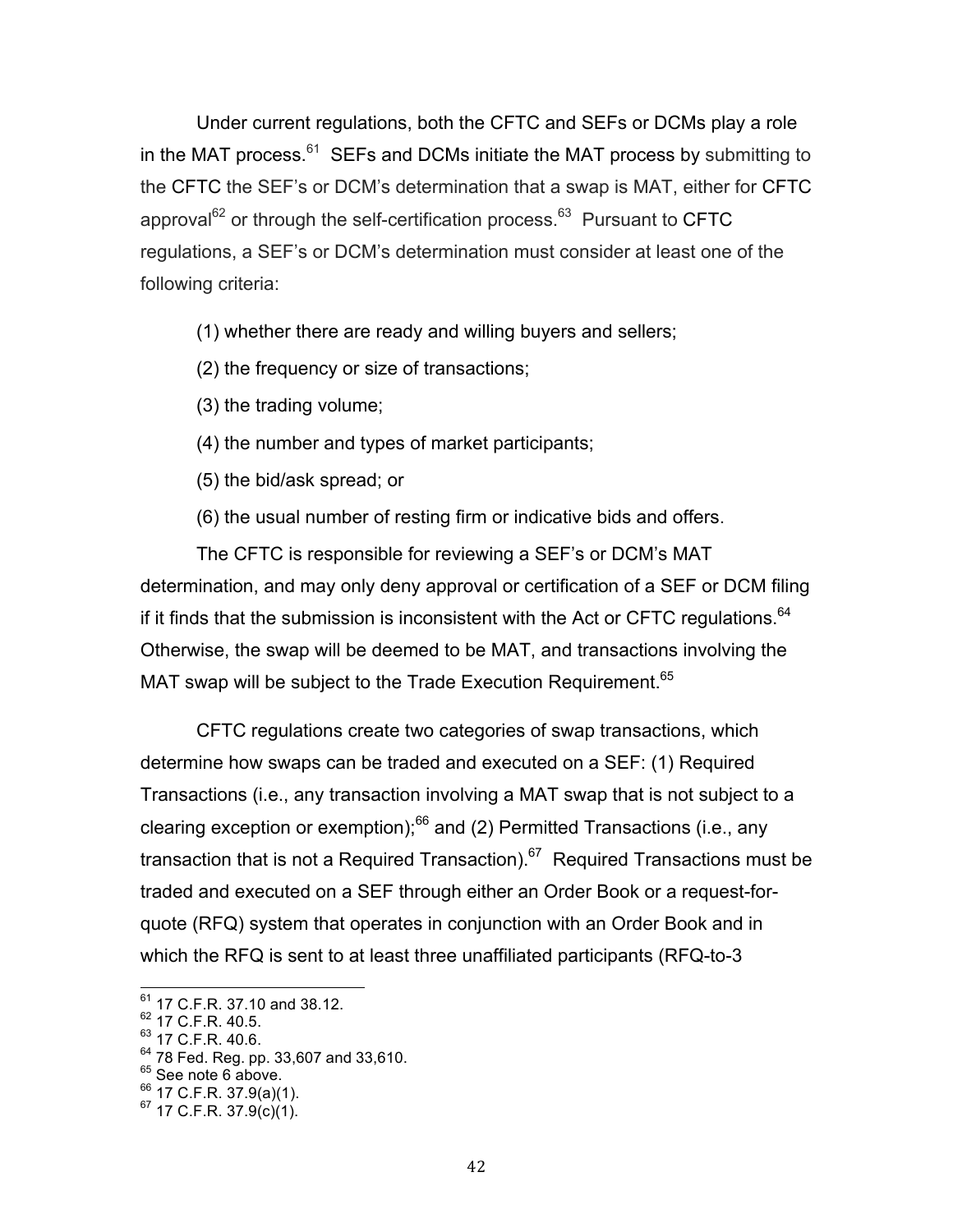Under current regulations, both the CFTC and SEFs or DCMs play a role in the MAT process. $61$  SEFs and DCMs initiate the MAT process by submitting to the CFTC the SEF's or DCM's determination that a swap is MAT, either for CFTC approval<sup>62</sup> or through the self-certification process.<sup>63</sup> Pursuant to CFTC regulations, a SEF's or DCM's determination must consider at least one of the following criteria:

(1) whether there are ready and willing buyers and sellers;

- (2) the frequency or size of transactions;
- (3) the trading volume;
- (4) the number and types of market participants;
- (5) the bid/ask spread; or
- (6) the usual number of resting firm or indicative bids and offers.

 The CFTC is responsible for reviewing a SEF's or DCM's MAT determination, and may only deny approval or certification of a SEF or DCM filing if it finds that the submission is inconsistent with the Act or CFTC regulations. $64$  Otherwise, the swap will be deemed to be MAT, and transactions involving the MAT swap will be subject to the Trade Execution Requirement.<sup>65</sup>

 CFTC regulations create two categories of swap transactions, which determine how swaps can be traded and executed on a SEF: (1) Required Transactions (i.e., any transaction involving a MAT swap that is not subject to a clearing exception or exemption); $^{66}$  and (2) Permitted Transactions (i.e., any transaction that is not a Required Transaction).<sup>67</sup> Required Transactions must be traded and executed on a SEF through either an Order Book or a request-for- quote (RFQ) system that operates in conjunction with an Order Book and in which the RFQ is sent to at least three unaffiliated participants (RFQ-to-3

 $^{61}$  17 C.F.R. 37.10 and 38.12.<br> $^{62}$  17 C.F.R. 40.5.

 $^{62}$  17 C.F.R. 40.5.<br> $^{63}$  17 C.F.R. 40.6.

 $^{64}$  78 Fed. Reg. pp. 33,607 and 33,610.

 $65$  See note 6 above.

 $^{66}$  17 C.F.R. 37.9(a)(1).<br><sup>67</sup> 17 C.F.R. 37.9(c)(1).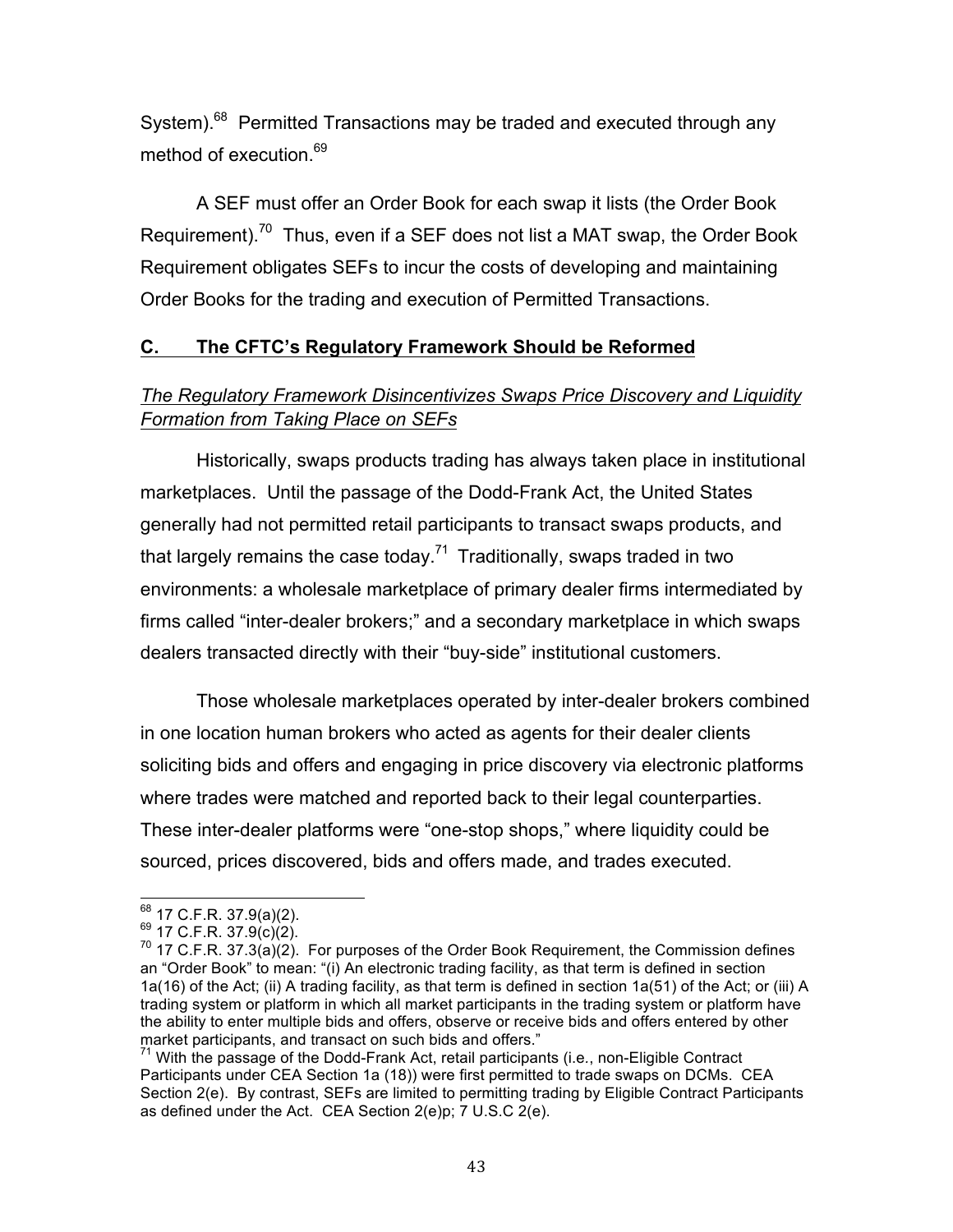System).<sup>68</sup> Permitted Transactions may be traded and executed through any method of execution.<sup>69</sup>

 A SEF must offer an Order Book for each swap it lists (the Order Book Requirement).<sup>70</sup> Thus, even if a SEF does not list a MAT swap, the Order Book Requirement obligates SEFs to incur the costs of developing and maintaining Order Books for the trading and execution of Permitted Transactions.

# **C. The CFTC's Regulatory Framework Should be Reformed**

# *Formation from Taking Place on SEFs The Regulatory Framework Disincentivizes Swaps Price Discovery and Liquidity*

 Historically, swaps products trading has always taken place in institutional marketplaces. Until the passage of the Dodd-Frank Act, the United States generally had not permitted retail participants to transact swaps products, and that largely remains the case today.<sup>71</sup> Traditionally, swaps traded in two environments: a wholesale marketplace of primary dealer firms intermediated by firms called "inter-dealer brokers;" and a secondary marketplace in which swaps dealers transacted directly with their "buy-side" institutional customers.

 Those wholesale marketplaces operated by inter-dealer brokers combined in one location human brokers who acted as agents for their dealer clients soliciting bids and offers and engaging in price discovery via electronic platforms where trades were matched and reported back to their legal counterparties. These inter-dealer platforms were "one-stop shops," where liquidity could be sourced, prices discovered, bids and offers made, and trades executed.

<sup>&</sup>lt;sup>68</sup> 17 C.F.R. 37.9(a)(2).<br><sup>69</sup> 17 C.F.R. 37.9(c)(2).<br><sup>70</sup> 17 C.F.R. 37.3(a)(2). For purposes of the Order Book Requirement, the Commission defines an "Order Book" to mean: "(i) An electronic trading facility, as that term is defined in section 1a(16) of the Act; (ii) A trading facility, as that term is defined in section 1a(51) of the Act; or (iii) A market participants, and transact on such bids and offers." trading system or platform in which all market participants in the trading system or platform have the ability to enter multiple bids and offers, observe or receive bids and offers entered by other

 71 With the passage of the Dodd-Frank Act, retail participants (i.e*.*, non-Eligible Contract Participants under CEA Section 1a (18)) were first permitted to trade swaps on DCMs. CEA Section 2(e). By contrast, SEFs are limited to permitting trading by Eligible Contract Participants as defined under the Act. CEA Section 2(e)p; 7 U.S.C 2(e).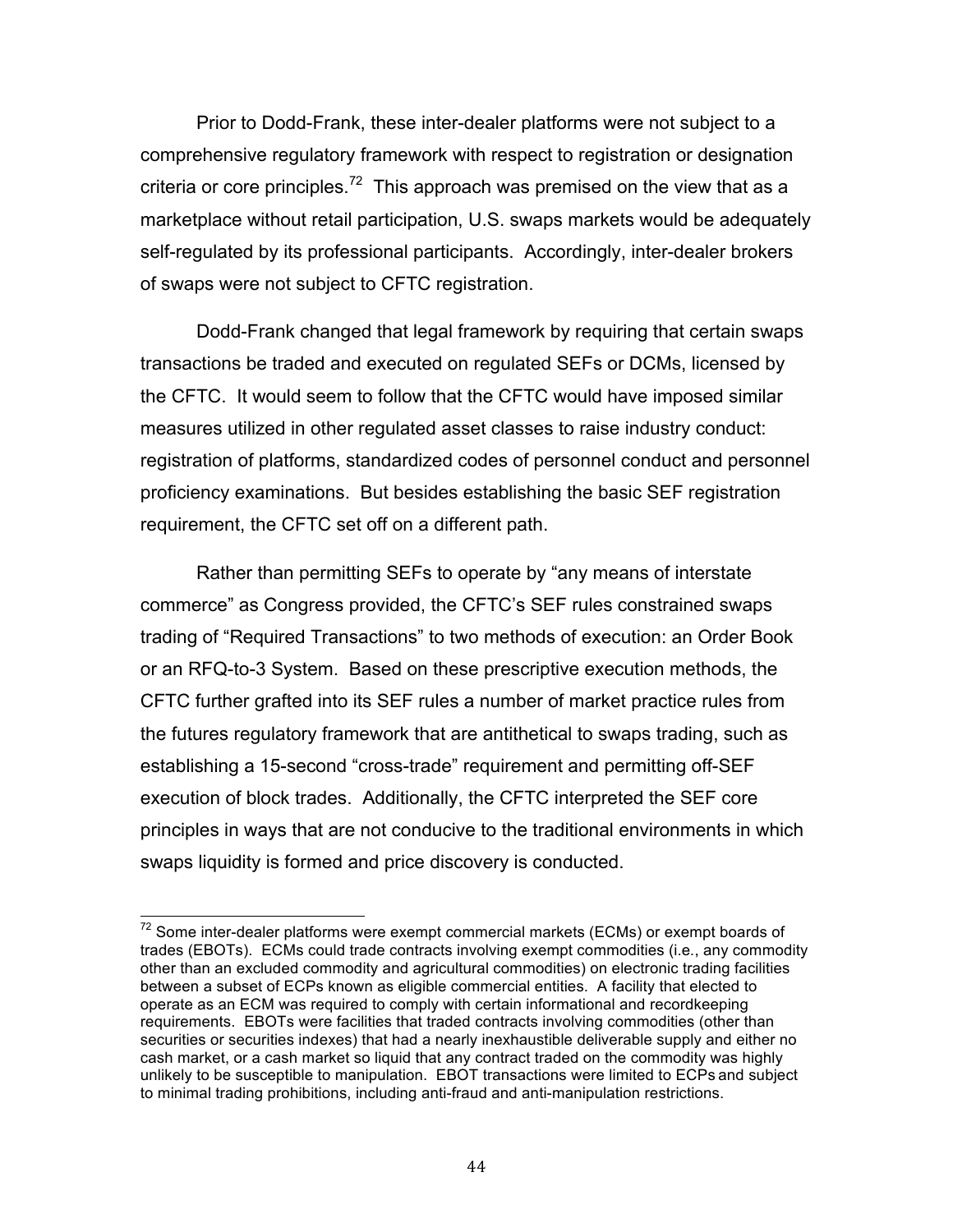Prior to Dodd-Frank, these inter-dealer platforms were not subject to a comprehensive regulatory framework with respect to registration or designation criteria or core principles.<sup>72</sup> This approach was premised on the view that as a marketplace without retail participation, U.S. swaps markets would be adequately self-regulated by its professional participants. Accordingly, inter-dealer brokers of swaps were not subject to CFTC registration.

 Dodd-Frank changed that legal framework by requiring that certain swaps transactions be traded and executed on regulated SEFs or DCMs, licensed by the CFTC. It would seem to follow that the CFTC would have imposed similar measures utilized in other regulated asset classes to raise industry conduct: registration of platforms, standardized codes of personnel conduct and personnel proficiency examinations. But besides establishing the basic SEF registration requirement, the CFTC set off on a different path.

 Rather than permitting SEFs to operate by "any means of interstate commerce" as Congress provided, the CFTC's SEF rules constrained swaps trading of "Required Transactions" to two methods of execution: an Order Book or an RFQ-to-3 System. Based on these prescriptive execution methods, the CFTC further grafted into its SEF rules a number of market practice rules from the futures regulatory framework that are antithetical to swaps trading, such as establishing a 15-second "cross-trade" requirement and permitting off-SEF execution of block trades. Additionally, the CFTC interpreted the SEF core principles in ways that are not conducive to the traditional environments in which swaps liquidity is formed and price discovery is conducted.

 $72$  Some inter-dealer platforms were exempt commercial markets (ECMs) or exempt boards of trades (EBOTs). ECMs could trade contracts involving exempt commodities (i.e*.*, any commodity other than an excluded commodity and agricultural commodities) on electronic trading facilities between a subset of ECPs known as eligible commercial entities. A facility that elected to operate as an ECM was required to comply with certain informational and recordkeeping requirements. EBOTs were facilities that traded contracts involving commodities (other than securities or securities indexes) that had a nearly inexhaustible deliverable supply and either no cash market, or a cash market so liquid that any contract traded on the commodity was highly unlikely to be susceptible to manipulation. EBOT transactions were limited to ECPs and subject to minimal trading prohibitions, including anti-fraud and anti-manipulation restrictions.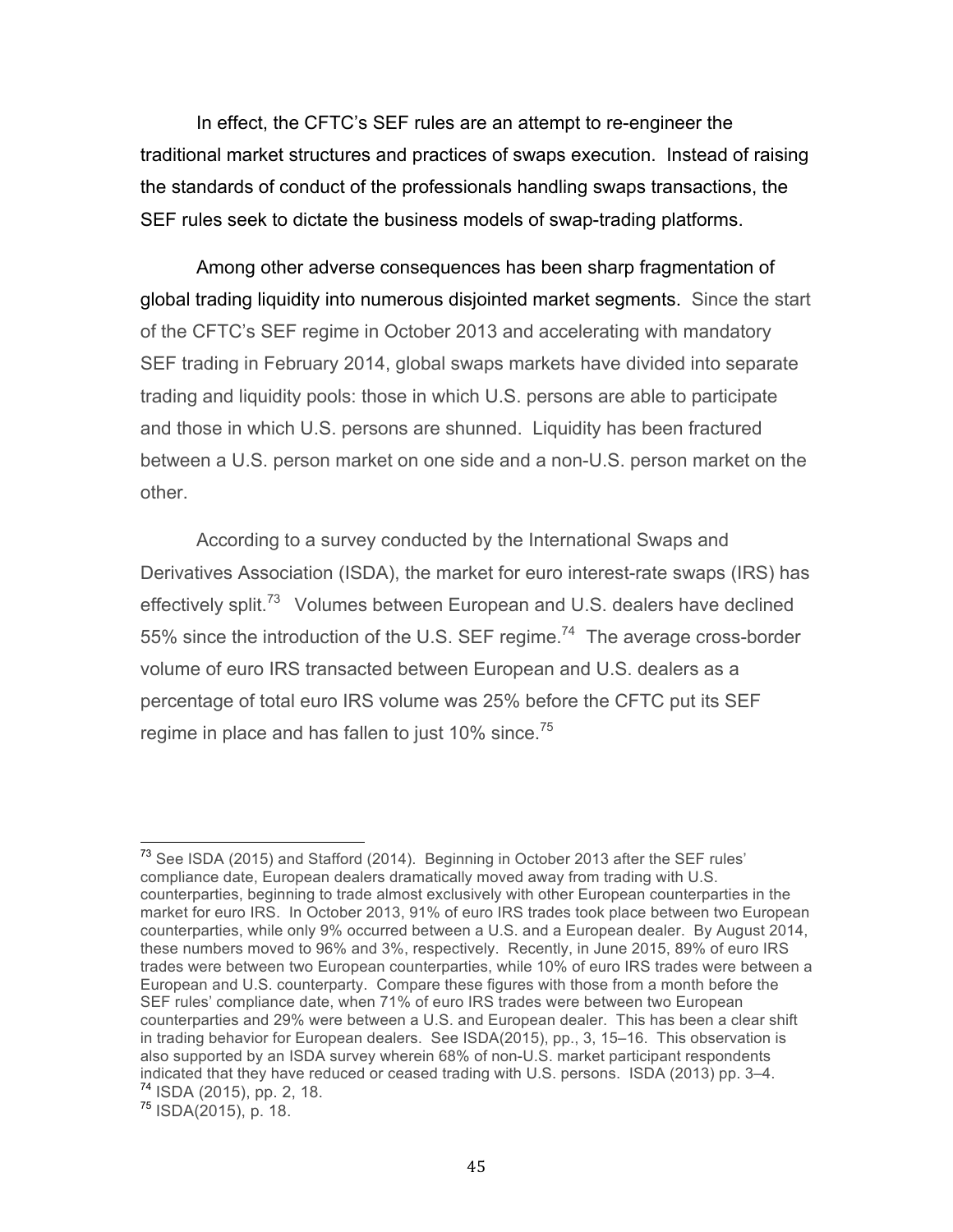In effect, the CFTC's SEF rules are an attempt to re-engineer the traditional market structures and practices of swaps execution. Instead of raising the standards of conduct of the professionals handling swaps transactions, the SEF rules seek to dictate the business models of swap-trading platforms.

 Among other adverse consequences has been sharp fragmentation of global trading liquidity into numerous disjointed market segments. Since the start of the CFTC's SEF regime in October 2013 and accelerating with mandatory SEF trading in February 2014, global swaps markets have divided into separate trading and liquidity pools: those in which U.S. persons are able to participate and those in which U.S. persons are shunned. Liquidity has been fractured between a U.S. person market on one side and a non-U.S. person market on the other.

 According to a survey conducted by the International Swaps and Derivatives Association (ISDA), the market for euro interest-rate swaps (IRS) has effectively split.<sup>73</sup> Volumes between European and U.S. dealers have declined 55% since the introduction of the U.S. SEF regime.<sup>74</sup> The average cross-border volume of euro IRS transacted between European and U.S. dealers as a percentage of total euro IRS volume was 25% before the CFTC put its SEF regime in place and has fallen to just 10% since. $^{75}$ 

75 ISDA(2015), p. 18.

 $73$  See ISDA (2015) and Stafford (2014). Beginning in October 2013 after the SEF rules' compliance date, European dealers dramatically moved away from trading with U.S. counterparties, beginning to trade almost exclusively with other European counterparties in the market for euro IRS. In October 2013, 91% of euro IRS trades took place between two European counterparties, while only 9% occurred between a U.S. and a European dealer. By August 2014, these numbers moved to 96% and 3%, respectively. Recently, in June 2015, 89% of euro IRS trades were between two European counterparties, while 10% of euro IRS trades were between a European and U.S. counterparty. Compare these figures with those from a month before the SEF rules' compliance date, when 71% of euro IRS trades were between two European counterparties and 29% were between a U.S. and European dealer. This has been a clear shift in trading behavior for European dealers. See ISDA(2015), pp., 3, 15–16. This observation is also supported by an ISDA survey wherein 68% of non-U.S. market participant respondents indicated that they have reduced or ceased trading with U.S. persons. ISDA (2013) pp. 3–4. 74 ISDA (2015), pp. 2, 18.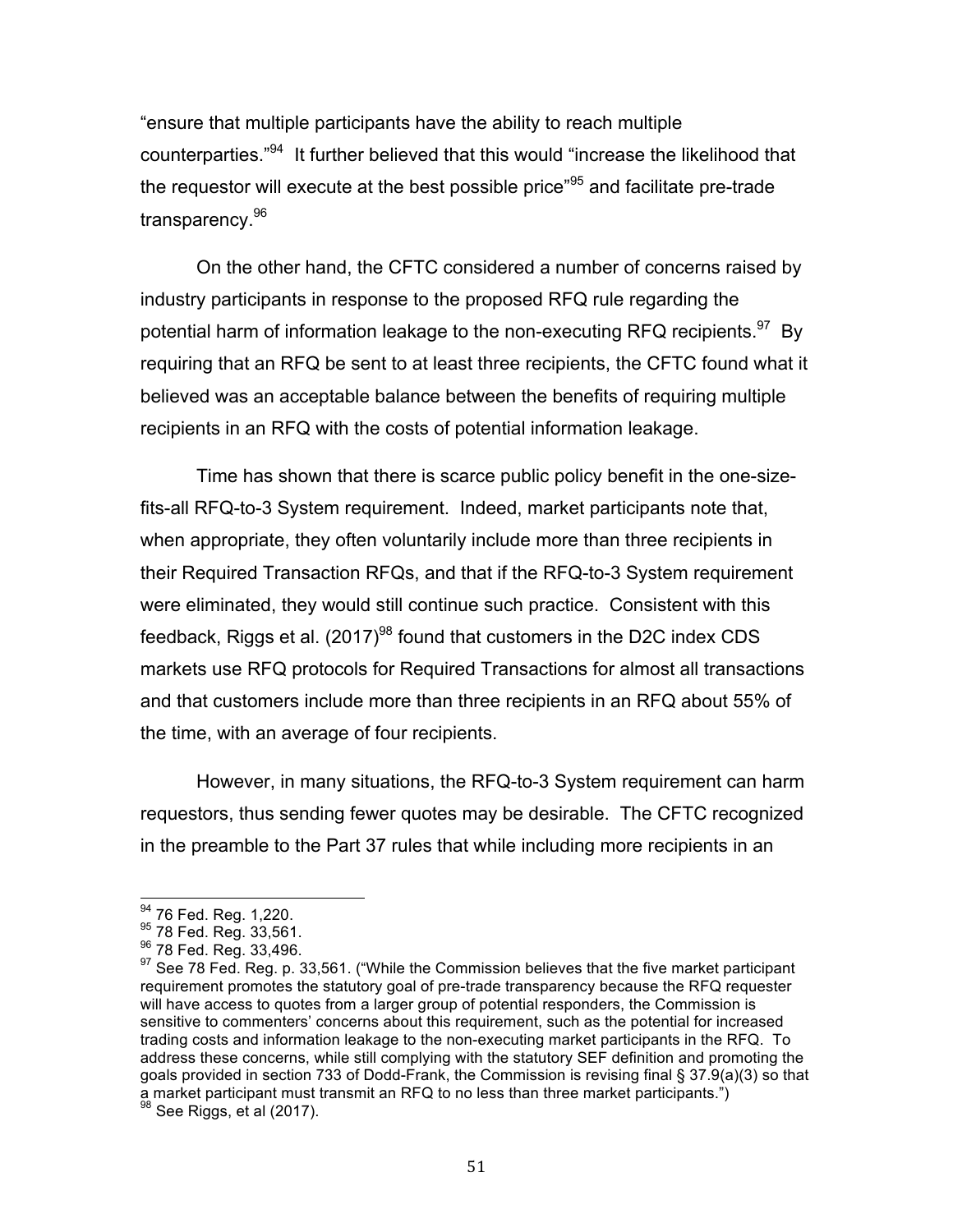"ensure that multiple participants have the ability to reach multiple counterparties."<sup>94</sup> It further believed that this would "increase the likelihood that the requestor will execute at the best possible price"<sup>95</sup> and facilitate pre-trade transparency.<sup>96</sup>

 On the other hand, the CFTC considered a number of concerns raised by industry participants in response to the proposed RFQ rule regarding the potential harm of information leakage to the non-executing RFQ recipients. $97$  By requiring that an RFQ be sent to at least three recipients, the CFTC found what it believed was an acceptable balance between the benefits of requiring multiple recipients in an RFQ with the costs of potential information leakage.

 Time has shown that there is scarce public policy benefit in the one-size- fits-all RFQ-to-3 System requirement. Indeed, market participants note that, when appropriate, they often voluntarily include more than three recipients in their Required Transaction RFQs, and that if the RFQ-to-3 System requirement were eliminated, they would still continue such practice. Consistent with this feedback, Riggs et al. (2017) $^{98}$  found that customers in the D2C index CDS markets use RFQ protocols for Required Transactions for almost all transactions and that customers include more than three recipients in an RFQ about 55% of the time, with an average of four recipients.

 However, in many situations, the RFQ-to-3 System requirement can harm requestors, thus sending fewer quotes may be desirable. The CFTC recognized in the preamble to the Part 37 rules that while including more recipients in an

<sup>94 76</sup> Fed. Reg. 1,220.

<sup>95 78</sup> Fed. Reg. 33,561.

<sup>&</sup>lt;sup>96</sup> 78 Fed. Reg. 33,496.

<sup>&</sup>lt;sup>94</sup> 76 Fed. Reg. 1,220.<br><sup>95</sup> 78 Fed. Reg. 33,561.<br><sup>96</sup> 78 Fed. Reg. 33,496.<br><sup>97</sup> See 78 Fed. Reg. p. 33,561. ("While the Commission believes that the five market participant requirement promotes the statutory goal of pre-trade transparency because the RFQ requester will have access to quotes from a larger group of potential responders, the Commission is sensitive to commenters' concerns about this requirement, such as the potential for increased trading costs and information leakage to the non-executing market participants in the RFQ. To address these concerns, while still complying with the statutory SEF definition and promoting the goals provided in section 733 of Dodd-Frank, the Commission is revising final § 37.9(a)(3) so that a market participant must transmit an RFQ to no less than three market participants.")

 $98$  See Riggs, et al (2017).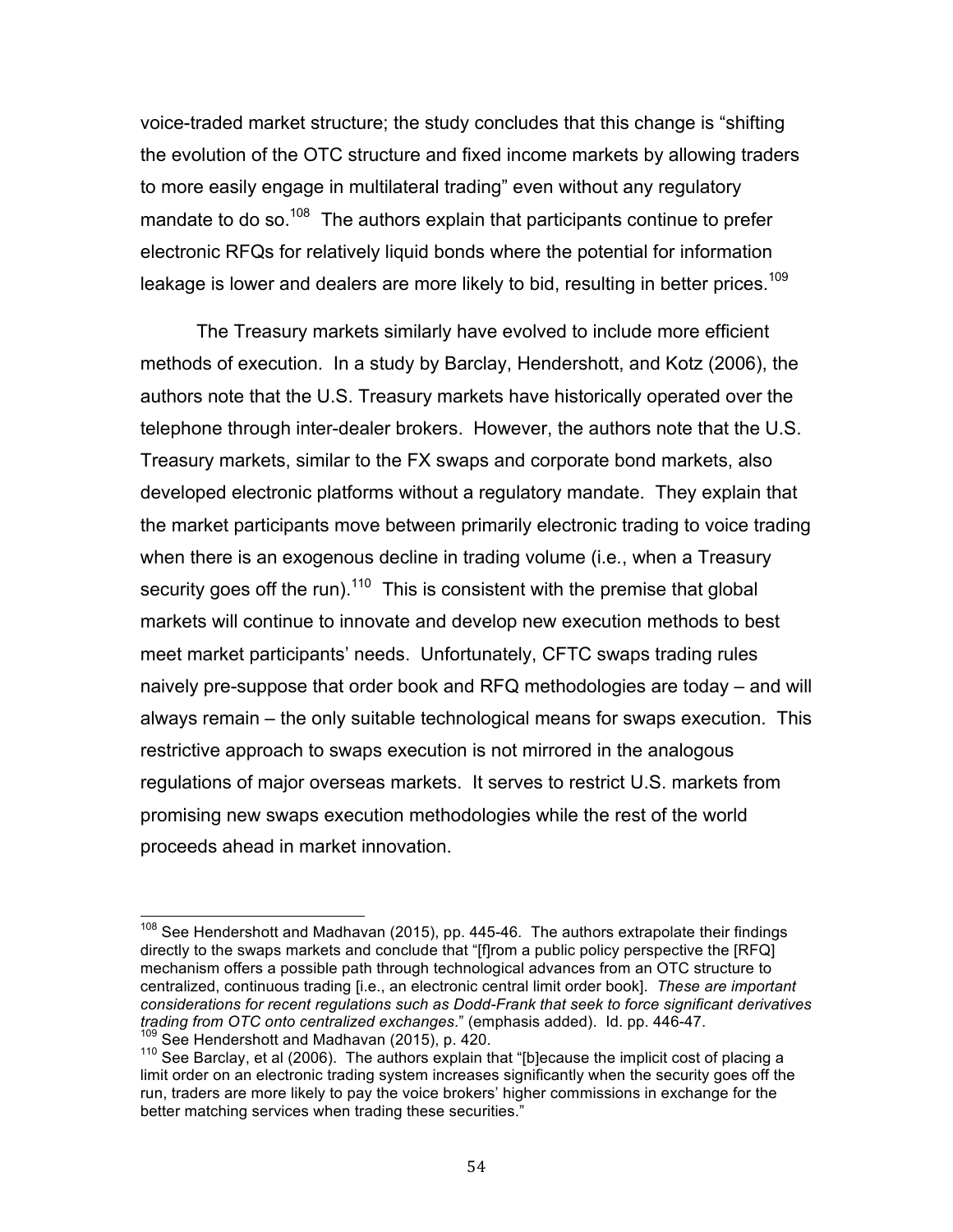Under current regulations, both the CFTC and SEFs or DCMs play a role in the MAT process.<sup>61</sup> SEFs and DCMs initiate the MAT process by submitting to the CFTC the SEF's or DCM's determination that a swap is MAT, either for CFTC approval<sup>62</sup> or through the self-certification process.<sup>63</sup> Pursuant to CFTC regulations, a SEF's or DCM's determination must consider at least one of the following criteria:

(1) whether there are ready and willing buyers and sellers;

- (2) the frequency or size of transactions;
- (3) the trading volume;
- (4) the number and types of market participants;
- (5) the bid/ask spread; or
- (6) the usual number of resting firm or indicative bids and offers.

The CFTC is responsible for reviewing a SEF's or DCM's MAT determination, and may only deny approval or certification of a SEF or DCM filing if it finds that the submission is inconsistent with the Act or CFTC regulations.<sup>64</sup> Otherwise, the swap will be deemed to be MAT, and transactions involving the MAT swap will be subject to the Trade Execution Requirement.<sup>65</sup>

CFTC regulations create two categories of swap transactions, which determine how swaps can be traded and executed on a SEF: (1) Required Transactions (i.e., any transaction involving a MAT swap that is not subject to a clearing exception or exemption); $^{66}$  and (2) Permitted Transactions (i.e., any transaction that is not a Required Transaction).<sup>67</sup> Required Transactions must be traded and executed on a SEF through either an Order Book or a request-forquote (RFQ) system that operates in conjunction with an Order Book and in which the RFQ is sent to at least three unaffiliated participants (RFQ-to-3)

<sup>61 17</sup> C.F.R. 37.10 and 38.12.

<sup>&</sup>lt;sup>62</sup> 17 C.F.R. 40.5.

 $63$  17 C.F.R. 40.6.

<sup>64 78</sup> Fed. Reg. pp. 33,607 and 33,610.

 $65$  See note 6 above.

 $66$  17 C.F.R. 37.9(a)(1).

 $67$  17 C.F.R. 37.9(c)(1).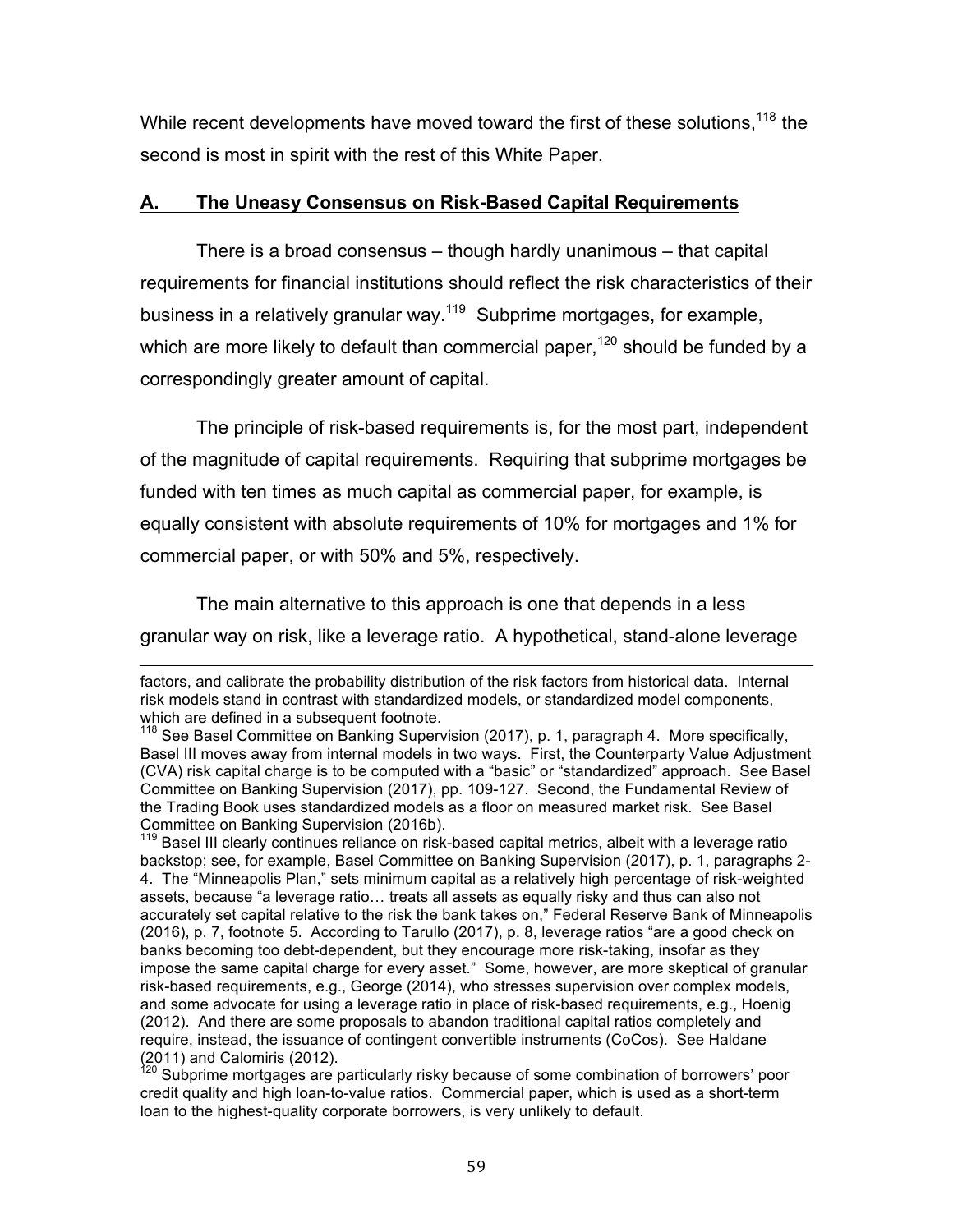#### 3. SWAPS EXECUTION RULES

### A. Introduction

Congress provided statutory goals for Dodd-Frank's sevap execution facility (SEF) framework: "to promote the trading of swaps on SEFand "to promote pre-trade price transparency in the swaps market Congress required that all swaps subect to the clearing requirement (clearing mandate swaps) executed on a SEF or designated contract market (DCM) unlessDCM or SEF makes the swap available to trade or for swap transactions subect to the clearing exception (the Trade Execution Requirement). Congress chose to t mandate that SEFs utilize any particular method of tradingxecution. Instead, Congress defined the term SEF to mean a "trading system or platform in which multiple participants have the ability to execute or trade swaps [through any] means of interstate commerce.<sup>755</sup>

The CFTC promulgated regulations providing a process that allows DCMs or SEFs to identify clearing mandate swaps tlane "made available to trade" (MAT) and thus subect to the Trade Execution Requirement These swaps must be traded or executed via specified execution methodad not "through any means of interstate commerce." Additionally, CFFE Gulations require that

 $53$  CEA section 5h(e);  $[**U.S.C.**$  **.** 

 $54$  CEA section 2(h)(8; [U.S.C. 2(h)(8). The Act and Commission regulations provide a clearing exception where one of theounterparies to the swapis an end user or araffiliated entity of an end user. See CEA section 2(h)(); U.S.C. 2(h)() and 1 C.F.R. 3.6. In addi tion. Commission regulations provide a clearing exemption for swaps between eligible affiliated counterparties pursuant to 1 C.F.R. 50.52. The preamble to the final rules promulgating the process for determining whether a swap is "made available to trade" ("MAT") similarly provides that interaffiliate swaps that are exempt from clearing under Commission regulation 50.52 also are not subect to the Trade Execution Requiremensee 8 Fed. Reg. 33,606 n.1. 55 CEA section 1a(50); [U.S.C. 1a(50).

<sup>56</sup> See 1 C .F.R. 310, 312, 38.11 and 38.12; "Process for a Designated Contract Market or Swap Execution Facility To Make a Swap Available to Trade, Swap Transaction Compliance and Implementation Schedule, and Trade Execution Requirement Under the Commodity Exceha Act," 8 Fed. Reg. 33,606 (Jun. 4, 2013).

 $1$  C.F.R. 3 (a)(1), 3 (a)(2), 3 10, and 3 12.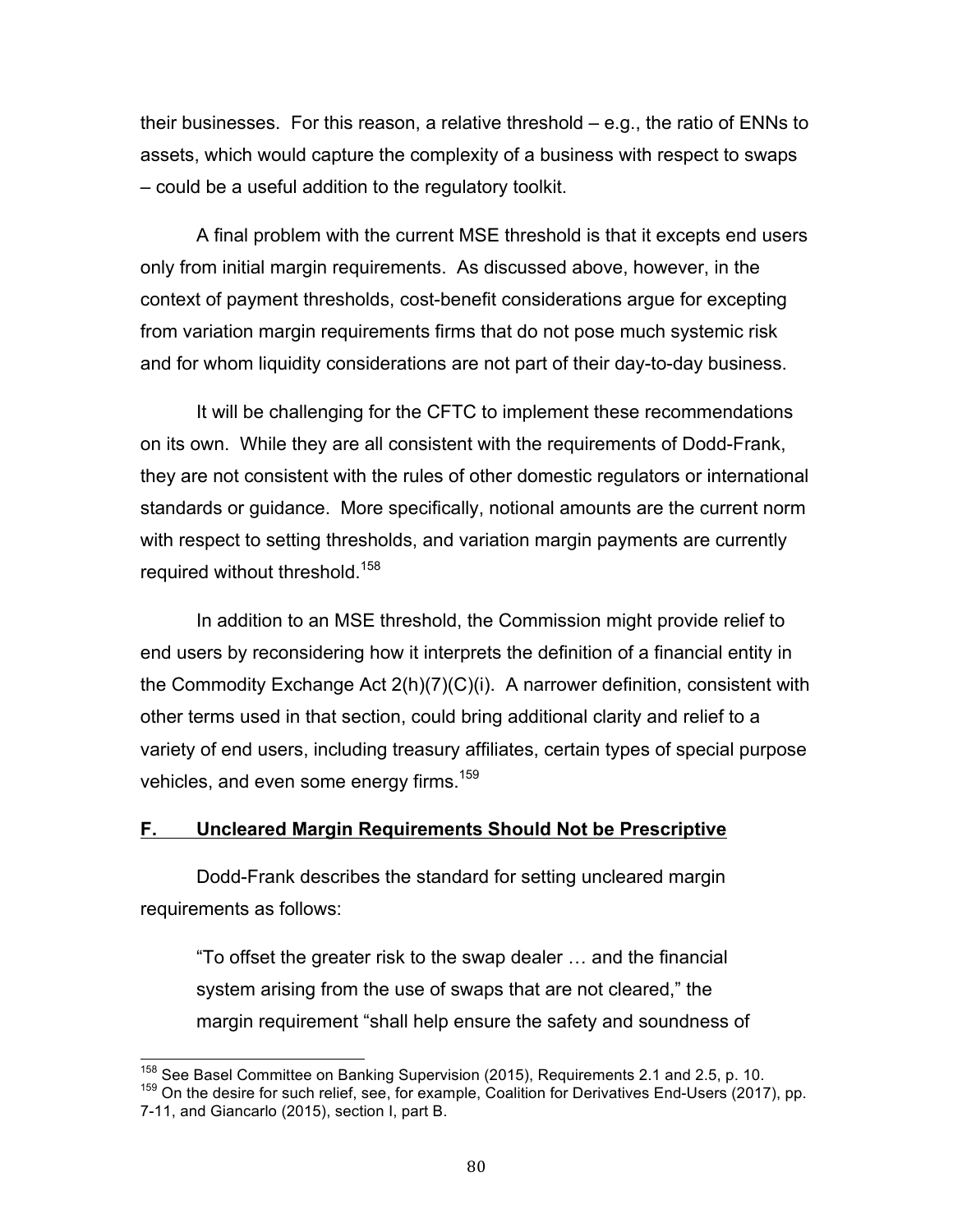their businesses. For this reason, a relative threshold – e.g., the ratio of ENNs to assets, which would capture the complexity of a business with respect to swaps – could be a useful addition to the regulatory toolkit.

 A final problem with the current MSE threshold is that it excepts end users only from initial margin requirements. As discussed above, however, in the context of payment thresholds, cost-benefit considerations argue for excepting from variation margin requirements firms that do not pose much systemic risk and for whom liquidity considerations are not part of their day-to-day business.

 It will be challenging for the CFTC to implement these recommendations on its own. While they are all consistent with the requirements of Dodd-Frank, they are not consistent with the rules of other domestic regulators or international standards or guidance. More specifically, notional amounts are the current norm with respect to setting thresholds, and variation margin payments are currently required without threshold.<sup>158</sup>

 In addition to an MSE threshold, the Commission might provide relief to end users by reconsidering how it interprets the definition of a financial entity in the Commodity Exchange Act 2(h)(7)(C)(i). A narrower definition, consistent with other terms used in that section, could bring additional clarity and relief to a variety of end users, including treasury affiliates, certain types of special purpose vehicles, and even some energy firms. $159$ 

## **F. Uncleared Margin Requirements Should Not be Prescriptive**

 Dodd-Frank describes the standard for setting uncleared margin requirements as follows:

 "To offset the greater risk to the swap dealer … and the financial system arising from the use of swaps that are not cleared," the margin requirement "shall help ensure the safety and soundness of

<sup>&</sup>lt;sup>158</sup> See Basel Committee on Banking Supervision (2015), Reguirements 2.1 and 2.5, p. 10. <sup>158</sup> See Basel Committee on Banking Supervision (2015), Requirements 2.1 and 2.5, p. 10.<br><sup>159</sup> On the desire for such relief, see, for example, Coalition for Derivatives End-Users (2017), pp.

 7-11, and Giancarlo (2015), section I, part B.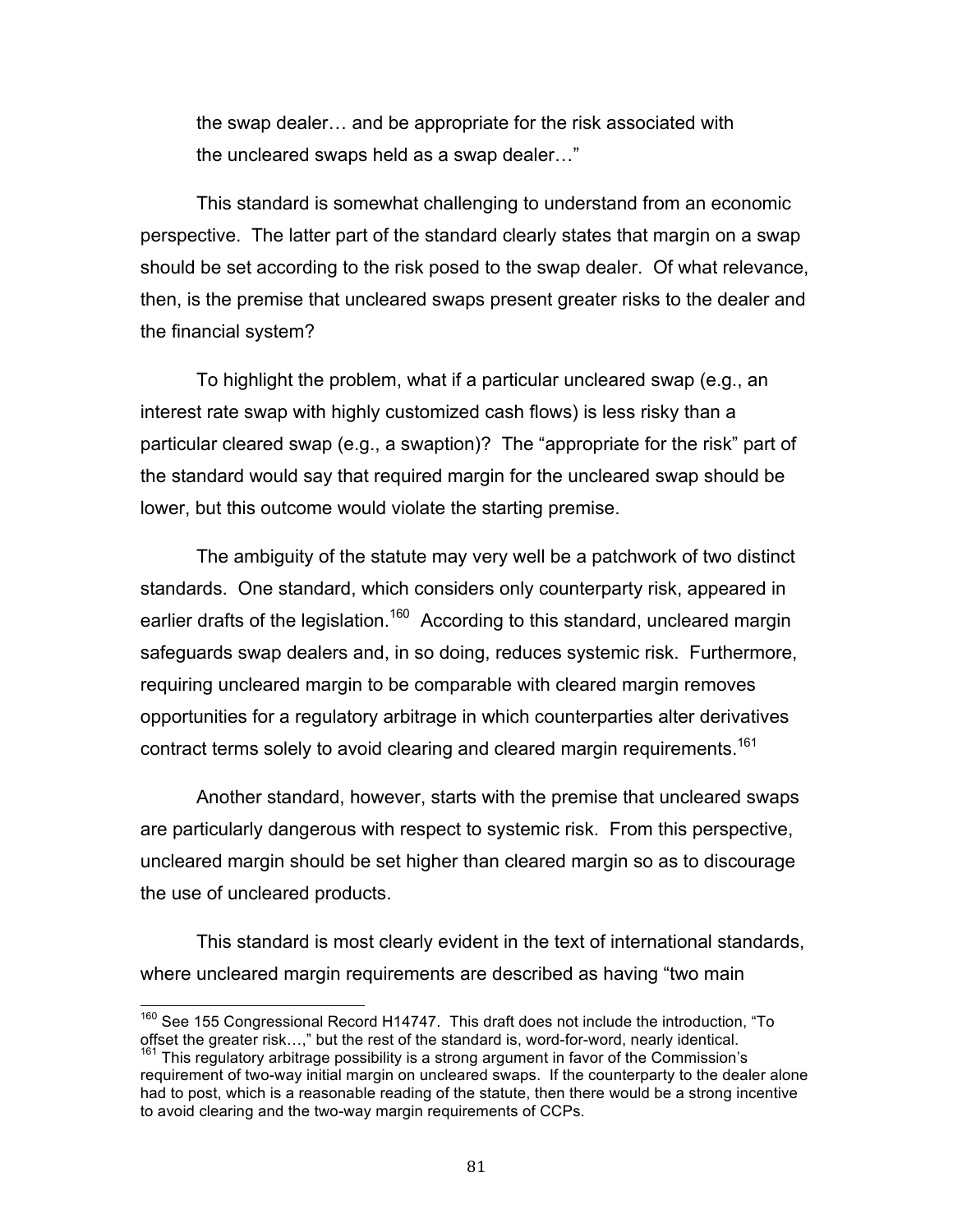the swap dealer… and be appropriate for the risk associated with the uncleared swaps held as a swap dealer…"

 This standard is somewhat challenging to understand from an economic perspective. The latter part of the standard clearly states that margin on a swap should be set according to the risk posed to the swap dealer. Of what relevance, then, is the premise that uncleared swaps present greater risks to the dealer and the financial system?

 To highlight the problem, what if a particular uncleared swap (e.g., an interest rate swap with highly customized cash flows) is less risky than a particular cleared swap (e.g., a swaption)? The "appropriate for the risk" part of the standard would say that required margin for the uncleared swap should be lower, but this outcome would violate the starting premise.

 The ambiguity of the statute may very well be a patchwork of two distinct standards. One standard, which considers only counterparty risk, appeared in earlier drafts of the legislation.<sup>160</sup> According to this standard, uncleared margin safeguards swap dealers and, in so doing, reduces systemic risk. Furthermore, requiring uncleared margin to be comparable with cleared margin removes opportunities for a regulatory arbitrage in which counterparties alter derivatives contract terms solely to avoid clearing and cleared margin requirements.<sup>161</sup>

 Another standard, however, starts with the premise that uncleared swaps are particularly dangerous with respect to systemic risk. From this perspective, uncleared margin should be set higher than cleared margin so as to discourage the use of uncleared products.

 This standard is most clearly evident in the text of international standards, where uncleared margin requirements are described as having "two main

 $160$  See 155 Congressional Record H14747. This draft does not include the introduction, "To offset the greater risk...," but the rest of the standard is, word-for-word, nearly identical. offset the greater risk…," but the rest of the standard is, word-for-word, nearly identical.<br><sup>161</sup> This regulatory arbitrage possibility is a strong argument in favor of the Commission's

 requirement of two-way initial margin on uncleared swaps. If the counterparty to the dealer alone had to post, which is a reasonable reading of the statute, then there would be a strong incentive to avoid clearing and the two-way margin requirements of CCPs.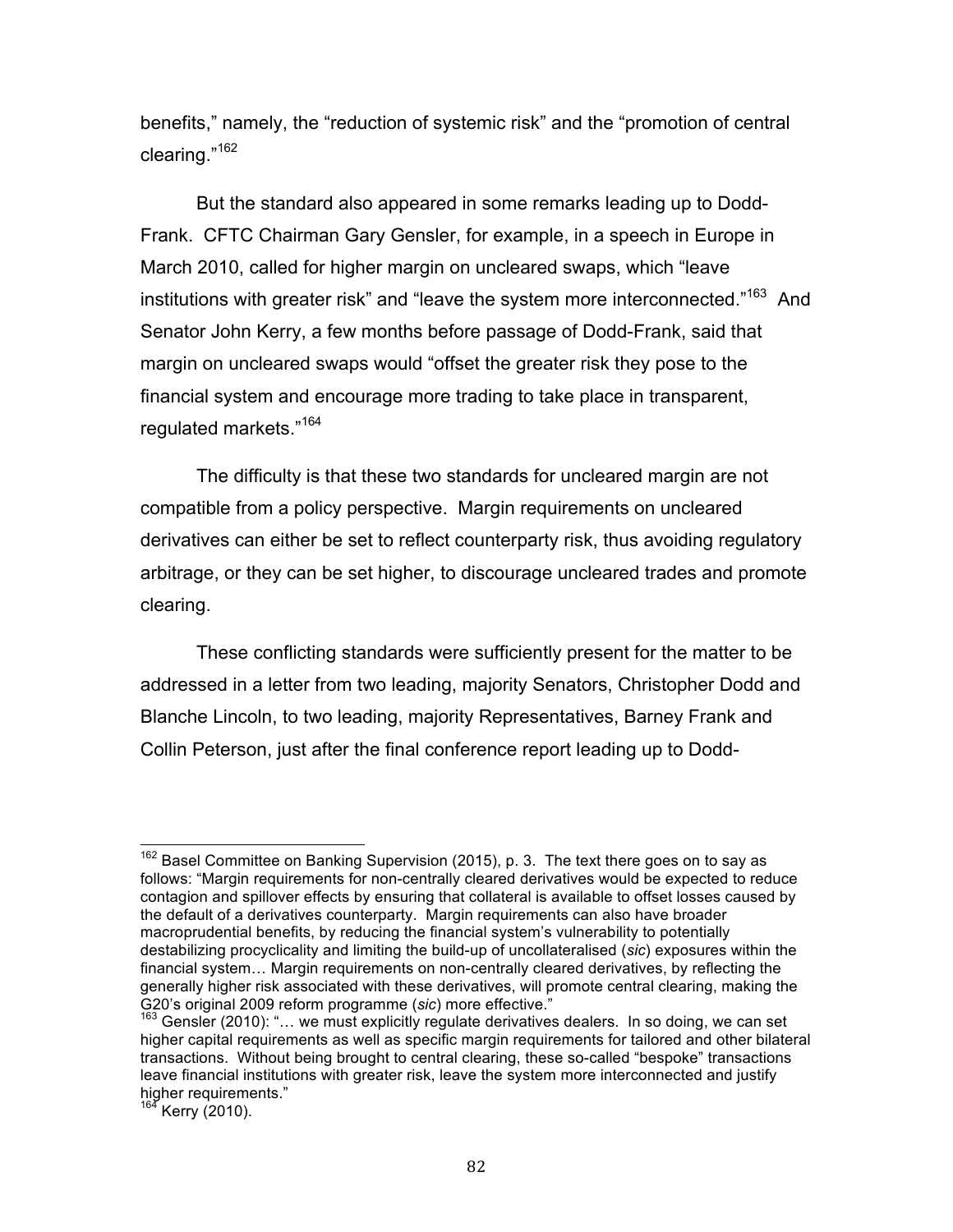benefits," namely, the "reduction of systemic risk" and the "promotion of central clearing."<sup>162</sup>

 But the standard also appeared in some remarks leading up to Dodd- Frank. CFTC Chairman Gary Gensler, for example, in a speech in Europe in March 2010, called for higher margin on uncleared swaps, which "leave institutions with greater risk" and "leave the system more interconnected."<sup>163</sup> And Senator John Kerry, a few months before passage of Dodd-Frank, said that margin on uncleared swaps would "offset the greater risk they pose to the financial system and encourage more trading to take place in transparent, regulated markets."<sup>164</sup>

 The difficulty is that these two standards for uncleared margin are not compatible from a policy perspective. Margin requirements on uncleared derivatives can either be set to reflect counterparty risk, thus avoiding regulatory arbitrage, or they can be set higher, to discourage uncleared trades and promote clearing.

 These conflicting standards were sufficiently present for the matter to be addressed in a letter from two leading, majority Senators, Christopher Dodd and Blanche Lincoln, to two leading, majority Representatives, Barney Frank and Collin Peterson, just after the final conference report leading up to Dodd-

 $\frac{1}{2}$ Kerry (2010).

 $162$  Basel Committee on Banking Supervision (2015), p. 3. The text there goes on to say as follows: "Margin requirements for non-centrally cleared derivatives would be expected to reduce contagion and spillover effects by ensuring that collateral is available to offset losses caused by the default of a derivatives counterparty. Margin requirements can also have broader macroprudential benefits, by reducing the financial system's vulnerability to potentially destabilizing procyclicality and limiting the build-up of uncollateralised (*sic*) exposures within the financial system… Margin requirements on non-centrally cleared derivatives, by reflecting the generally higher risk associated with these derivatives, will promote central clearing, making the G20's original 2009 reform programme (sic) more effective."

G20's original 2009 reform programme (*sic*) more effective."<br><sup>163</sup> Gensler (2010): "… we must explicitly regulate derivatives dealers. In so doing, we can set higher capital requirements as well as specific margin requirements for tailored and other bilateral transactions. Without being brought to central clearing, these so-called "bespoke" transactions leave financial institutions with greater risk, leave the system more interconnected and justify higher requirements."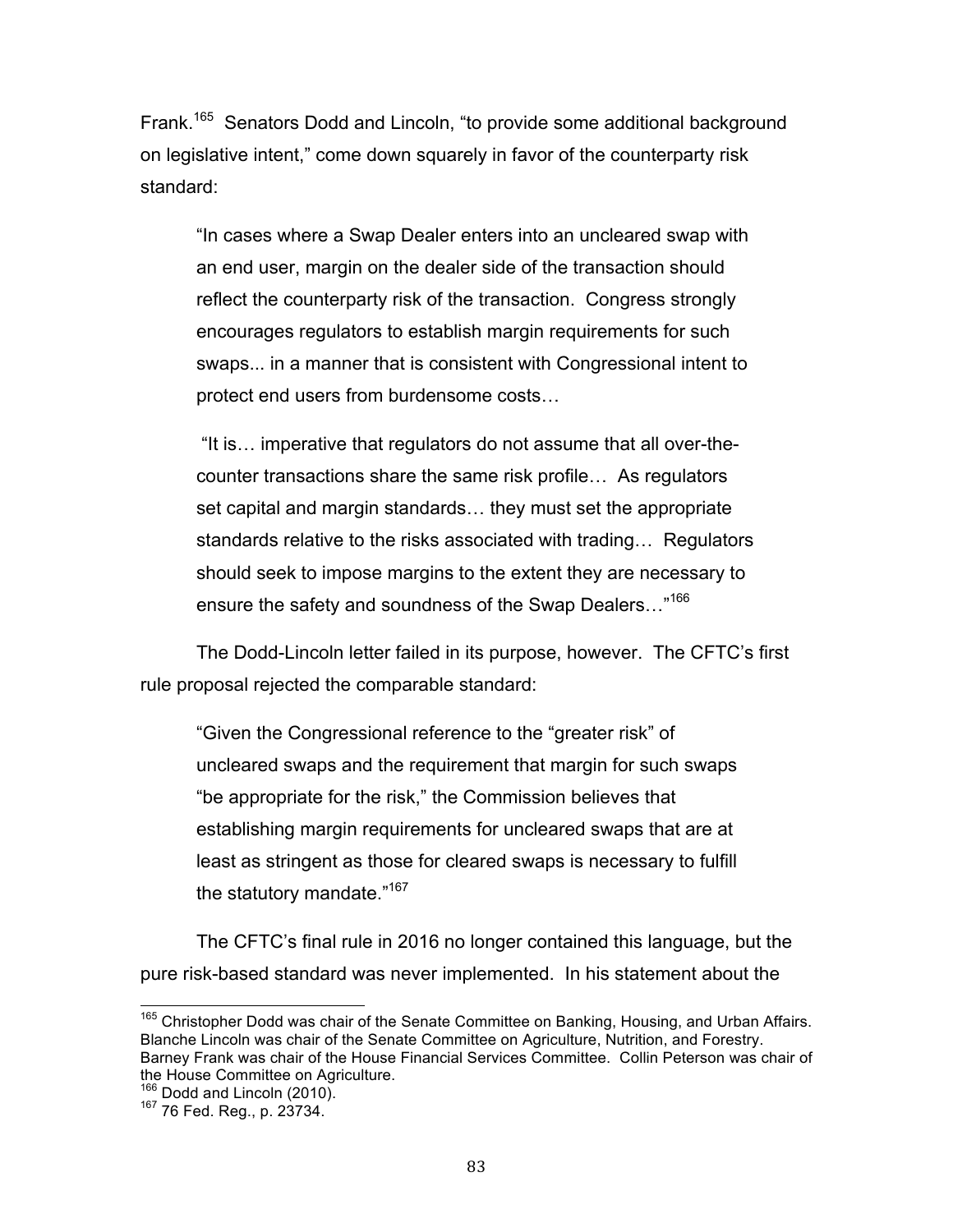Frank.<sup>165</sup> Senators Dodd and Lincoln, "to provide some additional background on legislative intent," come down squarely in favor of the counterparty risk standard:

 "In cases where a Swap Dealer enters into an uncleared swap with an end user, margin on the dealer side of the transaction should reflect the counterparty risk of the transaction. Congress strongly encourages regulators to establish margin requirements for such swaps... in a manner that is consistent with Congressional intent to protect end users from burdensome costs…

 "It is… imperative that regulators do not assume that all over-the- counter transactions share the same risk profile… As regulators set capital and margin standards… they must set the appropriate standards relative to the risks associated with trading… Regulators should seek to impose margins to the extent they are necessary to ensure the safety and soundness of the Swap Dealers..."<sup>166</sup>

 The Dodd-Lincoln letter failed in its purpose, however. The CFTC's first rule proposal rejected the comparable standard:

 "Given the Congressional reference to the "greater risk" of uncleared swaps and the requirement that margin for such swaps "be appropriate for the risk," the Commission believes that establishing margin requirements for uncleared swaps that are at least as stringent as those for cleared swaps is necessary to fulfill the statutory mandate."<sup>167</sup>

 The CFTC's final rule in 2016 no longer contained this language, but the pure risk-based standard was never implemented. In his statement about the

<sup>&</sup>lt;sup>165</sup> Christopher Dodd was chair of the Senate Committee on Banking, Housing, and Urban Affairs. Blanche Lincoln was chair of the Senate Committee on Agriculture, Nutrition, and Forestry. Barney Frank was chair of the House Financial Services Committee. Collin Peterson was chair of the House Committee on Agriculture.

<sup>&</sup>lt;sup>166</sup> Dodd and Lincoln (2010).

<sup>167 76</sup> Fed. Reg., p. 23734.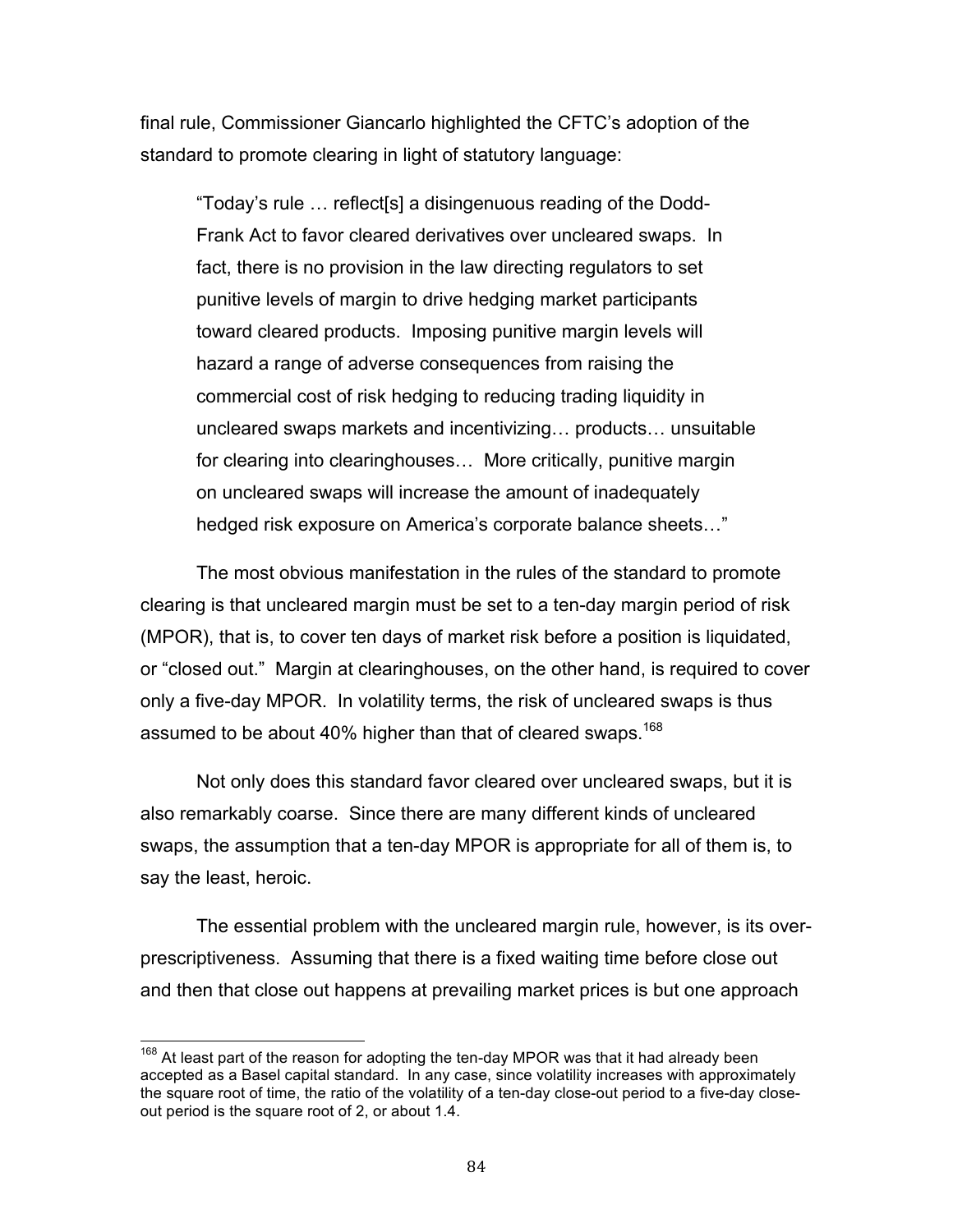final rule, Commissioner Giancarlo highlighted the CFTC's adoption of the standard to promote clearing in light of statutory language:

 "Today's rule … reflect[s] a disingenuous reading of the Dodd- Frank Act to favor cleared derivatives over uncleared swaps. In fact, there is no provision in the law directing regulators to set punitive levels of margin to drive hedging market participants toward cleared products. Imposing punitive margin levels will hazard a range of adverse consequences from raising the commercial cost of risk hedging to reducing trading liquidity in for clearing into clearinghouses… More critically, punitive margin on uncleared swaps will increase the amount of inadequately hedged risk exposure on America's corporate balance sheets…" uncleared swaps markets and incentivizing… products… unsuitable

 The most obvious manifestation in the rules of the standard to promote clearing is that uncleared margin must be set to a ten-day margin period of risk (MPOR), that is, to cover ten days of market risk before a position is liquidated, or "closed out." Margin at clearinghouses, on the other hand, is required to cover only a five-day MPOR. In volatility terms, the risk of uncleared swaps is thus assumed to be about 40% higher than that of cleared swaps.<sup>168</sup>

 Not only does this standard favor cleared over uncleared swaps, but it is also remarkably coarse. Since there are many different kinds of uncleared swaps, the assumption that a ten-day MPOR is appropriate for all of them is, to say the least, heroic.

 The essential problem with the uncleared margin rule, however, is its over- prescriptiveness. Assuming that there is a fixed waiting time before close out and then that close out happens at prevailing market prices is but one approach

 $168$  At least part of the reason for adopting the ten-day MPOR was that it had already been accepted as a Basel capital standard. In any case, since volatility increases with approximately the square root of time, the ratio of the volatility of a ten-day close-out period to a five-day close-out period is the square root of 2, or about 1.4.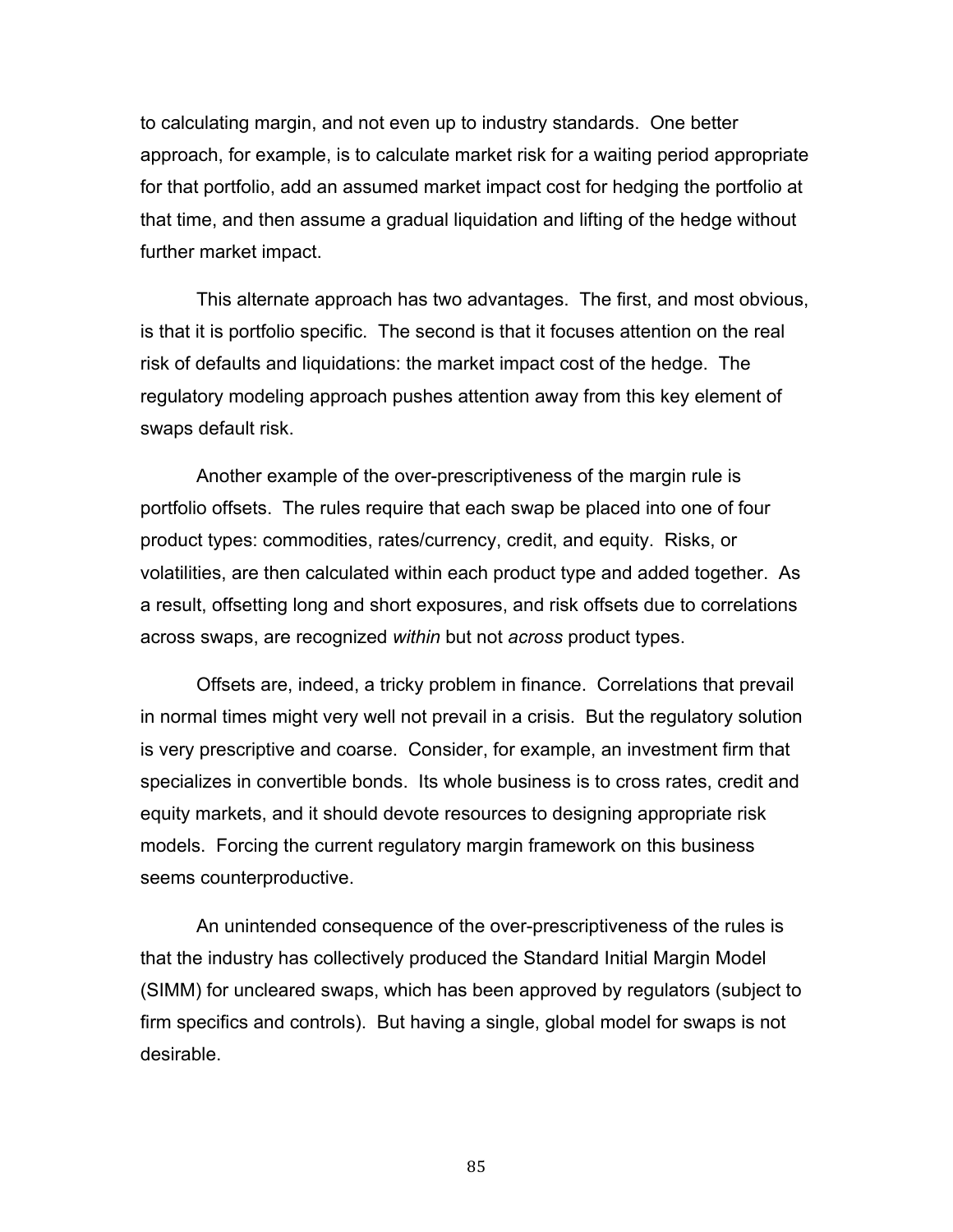to calculating margin, and not even up to industry standards. One better approach, for example, is to calculate market risk for a waiting period appropriate for that portfolio, add an assumed market impact cost for hedging the portfolio at that time, and then assume a gradual liquidation and lifting of the hedge without further market impact.

 This alternate approach has two advantages. The first, and most obvious, is that it is portfolio specific. The second is that it focuses attention on the real risk of defaults and liquidations: the market impact cost of the hedge. The regulatory modeling approach pushes attention away from this key element of swaps default risk.

 Another example of the over-prescriptiveness of the margin rule is portfolio offsets. The rules require that each swap be placed into one of four product types: commodities, rates/currency, credit, and equity. Risks, or volatilities, are then calculated within each product type and added together. As a result, offsetting long and short exposures, and risk offsets due to correlations across swaps, are recognized *within* but not *across* product types.

 Offsets are, indeed, a tricky problem in finance. Correlations that prevail in normal times might very well not prevail in a crisis. But the regulatory solution is very prescriptive and coarse. Consider, for example, an investment firm that specializes in convertible bonds. Its whole business is to cross rates, credit and equity markets, and it should devote resources to designing appropriate risk models. Forcing the current regulatory margin framework on this business seems counterproductive.

 An unintended consequence of the over-prescriptiveness of the rules is that the industry has collectively produced the Standard Initial Margin Model (SIMM) for uncleared swaps, which has been approved by regulators (subject to firm specifics and controls). But having a single, global model for swaps is not desirable.

85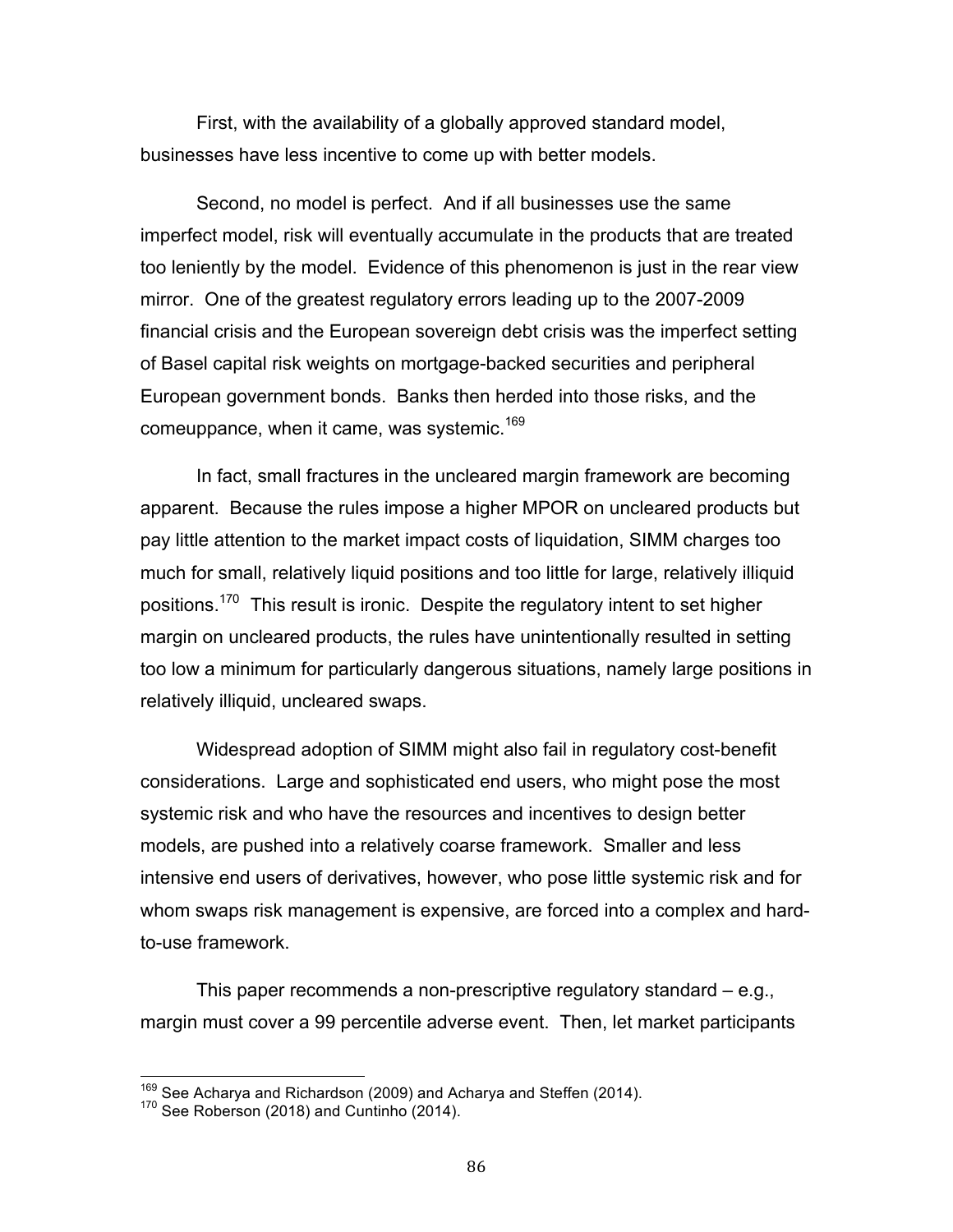First, with the availability of a globally approved standard model, businesses have less incentive to come up with better models.

 Second, no model is perfect. And if all businesses use the same imperfect model, risk will eventually accumulate in the products that are treated too leniently by the model. Evidence of this phenomenon is just in the rear view mirror. One of the greatest regulatory errors leading up to the 2007-2009 financial crisis and the European sovereign debt crisis was the imperfect setting of Basel capital risk weights on mortgage-backed securities and peripheral European government bonds. Banks then herded into those risks, and the comeuppance, when it came, was systemic.<sup>169</sup>

 In fact, small fractures in the uncleared margin framework are becoming apparent. Because the rules impose a higher MPOR on uncleared products but pay little attention to the market impact costs of liquidation, SIMM charges too much for small, relatively liquid positions and too little for large, relatively illiquid positions.<sup>170</sup> This result is ironic. Despite the regulatory intent to set higher margin on uncleared products, the rules have unintentionally resulted in setting too low a minimum for particularly dangerous situations, namely large positions in relatively illiquid, uncleared swaps.

 Widespread adoption of SIMM might also fail in regulatory cost-benefit considerations. Large and sophisticated end users, who might pose the most systemic risk and who have the resources and incentives to design better models, are pushed into a relatively coarse framework. Smaller and less intensive end users of derivatives, however, who pose little systemic risk and for whom swaps risk management is expensive, are forced into a complex and hard-to-use framework.

 This paper recommends a non-prescriptive regulatory standard – e.g., margin must cover a 99 percentile adverse event. Then, let market participants

 <sup>169</sup> See Acharya and Richardson (2009) and Acharya and Steffen (2014).<br><sup>170</sup> See Roberson (2018) and Cuntinho (2014).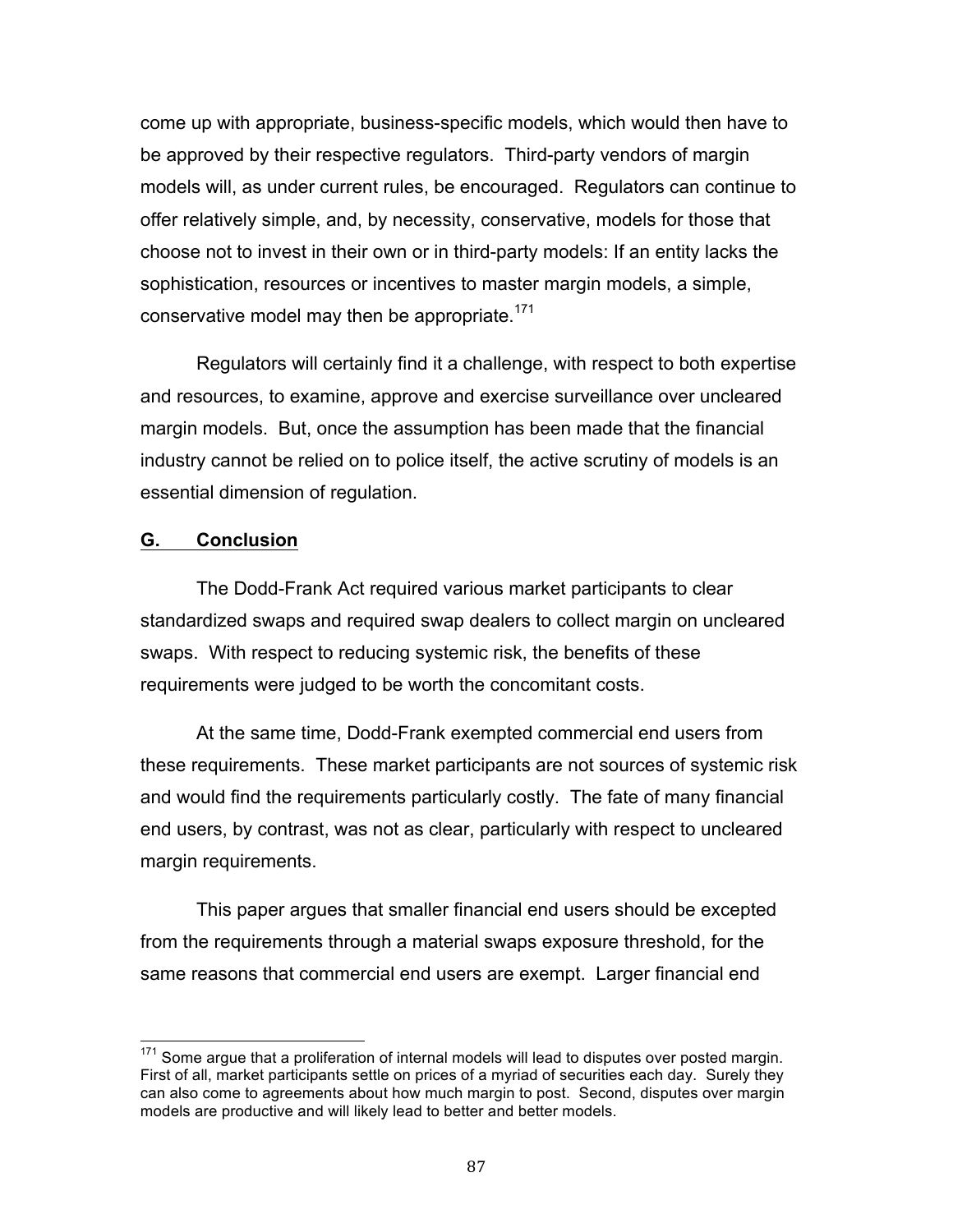come up with appropriate, business-specific models, which would then have to be approved by their respective regulators. Third-party vendors of margin models will, as under current rules, be encouraged. Regulators can continue to offer relatively simple, and, by necessity, conservative, models for those that choose not to invest in their own or in third-party models: If an entity lacks the sophistication, resources or incentives to master margin models, a simple, conservative model may then be appropriate.<sup>171</sup>

 Regulators will certainly find it a challenge, with respect to both expertise and resources, to examine, approve and exercise surveillance over uncleared margin models. But, once the assumption has been made that the financial industry cannot be relied on to police itself, the active scrutiny of models is an essential dimension of regulation.

## **G. Conclusion**

 The Dodd-Frank Act required various market participants to clear standardized swaps and required swap dealers to collect margin on uncleared swaps. With respect to reducing systemic risk, the benefits of these requirements were judged to be worth the concomitant costs.

 At the same time, Dodd-Frank exempted commercial end users from these requirements. These market participants are not sources of systemic risk and would find the requirements particularly costly. The fate of many financial end users, by contrast, was not as clear, particularly with respect to uncleared margin requirements.

 This paper argues that smaller financial end users should be excepted from the requirements through a material swaps exposure threshold, for the same reasons that commercial end users are exempt. Larger financial end

 $171$  Some argue that a proliferation of internal models will lead to disputes over posted margin. First of all, market participants settle on prices of a myriad of securities each day. Surely they can also come to agreements about how much margin to post. Second, disputes over margin models are productive and will likely lead to better and better models.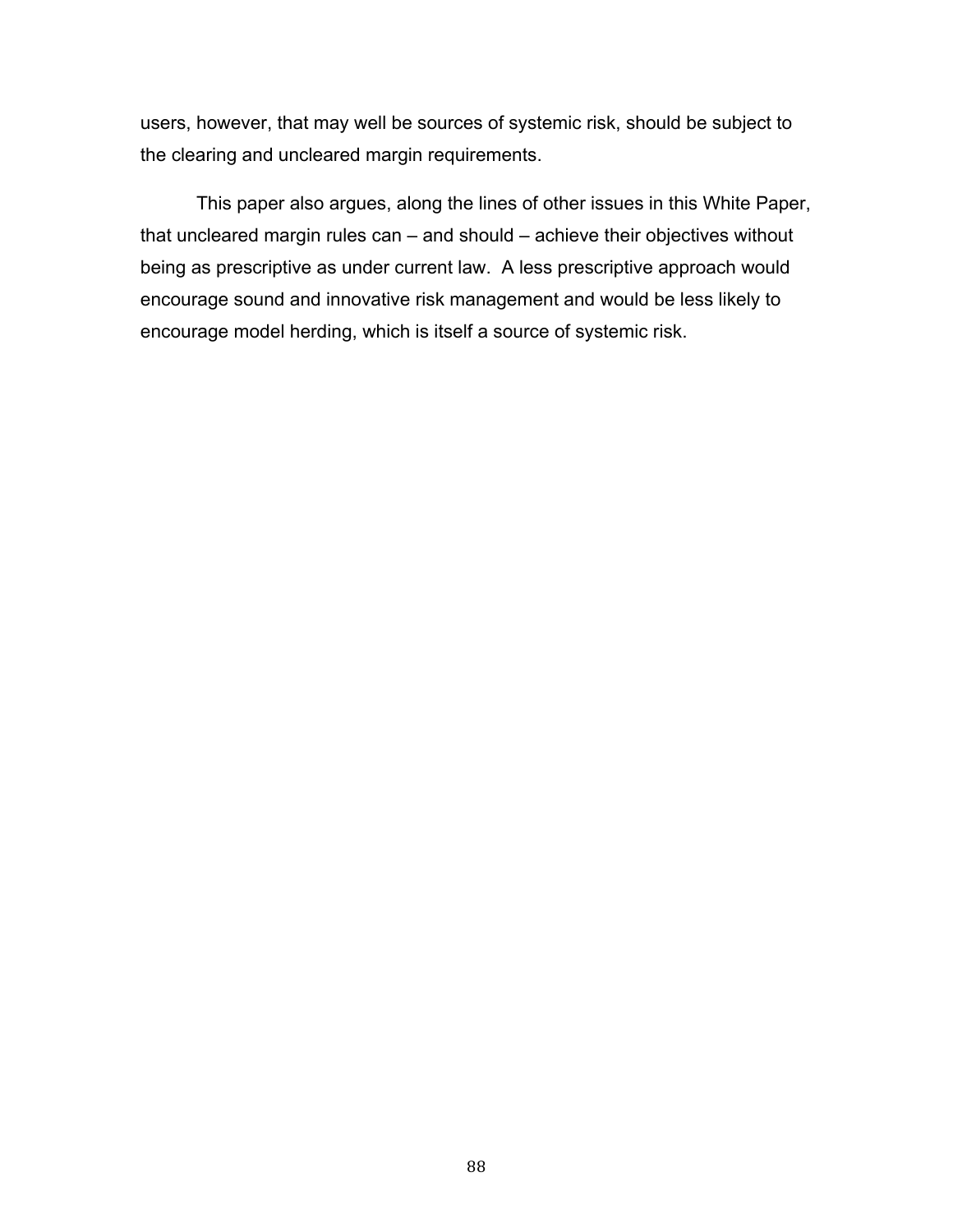users, however, that may well be sources of systemic risk, should be subject to the clearing and uncleared margin requirements.

 This paper also argues, along the lines of other issues in this White Paper, that uncleared margin rules can – and should – achieve their objectives without being as prescriptive as under current law. A less prescriptive approach would encourage sound and innovative risk management and would be less likely to encourage model herding, which is itself a source of systemic risk.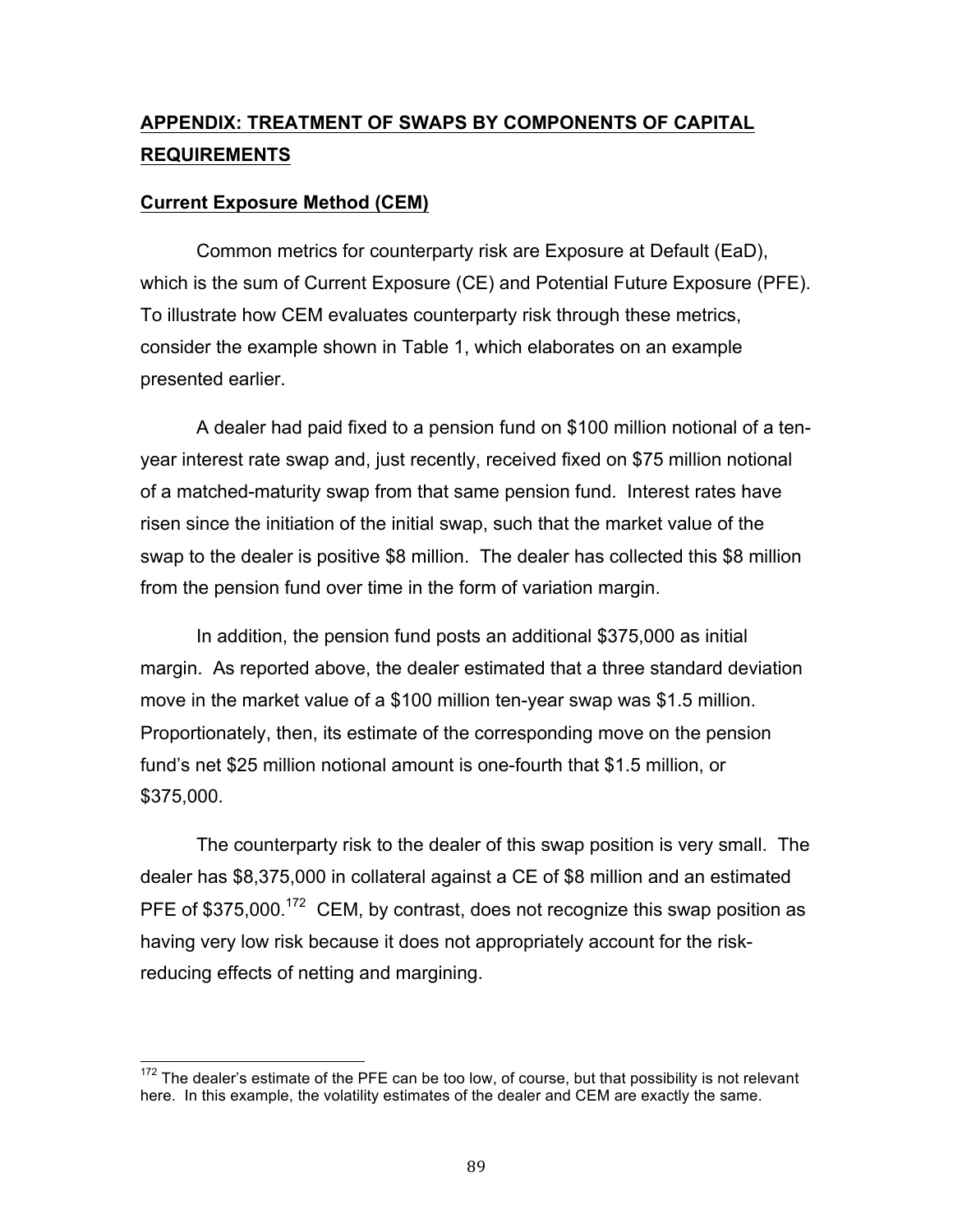# **APPENDIX: TREATMENT OF SWAPS BY COMPONENTS OF CAPITAL REQUIREMENTS**

# **Current Exposure Method (CEM)**

 Common metrics for counterparty risk are Exposure at Default (EaD), which is the sum of Current Exposure (CE) and Potential Future Exposure (PFE). To illustrate how CEM evaluates counterparty risk through these metrics, consider the example shown in Table 1, which elaborates on an example presented earlier.

 A dealer had paid fixed to a pension fund on \$100 million notional of a ten- year interest rate swap and, just recently, received fixed on \$75 million notional of a matched-maturity swap from that same pension fund. Interest rates have risen since the initiation of the initial swap, such that the market value of the swap to the dealer is positive \$8 million. The dealer has collected this \$8 million from the pension fund over time in the form of variation margin.

 In addition, the pension fund posts an additional \$375,000 as initial margin. As reported above, the dealer estimated that a three standard deviation move in the market value of a \$100 million ten-year swap was \$1.5 million. Proportionately, then, its estimate of the corresponding move on the pension fund's net \$25 million notional amount is one-fourth that \$1.5 million, or \$375,000.

 The counterparty risk to the dealer of this swap position is very small. The dealer has \$8,375,000 in collateral against a CE of \$8 million and an estimated PFE of \$375,000.<sup>172</sup> CEM, by contrast, does not recognize this swap position as having very low risk because it does not appropriately account for the risk-reducing effects of netting and margining.

 $172$  The dealer's estimate of the PFE can be too low, of course, but that possibility is not relevant here. In this example, the volatility estimates of the dealer and CEM are exactly the same.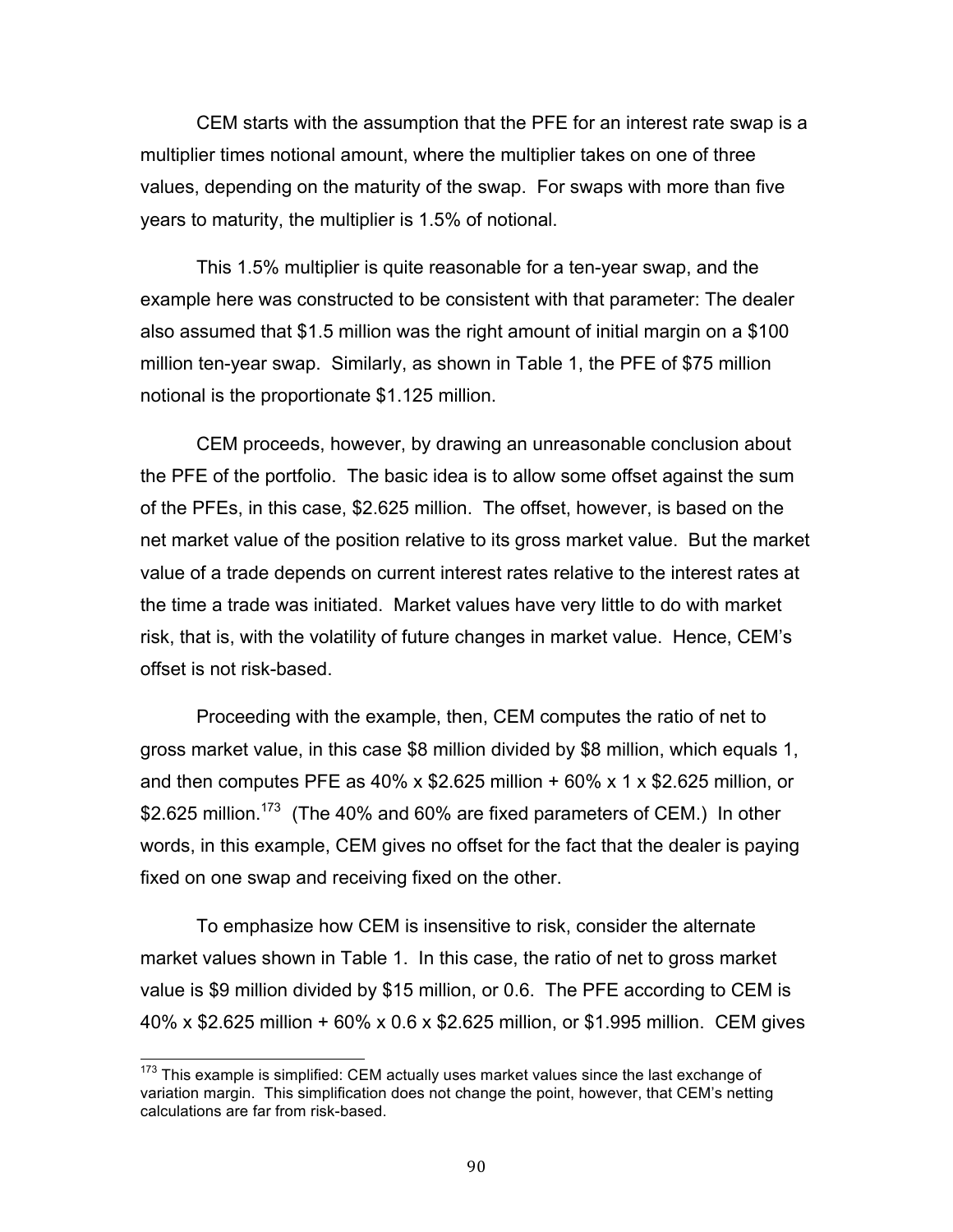CEM starts with the assumption that the PFE for an interest rate swap is a multiplier times notional amount, where the multiplier takes on one of three values, depending on the maturity of the swap. For swaps with more than five years to maturity, the multiplier is 1.5% of notional.

 This 1.5% multiplier is quite reasonable for a ten-year swap, and the example here was constructed to be consistent with that parameter: The dealer also assumed that \$1.5 million was the right amount of initial margin on a \$100 million ten-year swap. Similarly, as shown in Table 1, the PFE of \$75 million notional is the proportionate \$1.125 million.

 CEM proceeds, however, by drawing an unreasonable conclusion about the PFE of the portfolio. The basic idea is to allow some offset against the sum of the PFEs, in this case, \$2.625 million. The offset, however, is based on the net market value of the position relative to its gross market value. But the market value of a trade depends on current interest rates relative to the interest rates at the time a trade was initiated. Market values have very little to do with market risk, that is, with the volatility of future changes in market value. Hence, CEM's offset is not risk-based.

 Proceeding with the example, then, CEM computes the ratio of net to gross market value, in this case \$8 million divided by \$8 million, which equals 1, and then computes PFE as 40% x \$2.625 million + 60% x 1 x \$2.625 million, or \$2.625 million.<sup>173</sup> (The 40% and 60% are fixed parameters of CEM.) In other words, in this example, CEM gives no offset for the fact that the dealer is paying fixed on one swap and receiving fixed on the other.

 To emphasize how CEM is insensitive to risk, consider the alternate market values shown in Table 1. In this case, the ratio of net to gross market value is \$9 million divided by \$15 million, or 0.6. The PFE according to CEM is 40% x \$2.625 million + 60% x 0.6 x \$2.625 million, or \$1.995 million. CEM gives

 $173$  This example is simplified: CEM actually uses market values since the last exchange of variation margin. This simplification does not change the point, however, that CEM's netting calculations are far from risk-based.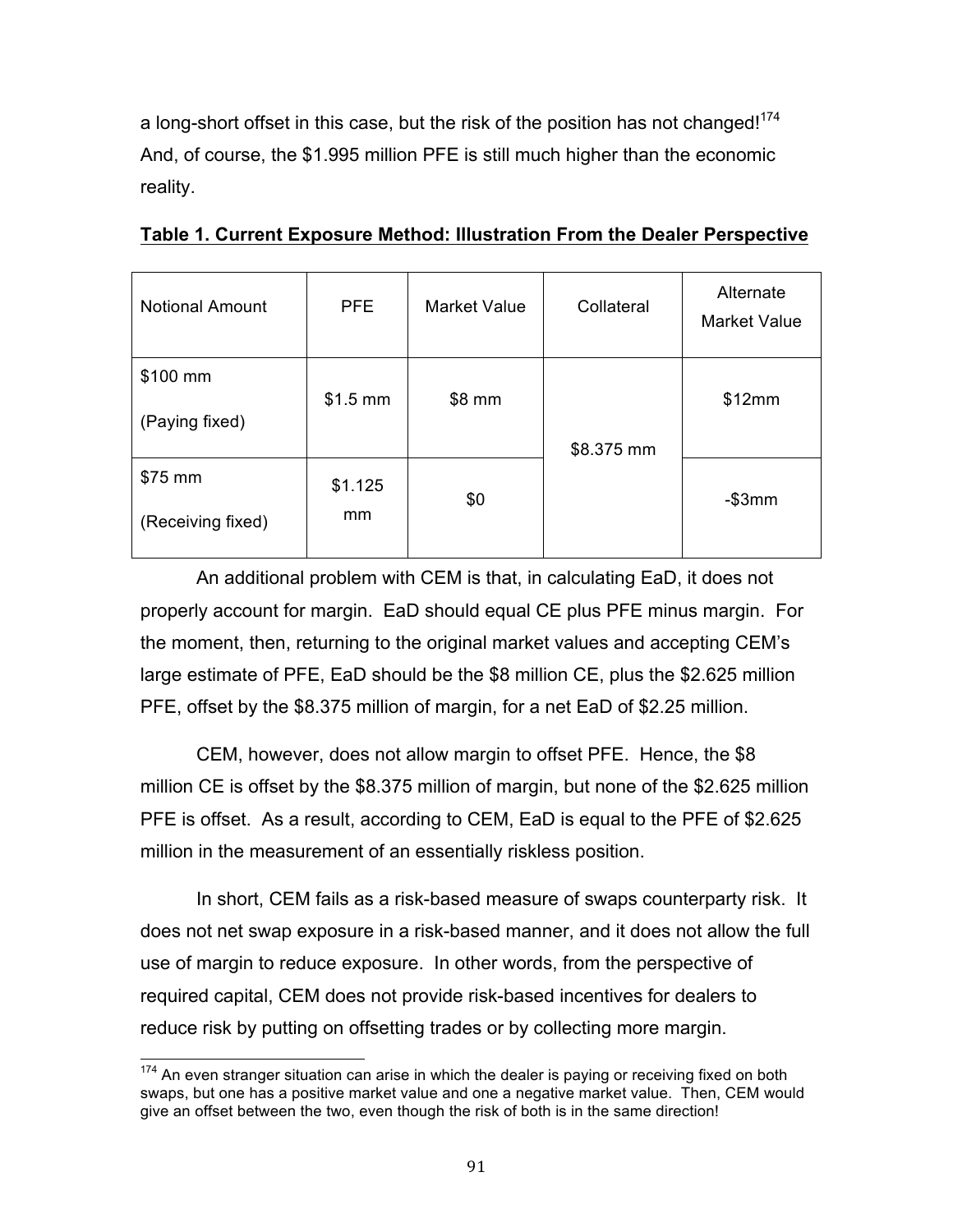a long-short offset in this case, but the risk of the position has not changed!<sup>174</sup> And, of course, the \$1.995 million PFE is still much higher than the economic reality.

| <b>Notional Amount</b> | <b>PFE</b> | <b>Market Value</b> | Collateral | Alternate<br><b>Market Value</b> |
|------------------------|------------|---------------------|------------|----------------------------------|
| \$100 mm               | $$1.5$ mm  | \$8 mm              |            | \$12mm                           |
| (Paying fixed)         |            |                     | \$8.375 mm |                                  |
| \$75 mm                | \$1.125    | \$0                 |            | $-$ \$3 $mm$                     |
| (Receiving fixed)      | mm         |                     |            |                                  |

 **Table 1. Current Exposure Method: Illustration From the Dealer Perspective** 

 An additional problem with CEM is that, in calculating EaD, it does not properly account for margin. EaD should equal CE plus PFE minus margin. For the moment, then, returning to the original market values and accepting CEM's large estimate of PFE, EaD should be the \$8 million CE, plus the \$2.625 million PFE, offset by the \$8.375 million of margin, for a net EaD of \$2.25 million.

 CEM, however, does not allow margin to offset PFE. Hence, the \$8 million CE is offset by the \$8.375 million of margin, but none of the \$2.625 million PFE is offset. As a result, according to CEM, EaD is equal to the PFE of \$2.625 million in the measurement of an essentially riskless position.

 In short, CEM fails as a risk-based measure of swaps counterparty risk. It does not net swap exposure in a risk-based manner, and it does not allow the full use of margin to reduce exposure. In other words, from the perspective of required capital, CEM does not provide risk-based incentives for dealers to reduce risk by putting on offsetting trades or by collecting more margin.

 $174$  An even stranger situation can arise in which the dealer is paying or receiving fixed on both swaps, but one has a positive market value and one a negative market value. Then, CEM would give an offset between the two, even though the risk of both is in the same direction!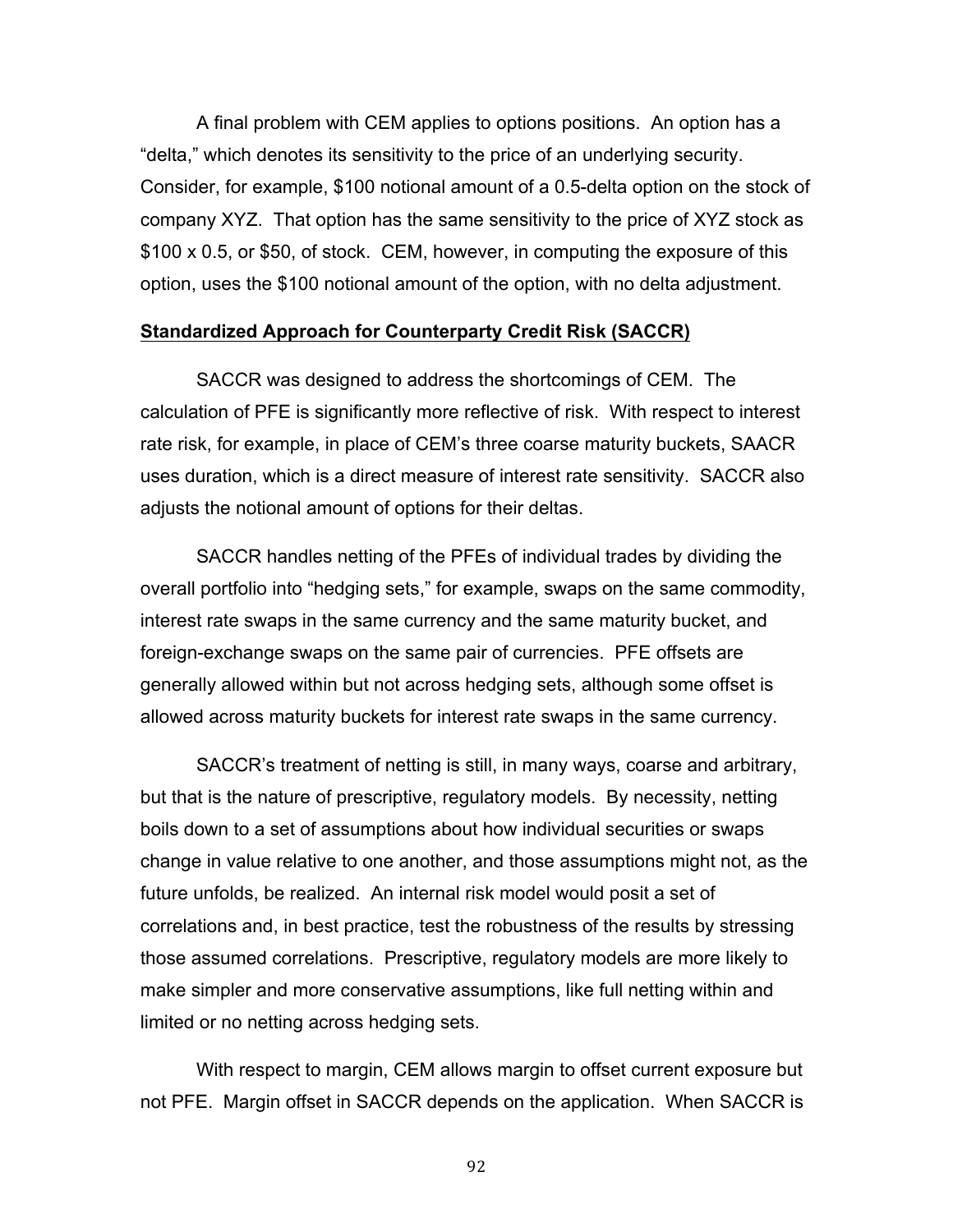A final problem with CEM applies to options positions. An option has a "delta," which denotes its sensitivity to the price of an underlying security. Consider, for example, \$100 notional amount of a 0.5-delta option on the stock of company XYZ. That option has the same sensitivity to the price of XYZ stock as \$100 x 0.5, or \$50, of stock. CEM, however, in computing the exposure of this option, uses the \$100 notional amount of the option, with no delta adjustment.

#### **Standardized Approach for Counterparty Credit Risk (SACCR)**

 SACCR was designed to address the shortcomings of CEM. The calculation of PFE is significantly more reflective of risk. With respect to interest rate risk, for example, in place of CEM's three coarse maturity buckets, SAACR uses duration, which is a direct measure of interest rate sensitivity. SACCR also adjusts the notional amount of options for their deltas.

 SACCR handles netting of the PFEs of individual trades by dividing the overall portfolio into "hedging sets," for example, swaps on the same commodity, interest rate swaps in the same currency and the same maturity bucket, and foreign-exchange swaps on the same pair of currencies. PFE offsets are generally allowed within but not across hedging sets, although some offset is allowed across maturity buckets for interest rate swaps in the same currency.

 SACCR's treatment of netting is still, in many ways, coarse and arbitrary, but that is the nature of prescriptive, regulatory models. By necessity, netting boils down to a set of assumptions about how individual securities or swaps change in value relative to one another, and those assumptions might not, as the future unfolds, be realized. An internal risk model would posit a set of correlations and, in best practice, test the robustness of the results by stressing those assumed correlations. Prescriptive, regulatory models are more likely to make simpler and more conservative assumptions, like full netting within and limited or no netting across hedging sets.

 With respect to margin, CEM allows margin to offset current exposure but not PFE. Margin offset in SACCR depends on the application. When SACCR is

92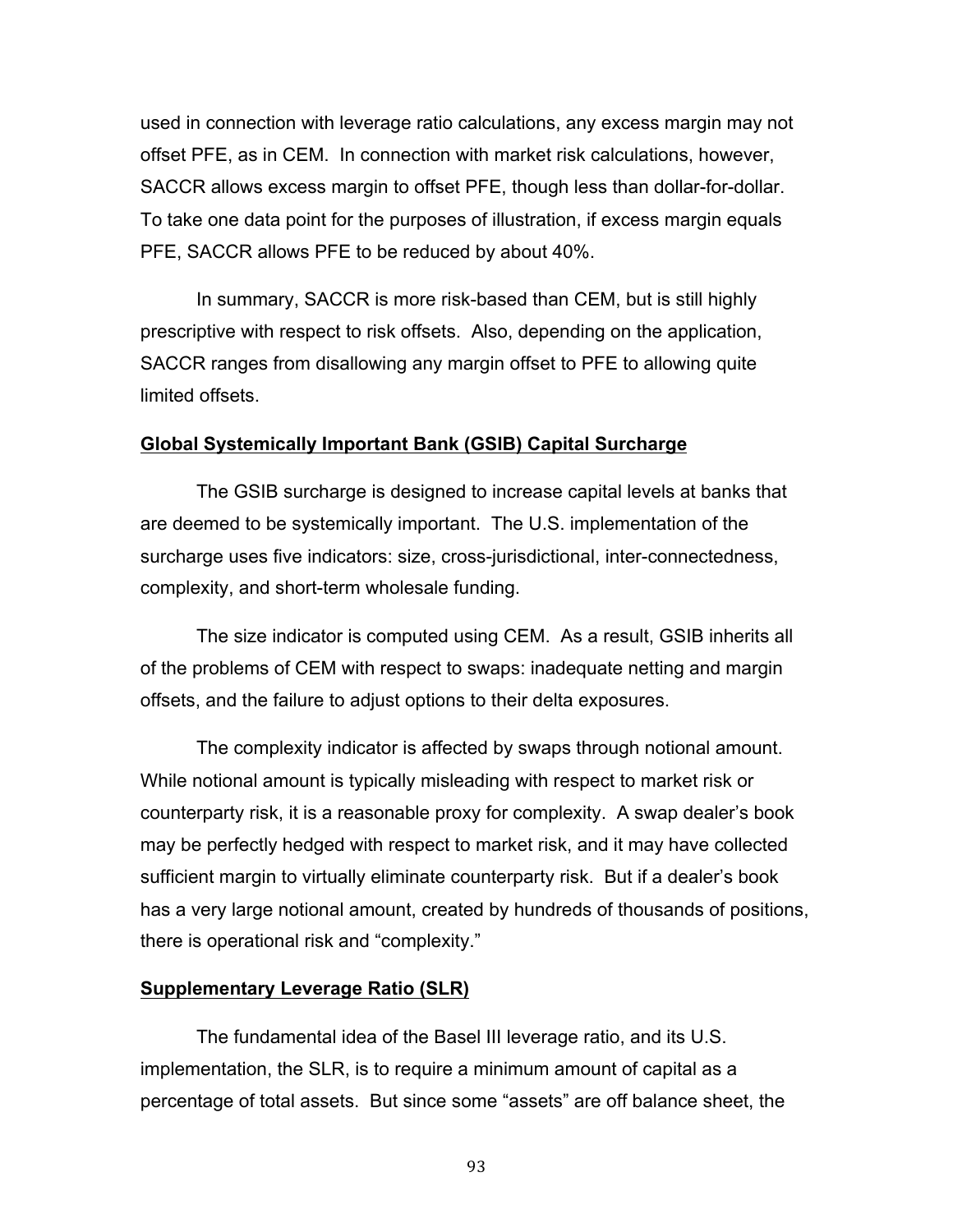used in connection with leverage ratio calculations, any excess margin may not offset PFE, as in CEM. In connection with market risk calculations, however, SACCR allows excess margin to offset PFE, though less than dollar-for-dollar. To take one data point for the purposes of illustration, if excess margin equals PFE, SACCR allows PFE to be reduced by about 40%.

 In summary, SACCR is more risk-based than CEM, but is still highly prescriptive with respect to risk offsets. Also, depending on the application, SACCR ranges from disallowing any margin offset to PFE to allowing quite limited offsets.

#### **Global Systemically Important Bank (GSIB) Capital Surcharge**

 The GSIB surcharge is designed to increase capital levels at banks that are deemed to be systemically important. The U.S. implementation of the surcharge uses five indicators: size, cross-jurisdictional, inter-connectedness, complexity, and short-term wholesale funding.

 The size indicator is computed using CEM. As a result, GSIB inherits all of the problems of CEM with respect to swaps: inadequate netting and margin offsets, and the failure to adjust options to their delta exposures.

 The complexity indicator is affected by swaps through notional amount. While notional amount is typically misleading with respect to market risk or counterparty risk, it is a reasonable proxy for complexity. A swap dealer's book may be perfectly hedged with respect to market risk, and it may have collected sufficient margin to virtually eliminate counterparty risk. But if a dealer's book has a very large notional amount, created by hundreds of thousands of positions, there is operational risk and "complexity."

#### **Supplementary Leverage Ratio (SLR)**

 The fundamental idea of the Basel III leverage ratio, and its U.S. implementation, the SLR, is to require a minimum amount of capital as a percentage of total assets. But since some "assets" are off balance sheet, the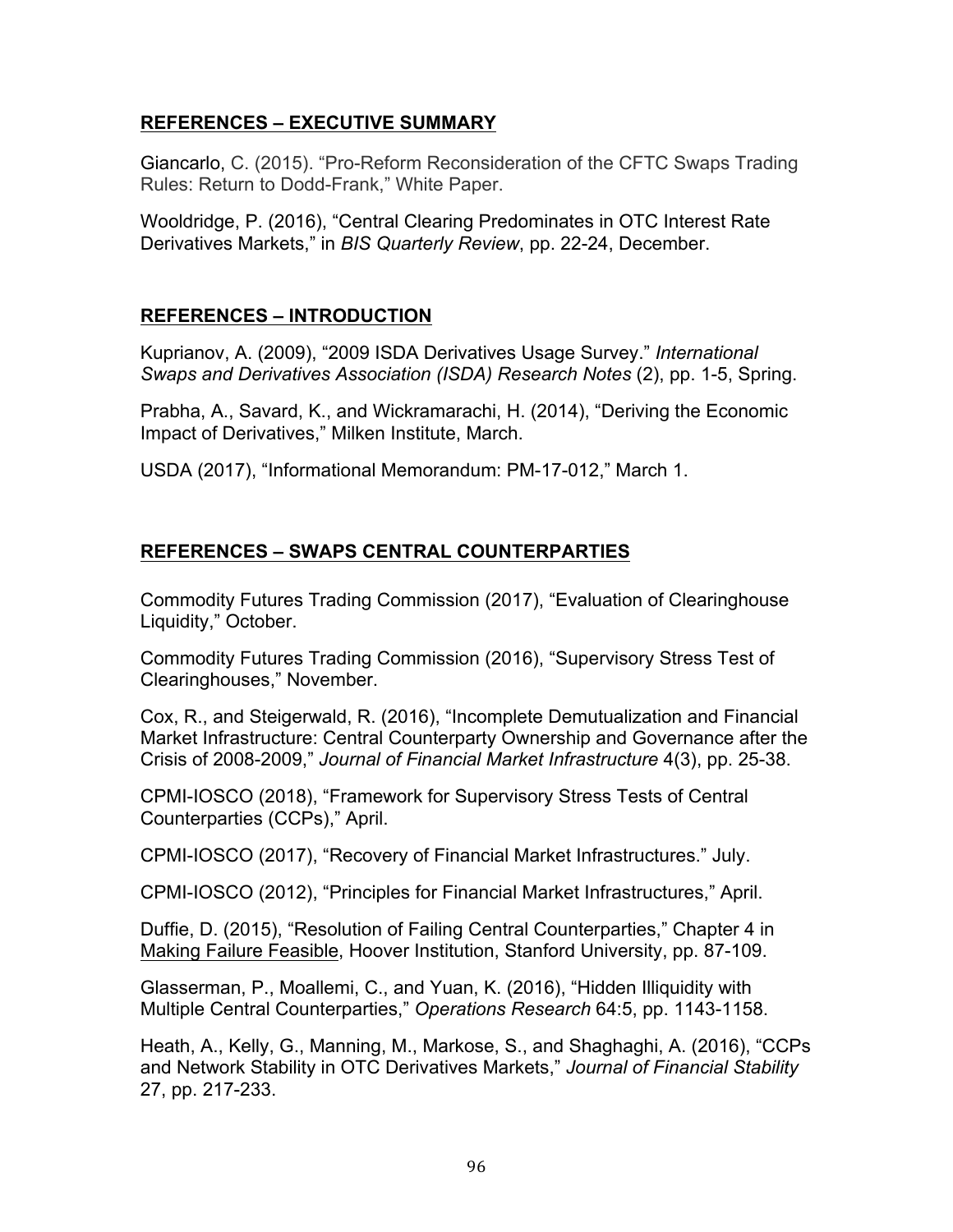## **REFERENCES – EXECUTIVE SUMMARY**

 Giancarlo, C. (2015). "Pro-Reform Reconsideration of the CFTC Swaps Trading Rules: Return to Dodd-Frank," White Paper.

 Wooldridge, P. (2016), "Central Clearing Predominates in OTC Interest Rate Derivatives Markets," in *BIS Quarterly Review*, pp. 22-24, December.

# **REFERENCES – INTRODUCTION**

 Kuprianov, A. (2009), "2009 ISDA Derivatives Usage Survey." *International Swaps and Derivatives Association (ISDA) Research Notes* (2), pp. 1-5, Spring.

 Prabha, A., Savard, K., and Wickramarachi, H. (2014), "Deriving the Economic Impact of Derivatives," Milken Institute, March.

USDA (2017), "Informational Memorandum: PM-17-012," March 1.

# **REFERENCES – SWAPS CENTRAL COUNTERPARTIES**

 Commodity Futures Trading Commission (2017), "Evaluation of Clearinghouse Liquidity," October.

 Commodity Futures Trading Commission (2016), "Supervisory Stress Test of Clearinghouses," November.

 Cox, R., and Steigerwald, R. (2016), "Incomplete Demutualization and Financial Market Infrastructure: Central Counterparty Ownership and Governance after the  Crisis of 2008-2009," *Journal of Financial Market Infrastructure* 4(3), pp. 25-38.

 CPMI-IOSCO (2018), "Framework for Supervisory Stress Tests of Central Counterparties (CCPs)," April.

CPMI-IOSCO (2017), "Recovery of Financial Market Infrastructures." July.

CPMI-IOSCO (2012), "Principles for Financial Market Infrastructures," April.

 Duffie, D. (2015), "Resolution of Failing Central Counterparties," Chapter 4 in Making Failure Feasible, Hoover Institution, Stanford University, pp. 87-109.

 Glasserman, P., Moallemi, C., and Yuan, K. (2016), "Hidden Illiquidity with Multiple Central Counterparties," *Operations Research* 64:5, pp. 1143-1158.

 Heath, A., Kelly, G., Manning, M., Markose, S., and Shaghaghi, A. (2016), "CCPs and Network Stability in OTC Derivatives Markets," *Journal of Financial Stability*  27, pp. 217-233.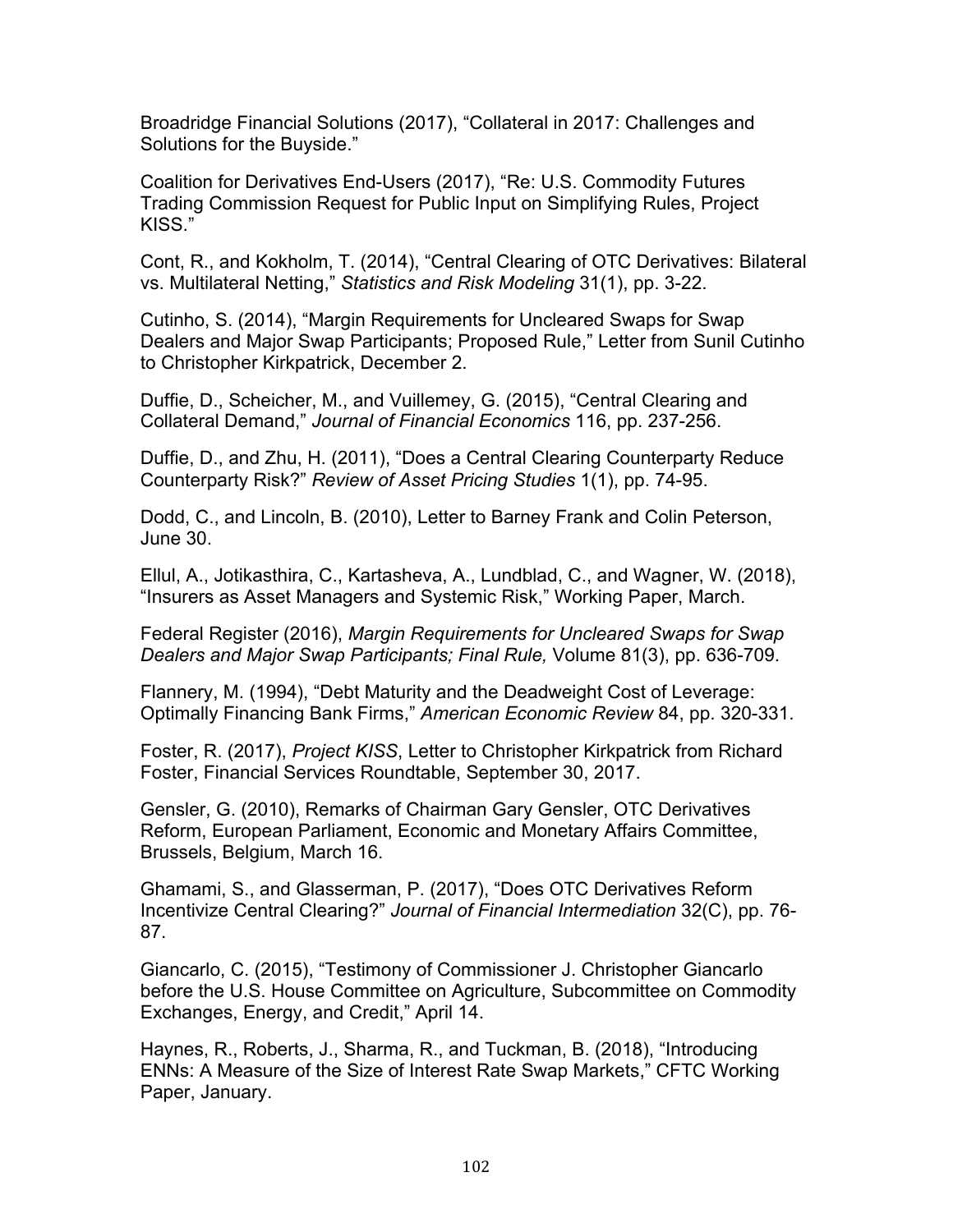Broadridge Financial Solutions (2017), "Collateral in 2017: Challenges and Solutions for the Buyside."

 Coalition for Derivatives End-Users (2017), "Re: U.S. Commodity Futures Trading Commission Request for Public Input on Simplifying Rules, Project KISS."

 Cont, R., and Kokholm, T. (2014), "Central Clearing of OTC Derivatives: Bilateral vs. Multilateral Netting," *Statistics and Risk Modeling* 31(1), pp. 3-22.

 Cutinho, S. (2014), "Margin Requirements for Uncleared Swaps for Swap Dealers and Major Swap Participants; Proposed Rule," Letter from Sunil Cutinho to Christopher Kirkpatrick, December 2.

 Duffie, D., Scheicher, M., and Vuillemey, G. (2015), "Central Clearing and  Collateral Demand," *Journal of Financial Economics* 116, pp. 237-256.

 Duffie, D., and Zhu, H. (2011), "Does a Central Clearing Counterparty Reduce  Counterparty Risk?" *Review of Asset Pricing Studies* 1(1), pp. 74-95.

 Dodd, C., and Lincoln, B. (2010), Letter to Barney Frank and Colin Peterson, June 30.

 Ellul, A., Jotikasthira, C., Kartasheva, A., Lundblad, C., and Wagner, W. (2018), "Insurers as Asset Managers and Systemic Risk," Working Paper, March.

 *Dealers and Major Swap Participants; Final Rule,* Volume 81(3), pp. 636-709. Federal Register (2016), *Margin Requirements for Uncleared Swaps for Swap* 

 Flannery, M. (1994), "Debt Maturity and the Deadweight Cost of Leverage: Optimally Financing Bank Firms," *American Economic Review* 84, pp. 320-331.

 Foster, R. (2017), *Project KISS*, Letter to Christopher Kirkpatrick from Richard Foster, Financial Services Roundtable, September 30, 2017.

 Gensler, G. (2010), Remarks of Chairman Gary Gensler, OTC Derivatives Reform, European Parliament, Economic and Monetary Affairs Committee, Brussels, Belgium, March 16.

 Ghamami, S., and Glasserman, P. (2017), "Does OTC Derivatives Reform Incentivize Central Clearing?" *Journal of Financial Intermediation* 32(C), pp. 76- 87.

 Giancarlo, C. (2015), "Testimony of Commissioner J. Christopher Giancarlo before the U.S. House Committee on Agriculture, Subcommittee on Commodity Exchanges, Energy, and Credit," April 14.

 Haynes, R., Roberts, J., Sharma, R., and Tuckman, B. (2018), "Introducing ENNs: A Measure of the Size of Interest Rate Swap Markets," CFTC Working Paper, January.